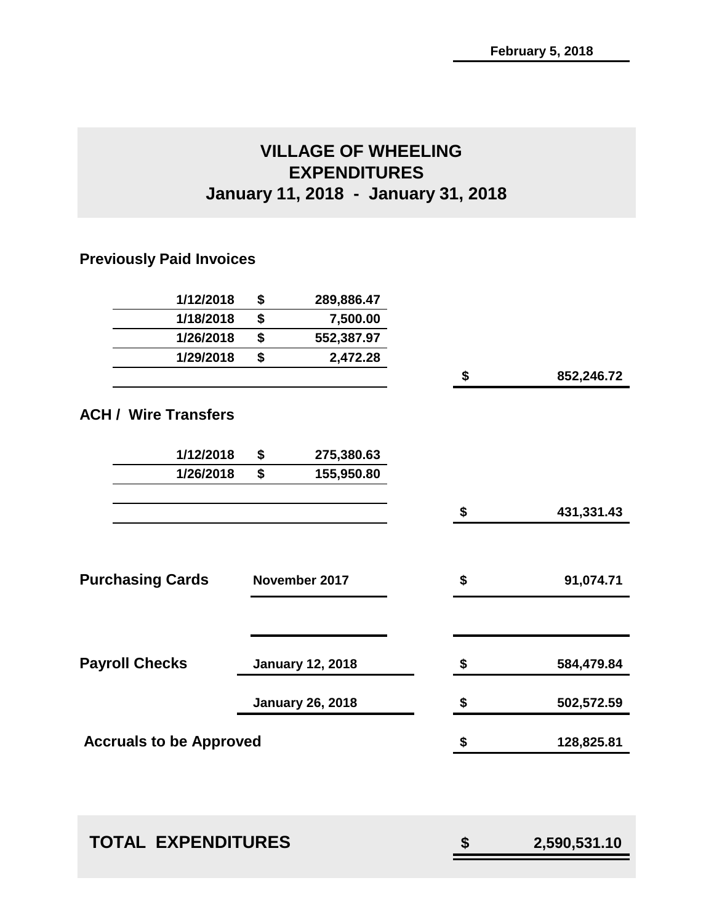# **VILLAGE OF WHEELING EXPENDITURES January 11, 2018 - January 31, 2018**

# **Previously Paid Invoices**

| 1/12/2018                      | \$<br>289,886.47        |                  |
|--------------------------------|-------------------------|------------------|
| 1/18/2018                      | \$<br>7,500.00          |                  |
| 1/26/2018                      | \$<br>552,387.97        |                  |
| 1/29/2018                      | \$<br>2,472.28          |                  |
|                                |                         | \$<br>852,246.72 |
| <b>ACH / Wire Transfers</b>    |                         |                  |
| 1/12/2018                      | \$<br>275,380.63        |                  |
| 1/26/2018                      | \$<br>155,950.80        |                  |
|                                |                         | \$<br>431,331.43 |
| <b>Purchasing Cards</b>        | November 2017           | \$<br>91,074.71  |
|                                |                         |                  |
| <b>Payroll Checks</b>          | <b>January 12, 2018</b> | \$<br>584,479.84 |
|                                | <b>January 26, 2018</b> | \$<br>502,572.59 |
| <b>Accruals to be Approved</b> |                         | \$<br>128,825.81 |
|                                |                         |                  |
|                                |                         |                  |

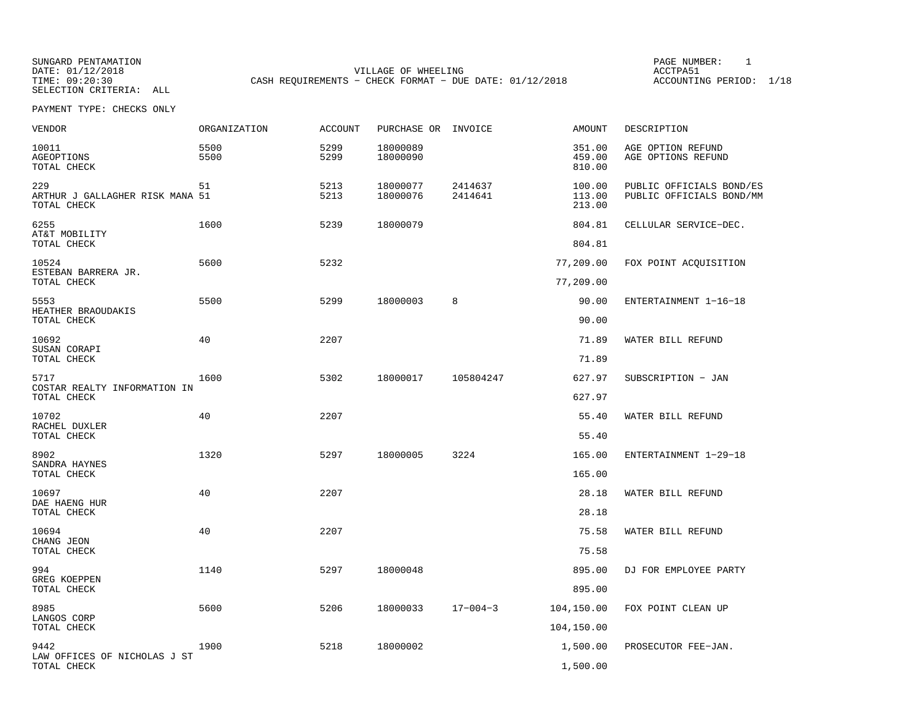SELECTION CRITERIA: ALL

SUNGARD PENTAMATION PAGE NUMBER: 1DATE: 01/12/2018 VILLAGE OF WHEELING ACCTPA51CASH REQUIREMENTS - CHECK FORMAT - DUE DATE: 01/12/2018

ACCOUNTING PERIOD: 1/18

| VENDOR                                                | ORGANIZATION | <b>ACCOUNT</b> | PURCHASE OR INVOICE  |                    | <b>AMOUNT</b>              | DESCRIPTION                                          |
|-------------------------------------------------------|--------------|----------------|----------------------|--------------------|----------------------------|------------------------------------------------------|
| 10011<br>AGEOPTIONS<br>TOTAL CHECK                    | 5500<br>5500 | 5299<br>5299   | 18000089<br>18000090 |                    | 351.00<br>459.00<br>810.00 | AGE OPTION REFUND<br>AGE OPTIONS REFUND              |
| 229<br>ARTHUR J GALLAGHER RISK MANA 51<br>TOTAL CHECK | 51           | 5213<br>5213   | 18000077<br>18000076 | 2414637<br>2414641 | 100.00<br>113.00<br>213.00 | PUBLIC OFFICIALS BOND/ES<br>PUBLIC OFFICIALS BOND/MM |
| 6255                                                  | 1600         | 5239           | 18000079             |                    | 804.81                     | CELLULAR SERVICE-DEC.                                |
| AT&T MOBILITY<br>TOTAL CHECK                          |              |                |                      |                    | 804.81                     |                                                      |
| 10524                                                 | 5600         | 5232           |                      |                    | 77,209.00                  | FOX POINT ACQUISITION                                |
| ESTEBAN BARRERA JR.<br>TOTAL CHECK                    |              |                |                      |                    | 77,209.00                  |                                                      |
| 5553                                                  | 5500         | 5299           | 18000003             | 8                  | 90.00                      | ENTERTAINMENT 1-16-18                                |
| HEATHER BRAOUDAKIS<br>TOTAL CHECK                     |              |                |                      |                    | 90.00                      |                                                      |
| 10692                                                 | 40           | 2207           |                      |                    | 71.89                      | WATER BILL REFUND                                    |
| SUSAN CORAPI<br>TOTAL CHECK                           |              |                |                      |                    | 71.89                      |                                                      |
| 5717                                                  | 1600         | 5302           | 18000017             | 105804247          | 627.97                     | SUBSCRIPTION - JAN                                   |
| COSTAR REALTY INFORMATION IN<br>TOTAL CHECK           |              |                |                      |                    | 627.97                     |                                                      |
| 10702                                                 | 40           | 2207           |                      |                    | 55.40                      | WATER BILL REFUND                                    |
| RACHEL DUXLER<br>TOTAL CHECK                          |              |                |                      |                    | 55.40                      |                                                      |
| 8902                                                  | 1320         | 5297           | 18000005             | 3224               | 165.00                     | ENTERTAINMENT 1-29-18                                |
| SANDRA HAYNES<br>TOTAL CHECK                          |              |                |                      |                    | 165.00                     |                                                      |
| 10697                                                 | 40           | 2207           |                      |                    | 28.18                      | WATER BILL REFUND                                    |
| DAE HAENG HUR<br>TOTAL CHECK                          |              |                |                      |                    | 28.18                      |                                                      |
| 10694                                                 | 40           | 2207           |                      |                    | 75.58                      | WATER BILL REFUND                                    |
| CHANG JEON<br>TOTAL CHECK                             |              |                |                      |                    | 75.58                      |                                                      |
| 994                                                   | 1140         | 5297           | 18000048             |                    | 895.00                     | DJ FOR EMPLOYEE PARTY                                |
| <b>GREG KOEPPEN</b><br>TOTAL CHECK                    |              |                |                      |                    | 895.00                     |                                                      |
| 8985                                                  | 5600         | 5206           | 18000033             | $17 - 004 - 3$     | 104,150.00                 | FOX POINT CLEAN UP                                   |
| LANGOS CORP<br>TOTAL CHECK                            |              |                |                      |                    | 104,150.00                 |                                                      |
| 9442                                                  | 1900         | 5218           | 18000002             |                    | 1,500.00                   | PROSECUTOR FEE-JAN.                                  |
| LAW OFFICES OF NICHOLAS J ST<br>TOTAL CHECK           |              |                |                      |                    | 1,500.00                   |                                                      |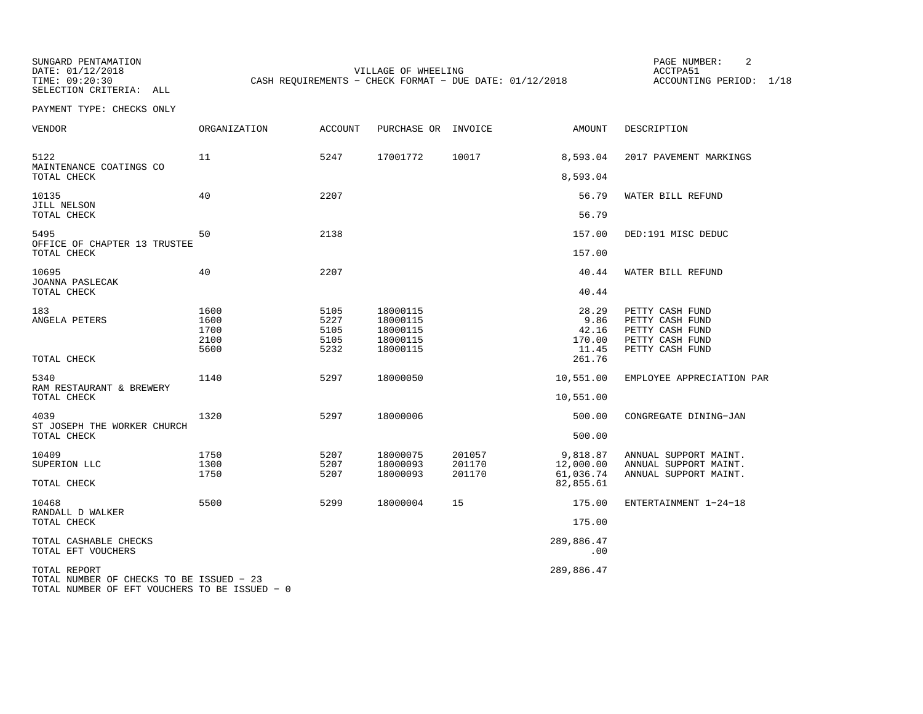SUNGARD PENTAMATION PAGE NUMBER: 2SELECTION CRITERIA: ALL

DATE:  $01/12/2018$  ACCTPA51 TIME: 09:20:30 CASH REQUIREMENTS - CHECK FORMAT - DUE DATE: 01/12/2018

ACCOUNTING PERIOD: 1/18

| VENDOR                                                                                                    | <b>ORGANIZATION</b>                  | <b>ACCOUNT</b>                       | PURCHASE OR                                              | INVOICE                    | <b>AMOUNT</b>                                       | DESCRIPTION                                                                                 |
|-----------------------------------------------------------------------------------------------------------|--------------------------------------|--------------------------------------|----------------------------------------------------------|----------------------------|-----------------------------------------------------|---------------------------------------------------------------------------------------------|
| 5122<br>MAINTENANCE COATINGS CO<br>TOTAL CHECK                                                            | 11                                   | 5247                                 | 17001772                                                 | 10017                      | 8,593.04<br>8,593.04                                | 2017 PAVEMENT MARKINGS                                                                      |
| 10135<br>JILL NELSON<br>TOTAL CHECK                                                                       | 40                                   | 2207                                 |                                                          |                            | 56.79<br>56.79                                      | WATER BILL REFUND                                                                           |
| 5495<br>OFFICE OF CHAPTER 13 TRUSTEE<br>TOTAL CHECK                                                       | 50                                   | 2138                                 |                                                          |                            | 157.00<br>157.00                                    | DED:191 MISC DEDUC                                                                          |
| 10695<br>JOANNA PASLECAK<br>TOTAL CHECK                                                                   | 40                                   | 2207                                 |                                                          |                            | 40.44<br>40.44                                      | WATER BILL REFUND                                                                           |
| 183<br>ANGELA PETERS<br>TOTAL CHECK                                                                       | 1600<br>1600<br>1700<br>2100<br>5600 | 5105<br>5227<br>5105<br>5105<br>5232 | 18000115<br>18000115<br>18000115<br>18000115<br>18000115 |                            | 28.29<br>9.86<br>42.16<br>170.00<br>11.45<br>261.76 | PETTY CASH FUND<br>PETTY CASH FUND<br>PETTY CASH FUND<br>PETTY CASH FUND<br>PETTY CASH FUND |
| 5340<br>RAM RESTAURANT & BREWERY<br>TOTAL CHECK                                                           | 1140                                 | 5297                                 | 18000050                                                 |                            | 10,551.00<br>10,551.00                              | EMPLOYEE APPRECIATION PAR                                                                   |
| 4039<br>ST JOSEPH THE WORKER CHURCH<br>TOTAL CHECK                                                        | 1320                                 | 5297                                 | 18000006                                                 |                            | 500.00<br>500.00                                    | CONGREGATE DINING-JAN                                                                       |
| 10409<br>SUPERION LLC<br>TOTAL CHECK                                                                      | 1750<br>1300<br>1750                 | 5207<br>5207<br>5207                 | 18000075<br>18000093<br>18000093                         | 201057<br>201170<br>201170 | 9,818.87<br>12,000.00<br>61,036.74<br>82,855.61     | ANNUAL SUPPORT MAINT.<br>ANNUAL SUPPORT MAINT.<br>ANNUAL SUPPORT MAINT.                     |
| 10468<br>RANDALL D WALKER<br>TOTAL CHECK                                                                  | 5500                                 | 5299                                 | 18000004                                                 | 15                         | 175.00<br>175.00                                    | ENTERTAINMENT 1-24-18                                                                       |
| TOTAL CASHABLE CHECKS<br>TOTAL EFT VOUCHERS                                                               |                                      |                                      |                                                          |                            | 289,886.47<br>.00                                   |                                                                                             |
| TOTAL REPORT<br>TOTAL NUMBER OF CHECKS TO BE ISSUED - 23<br>TOTAL NUMBER OF EFT VOUCHERS TO BE ISSUED - 0 |                                      |                                      |                                                          |                            | 289,886.47                                          |                                                                                             |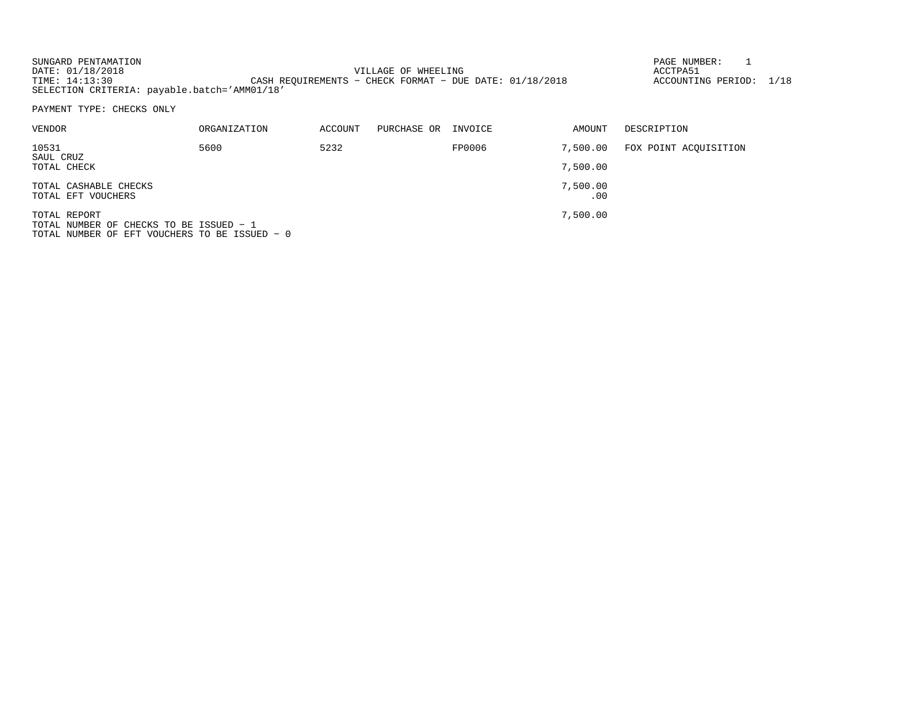| SUNGARD PENTAMATION                          |                                                           | PAGE NUMBER:       |  |
|----------------------------------------------|-----------------------------------------------------------|--------------------|--|
| DATE: 01/18/2018                             | VILLAGE OF WHEELING                                       | ACCTPA5            |  |
| TIME: 14:13:30                               | CASH REOUIREMENTS - CHECK FORMAT - DUE DATE: $01/18/2018$ | ACCOUNTING PERIOD: |  |
| SELECTION CRITERIA: payable.batch='AMM01/18' |                                                           |                    |  |

PAYMENT TYPE: CHECKS ONLY

| VENDOR                                                               | ORGANIZATION | ACCOUNT | PURCHASE OR | INVOICE | AMOUNT          | DESCRIPTION           |
|----------------------------------------------------------------------|--------------|---------|-------------|---------|-----------------|-----------------------|
| 10531<br>SAUL CRUZ                                                   | 5600         | 5232    |             | FP0006  | 7,500.00        | FOX POINT ACQUISITION |
| TOTAL CHECK                                                          |              |         |             |         | 7,500.00        |                       |
| TOTAL CASHABLE CHECKS<br>TOTAL EFT VOUCHERS                          |              |         |             |         | 7,500.00<br>.00 |                       |
|                                                                      |              |         |             |         |                 |                       |
| TOTAL REPORT<br><sup>1</sup> חסונוסט הם מה משמחונה הם חסונות והתחמיד |              |         |             |         | 7,500.00        |                       |

TOTAL NUMBER OF CHECKS TO BE ISSUED − 1 TOTAL NUMBER OF EFT VOUCHERS TO BE ISSUED − 0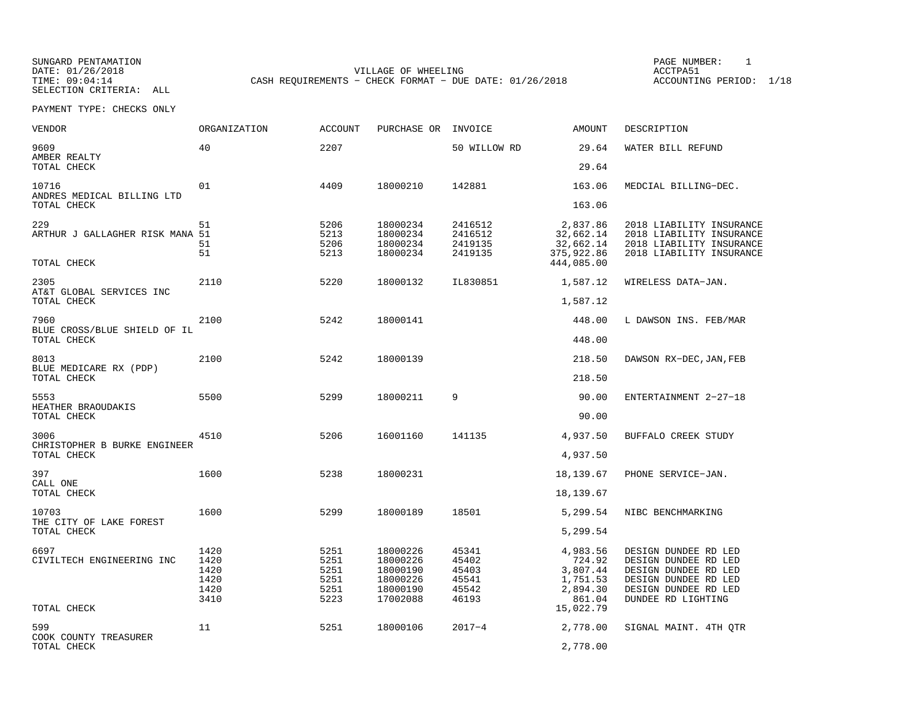SUNGARD PENTAMATION PAGE NUMBER: 1SELECTION CRITERIA: ALL

VILLAGE OF WHEELING **ACCTPA51** TIME: 09:04:14 CASH REQUIREMENTS - CHECK FORMAT - DUE DATE: 01/26/2018

ACCOUNTING PERIOD: 1/18

| VENDOR                                                | ORGANIZATION                                 | <b>ACCOUNT</b>                               | PURCHASE OR                                                          | INVOICE                                            | <b>AMOUNT</b>                                                    | DESCRIPTION                                                                                                                                |
|-------------------------------------------------------|----------------------------------------------|----------------------------------------------|----------------------------------------------------------------------|----------------------------------------------------|------------------------------------------------------------------|--------------------------------------------------------------------------------------------------------------------------------------------|
| 9609<br>AMBER REALTY<br>TOTAL CHECK                   | 40                                           | 2207                                         |                                                                      | 50 WILLOW RD                                       | 29.64<br>29.64                                                   | WATER BILL REFUND                                                                                                                          |
|                                                       |                                              |                                              |                                                                      |                                                    |                                                                  |                                                                                                                                            |
| 10716<br>ANDRES MEDICAL BILLING LTD<br>TOTAL CHECK    | 01                                           | 4409                                         | 18000210                                                             | 142881                                             | 163.06<br>163.06                                                 | MEDCIAL BILLING-DEC.                                                                                                                       |
| 229<br>ARTHUR J GALLAGHER RISK MANA 51<br>TOTAL CHECK | 51<br>51<br>51                               | 5206<br>5213<br>5206<br>5213                 | 18000234<br>18000234<br>18000234<br>18000234                         | 2416512<br>2416512<br>2419135<br>2419135           | 2,837.86<br>32,662.14<br>32,662.14<br>375,922.86<br>444,085.00   | 2018 LIABILITY INSURANCE<br>2018 LIABILITY INSURANCE<br>2018 LIABILITY INSURANCE<br>2018 LIABILITY INSURANCE                               |
|                                                       |                                              |                                              |                                                                      |                                                    |                                                                  |                                                                                                                                            |
| 2305<br>AT&T GLOBAL SERVICES INC<br>TOTAL CHECK       | 2110                                         | 5220                                         | 18000132                                                             | IL830851                                           | 1,587.12<br>1,587.12                                             | WIRELESS DATA-JAN.                                                                                                                         |
| 7960<br>BLUE CROSS/BLUE SHIELD OF IL                  | 2100                                         | 5242                                         | 18000141                                                             |                                                    | 448.00                                                           | L DAWSON INS. FEB/MAR                                                                                                                      |
| TOTAL CHECK                                           |                                              |                                              |                                                                      |                                                    | 448.00                                                           |                                                                                                                                            |
| 8013<br>BLUE MEDICARE RX (PDP)                        | 2100                                         | 5242                                         | 18000139                                                             |                                                    | 218.50                                                           | DAWSON RX-DEC, JAN, FEB                                                                                                                    |
| TOTAL CHECK                                           |                                              |                                              |                                                                      |                                                    | 218.50                                                           |                                                                                                                                            |
| 5553<br>HEATHER BRAOUDAKIS<br>TOTAL CHECK             | 5500                                         | 5299                                         | 18000211                                                             | 9                                                  | 90.00<br>90.00                                                   | ENTERTAINMENT 2-27-18                                                                                                                      |
|                                                       |                                              |                                              |                                                                      |                                                    |                                                                  |                                                                                                                                            |
| 3006<br>CHRISTOPHER B BURKE ENGINEER<br>TOTAL CHECK   | 4510                                         | 5206                                         | 16001160                                                             | 141135                                             | 4,937.50<br>4,937.50                                             | BUFFALO CREEK STUDY                                                                                                                        |
|                                                       |                                              |                                              |                                                                      |                                                    |                                                                  |                                                                                                                                            |
| 397<br>CALL ONE                                       | 1600                                         | 5238                                         | 18000231                                                             |                                                    | 18,139.67                                                        | PHONE SERVICE-JAN.                                                                                                                         |
| TOTAL CHECK                                           |                                              |                                              |                                                                      |                                                    | 18,139.67                                                        |                                                                                                                                            |
| 10703                                                 | 1600                                         | 5299                                         | 18000189                                                             | 18501                                              | 5,299.54                                                         | NIBC BENCHMARKING                                                                                                                          |
| THE CITY OF LAKE FOREST<br>TOTAL CHECK                |                                              |                                              |                                                                      |                                                    | 5,299.54                                                         |                                                                                                                                            |
| 6697<br>CIVILTECH ENGINEERING INC                     | 1420<br>1420<br>1420<br>1420<br>1420<br>3410 | 5251<br>5251<br>5251<br>5251<br>5251<br>5223 | 18000226<br>18000226<br>18000190<br>18000226<br>18000190<br>17002088 | 45341<br>45402<br>45403<br>45541<br>45542<br>46193 | 4,983.56<br>724.92<br>3,807.44<br>1,751.53<br>2,894.30<br>861.04 | DESIGN DUNDEE RD LED<br>DESIGN DUNDEE RD LED<br>DESIGN DUNDEE RD LED<br>DESIGN DUNDEE RD LED<br>DESIGN DUNDEE RD LED<br>DUNDEE RD LIGHTING |
| TOTAL CHECK                                           |                                              |                                              |                                                                      |                                                    | 15,022.79                                                        |                                                                                                                                            |
| 599<br>COOK COUNTY TREASURER<br>TOTAL CHECK           | 11                                           | 5251                                         | 18000106                                                             | $2017 - 4$                                         | 2,778.00<br>2,778.00                                             | SIGNAL MAINT. 4TH QTR                                                                                                                      |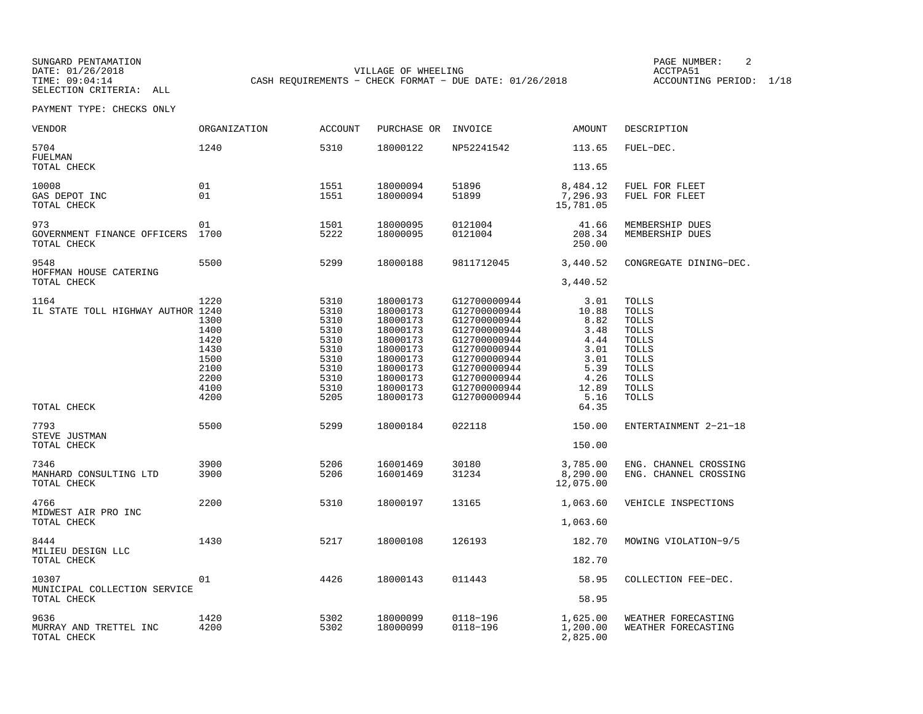SELECTION CRITERIA: ALL

SUNGARD PENTAMATION PAGE NUMBER: 2VILLAGE OF WHEELING **ACCTPA51** TIME: 09:04:14 CASH REQUIREMENTS - CHECK FORMAT - DUE DATE: 01/26/2018

ACCOUNTING PERIOD: 1/18

| <b>VENDOR</b>                                            | <b>ORGANIZATION</b>                                                          | <b>ACCOUNT</b>                                                                       | PURCHASE OR                                                                                                                      | INVOICE                                                                                                                                                                      | <b>AMOUNT</b>                                                                                   | DESCRIPTION                                                                                                                                      |
|----------------------------------------------------------|------------------------------------------------------------------------------|--------------------------------------------------------------------------------------|----------------------------------------------------------------------------------------------------------------------------------|------------------------------------------------------------------------------------------------------------------------------------------------------------------------------|-------------------------------------------------------------------------------------------------|--------------------------------------------------------------------------------------------------------------------------------------------------|
| 5704<br>FUELMAN<br>TOTAL CHECK                           | 1240                                                                         | 5310                                                                                 | 18000122                                                                                                                         | NP52241542                                                                                                                                                                   | 113.65<br>113.65                                                                                | FUEL-DEC.                                                                                                                                        |
| 10008<br>GAS DEPOT INC<br>TOTAL CHECK                    | 01<br>01                                                                     | 1551<br>1551                                                                         | 18000094<br>18000094                                                                                                             | 51896<br>51899                                                                                                                                                               | 8,484.12<br>7,296.93<br>15,781.05                                                               | FUEL FOR FLEET<br>FUEL FOR FLEET                                                                                                                 |
| 973<br>GOVERNMENT FINANCE OFFICERS<br>TOTAL CHECK        | 01<br>1700                                                                   | 1501<br>5222                                                                         | 18000095<br>18000095                                                                                                             | 0121004<br>0121004                                                                                                                                                           | 41.66<br>208.34<br>250.00                                                                       | MEMBERSHIP DUES<br>MEMBERSHIP DUES                                                                                                               |
| 9548<br>HOFFMAN HOUSE CATERING<br>TOTAL CHECK            | 5500                                                                         | 5299                                                                                 | 18000188                                                                                                                         | 9811712045                                                                                                                                                                   | 3,440.52<br>3,440.52                                                                            | CONGREGATE DINING-DEC.                                                                                                                           |
| 1164<br>IL STATE TOLL HIGHWAY AUTHOR 1240<br>TOTAL CHECK | 1220<br>1300<br>1400<br>1420<br>1430<br>1500<br>2100<br>2200<br>4100<br>4200 | 5310<br>5310<br>5310<br>5310<br>5310<br>5310<br>5310<br>5310<br>5310<br>5310<br>5205 | 18000173<br>18000173<br>18000173<br>18000173<br>18000173<br>18000173<br>18000173<br>18000173<br>18000173<br>18000173<br>18000173 | G12700000944<br>G12700000944<br>G12700000944<br>G12700000944<br>G12700000944<br>G12700000944<br>G12700000944<br>G12700000944<br>G12700000944<br>G12700000944<br>G12700000944 | 3.01<br>10.88<br>8.82<br>3.48<br>4.44<br>3.01<br>3.01<br>5.39<br>4.26<br>12.89<br>5.16<br>64.35 | TOLLS<br><b>TOLLS</b><br>TOLLS<br><b>TOLLS</b><br>TOLLS<br><b>TOLLS</b><br><b>TOLLS</b><br><b>TOLLS</b><br><b>TOLLS</b><br>TOLLS<br><b>TOLLS</b> |
| 7793<br>STEVE JUSTMAN<br>TOTAL CHECK                     | 5500                                                                         | 5299                                                                                 | 18000184                                                                                                                         | 022118                                                                                                                                                                       | 150.00<br>150.00                                                                                | ENTERTAINMENT 2-21-18                                                                                                                            |
| 7346<br>MANHARD CONSULTING LTD<br>TOTAL CHECK            | 3900<br>3900                                                                 | 5206<br>5206                                                                         | 16001469<br>16001469                                                                                                             | 30180<br>31234                                                                                                                                                               | 3,785.00<br>8,290.00<br>12,075.00                                                               | ENG. CHANNEL CROSSING<br>ENG. CHANNEL CROSSING                                                                                                   |
| 4766<br>MIDWEST AIR PRO INC<br>TOTAL CHECK               | 2200                                                                         | 5310                                                                                 | 18000197                                                                                                                         | 13165                                                                                                                                                                        | 1,063.60<br>1,063.60                                                                            | VEHICLE INSPECTIONS                                                                                                                              |
| 8444<br>MILIEU DESIGN LLC<br>TOTAL CHECK                 | 1430                                                                         | 5217                                                                                 | 18000108                                                                                                                         | 126193                                                                                                                                                                       | 182.70<br>182.70                                                                                | MOWING VIOLATION-9/5                                                                                                                             |
| 10307<br>MUNICIPAL COLLECTION SERVICE<br>TOTAL CHECK     | 01                                                                           | 4426                                                                                 | 18000143                                                                                                                         | 011443                                                                                                                                                                       | 58.95<br>58.95                                                                                  | COLLECTION FEE-DEC.                                                                                                                              |
| 9636<br>MURRAY AND TRETTEL INC<br>TOTAL CHECK            | 1420<br>4200                                                                 | 5302<br>5302                                                                         | 18000099<br>18000099                                                                                                             | 0118-196<br>0118-196                                                                                                                                                         | 1,625.00<br>1,200.00<br>2,825.00                                                                | WEATHER FORECASTING<br>WEATHER FORECASTING                                                                                                       |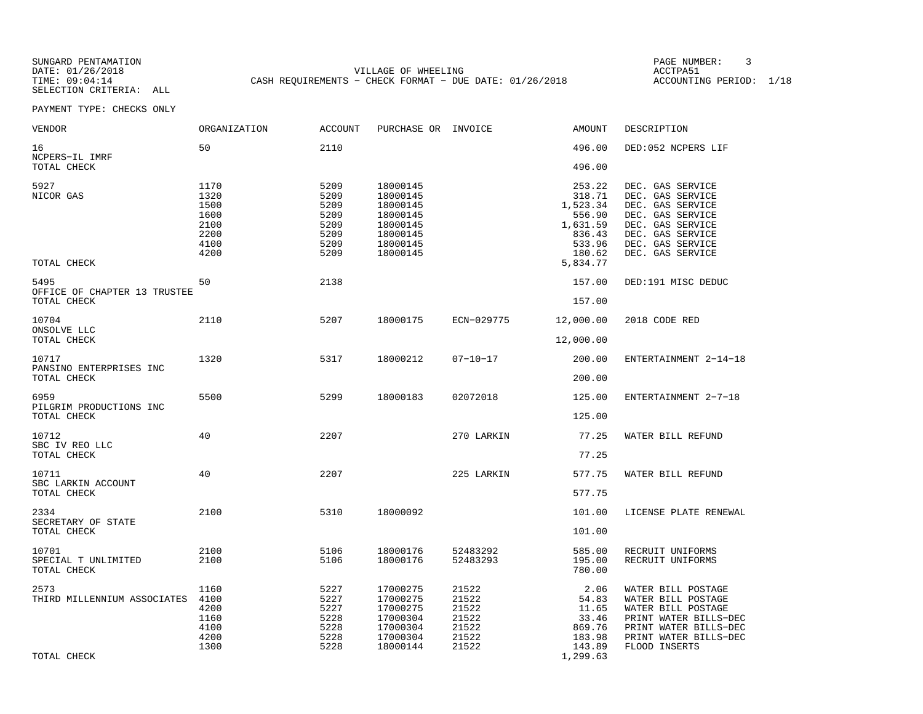SUNGARD PENTAMATION PAGE NUMBER: 3SELECTION CRITERIA: ALL

VILLAGE OF WHEELING **ACCTPA51** TIME: 09:04:14 CASH REQUIREMENTS - CHECK FORMAT - DUE DATE: 01/26/2018

ACCOUNTING PERIOD: 1/18

| VENDOR                                             | ORGANIZATION                                                 | <b>ACCOUNT</b>                                               | PURCHASE OR INVOICE                                                                          |                                                             | AMOUNT                                                                                       | DESCRIPTION                                                                                                                                                  |
|----------------------------------------------------|--------------------------------------------------------------|--------------------------------------------------------------|----------------------------------------------------------------------------------------------|-------------------------------------------------------------|----------------------------------------------------------------------------------------------|--------------------------------------------------------------------------------------------------------------------------------------------------------------|
| 16<br>NCPERS-IL IMRF                               | 50                                                           | 2110                                                         |                                                                                              |                                                             | 496.00                                                                                       | DED:052 NCPERS LIF                                                                                                                                           |
| TOTAL CHECK                                        |                                                              |                                                              |                                                                                              |                                                             | 496.00                                                                                       |                                                                                                                                                              |
| 5927<br>NICOR GAS<br>TOTAL CHECK                   | 1170<br>1320<br>1500<br>1600<br>2100<br>2200<br>4100<br>4200 | 5209<br>5209<br>5209<br>5209<br>5209<br>5209<br>5209<br>5209 | 18000145<br>18000145<br>18000145<br>18000145<br>18000145<br>18000145<br>18000145<br>18000145 |                                                             | 253.22<br>318.71<br>1,523.34<br>556.90<br>1,631.59<br>836.43<br>533.96<br>180.62<br>5,834.77 | DEC. GAS SERVICE<br>DEC. GAS SERVICE<br>DEC. GAS SERVICE<br>DEC. GAS SERVICE<br>DEC. GAS SERVICE<br>DEC. GAS SERVICE<br>DEC. GAS SERVICE<br>DEC. GAS SERVICE |
| 5495<br>OFFICE OF CHAPTER 13 TRUSTEE               | 50                                                           | 2138                                                         |                                                                                              |                                                             | 157.00                                                                                       | DED:191 MISC DEDUC                                                                                                                                           |
| TOTAL CHECK                                        |                                                              |                                                              |                                                                                              |                                                             | 157.00                                                                                       |                                                                                                                                                              |
| 10704<br>ONSOLVE LLC                               | 2110                                                         | 5207                                                         | 18000175                                                                                     | ECN-029775                                                  | 12,000.00                                                                                    | 2018 CODE RED                                                                                                                                                |
| TOTAL CHECK                                        |                                                              |                                                              |                                                                                              |                                                             | 12,000.00                                                                                    |                                                                                                                                                              |
| 10717<br>PANSINO ENTERPRISES INC<br>TOTAL CHECK    | 1320                                                         | 5317                                                         | 18000212                                                                                     | $07 - 10 - 17$                                              | 200.00<br>200.00                                                                             | ENTERTAINMENT 2-14-18                                                                                                                                        |
| 6959<br>PILGRIM PRODUCTIONS INC<br>TOTAL CHECK     | 5500                                                         | 5299                                                         | 18000183                                                                                     | 02072018                                                    | 125.00<br>125.00                                                                             | ENTERTAINMENT 2-7-18                                                                                                                                         |
| 10712<br>SBC IV REO LLC<br>TOTAL CHECK             | 40                                                           | 2207                                                         |                                                                                              | 270 LARKIN                                                  | 77.25<br>77.25                                                                               | WATER BILL REFUND                                                                                                                                            |
| 10711<br>SBC LARKIN ACCOUNT<br>TOTAL CHECK         | 40                                                           | 2207                                                         |                                                                                              | 225 LARKIN                                                  | 577.75<br>577.75                                                                             | WATER BILL REFUND                                                                                                                                            |
|                                                    |                                                              |                                                              |                                                                                              |                                                             |                                                                                              |                                                                                                                                                              |
| 2334<br>SECRETARY OF STATE<br>TOTAL CHECK          | 2100                                                         | 5310                                                         | 18000092                                                                                     |                                                             | 101.00<br>101.00                                                                             | LICENSE PLATE RENEWAL                                                                                                                                        |
| 10701<br>SPECIAL T UNLIMITED<br>TOTAL CHECK        | 2100<br>2100                                                 | 5106<br>5106                                                 | 18000176<br>18000176                                                                         | 52483292<br>52483293                                        | 585.00<br>195.00<br>780.00                                                                   | RECRUIT UNIFORMS<br>RECRUIT UNIFORMS                                                                                                                         |
| 2573<br>THIRD MILLENNIUM ASSOCIATES<br>TOTAL CHECK | 1160<br>4100<br>4200<br>1160<br>4100<br>4200<br>1300         | 5227<br>5227<br>5227<br>5228<br>5228<br>5228<br>5228         | 17000275<br>17000275<br>17000275<br>17000304<br>17000304<br>17000304<br>18000144             | 21522<br>21522<br>21522<br>21522<br>21522<br>21522<br>21522 | 2.06<br>54.83<br>11.65<br>33.46<br>869.76<br>183.98<br>143.89<br>1,299.63                    | WATER BILL POSTAGE<br>WATER BILL POSTAGE<br>WATER BILL POSTAGE<br>PRINT WATER BILLS-DEC<br>PRINT WATER BILLS-DEC<br>PRINT WATER BILLS-DEC<br>FLOOD INSERTS   |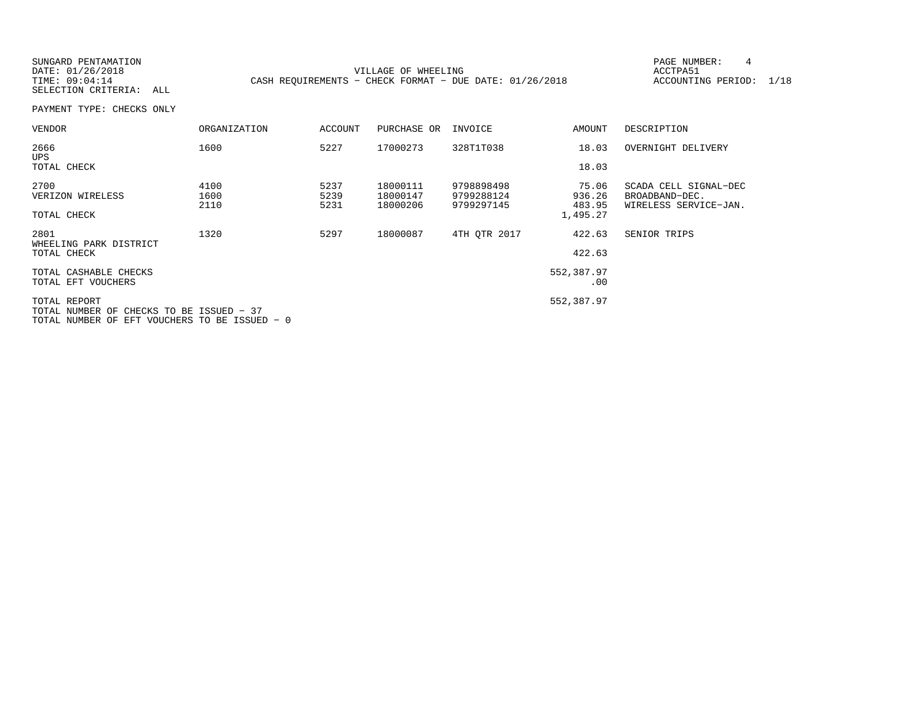SELECTION CRITERIA: ALL

SUNGARD PENTAMATION PAGE NUMBER: 4VILLAGE OF WHEELING **ACCTPA51** TIME: 09:04:14 CASH REQUIREMENTS - CHECK FORMAT - DUE DATE: 01/26/2018

ACCOUNTING PERIOD: 1/18

| <b>VENDOR</b>                                                                                             | <b>ORGANIZATION</b>  | ACCOUNT              | PURCHASE OR                      | INVOICE                                | AMOUNT                                | DESCRIPTION                                                      |
|-----------------------------------------------------------------------------------------------------------|----------------------|----------------------|----------------------------------|----------------------------------------|---------------------------------------|------------------------------------------------------------------|
| 2666<br><b>UPS</b>                                                                                        | 1600                 | 5227                 | 17000273                         | 328T1T038                              | 18.03                                 | OVERNIGHT DELIVERY                                               |
| TOTAL CHECK                                                                                               |                      |                      |                                  |                                        | 18.03                                 |                                                                  |
| 2700<br>VERIZON WIRELESS<br>TOTAL CHECK                                                                   | 4100<br>1600<br>2110 | 5237<br>5239<br>5231 | 18000111<br>18000147<br>18000206 | 9798898498<br>9799288124<br>9799297145 | 75.06<br>936.26<br>483.95<br>1,495.27 | SCADA CELL SIGNAL-DEC<br>BROADBAND-DEC.<br>WIRELESS SERVICE-JAN. |
|                                                                                                           |                      |                      |                                  |                                        |                                       |                                                                  |
| 2801<br>WHEELING PARK DISTRICT<br>TOTAL CHECK                                                             | 1320                 | 5297                 | 18000087                         | 4TH OTR 2017                           | 422.63<br>422.63                      | SENIOR TRIPS                                                     |
| TOTAL CASHABLE CHECKS<br>TOTAL EFT VOUCHERS                                                               |                      |                      |                                  |                                        | 552,387.97<br>.00                     |                                                                  |
| TOTAL REPORT<br>TOTAL NUMBER OF CHECKS TO BE ISSUED - 37<br>TOTAL NUMBER OF EFT VOUCHERS TO BE ISSUED - 0 |                      |                      |                                  |                                        | 552,387.97                            |                                                                  |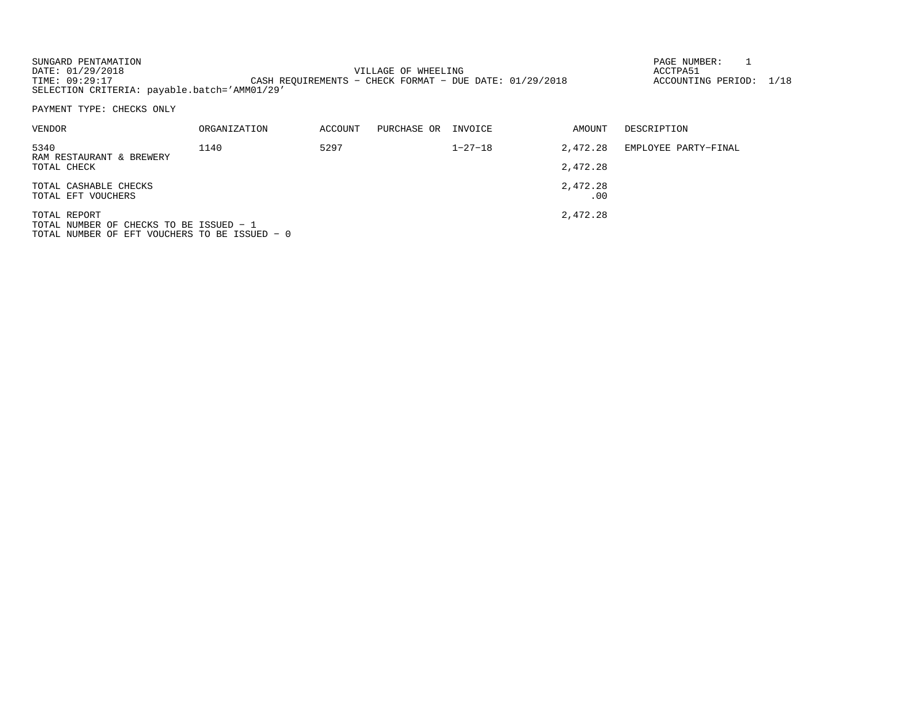| SUNGARD PENTAMATION                          |                                                           | PAGE NUMBER:            |  |
|----------------------------------------------|-----------------------------------------------------------|-------------------------|--|
| DATE: 01/29/2018                             | VILLAGE OF WHEELING                                       | ACCTPA51                |  |
| TIME: 09:29:17                               | CASH REOUIREMENTS - CHECK FORMAT - DUE DATE: $01/29/2018$ | ACCOUNTING PERIOD: 1/18 |  |
| SELECTION CRITERIA: payable.batch='AMM01/29' |                                                           |                         |  |

PAYMENT TYPE: CHECKS ONLY

| VENDOR                                                                | ORGANIZATION | <b>ACCOUNT</b> | PURCHASE OR | INVOICE       | AMOUNT          | DESCRIPTION          |
|-----------------------------------------------------------------------|--------------|----------------|-------------|---------------|-----------------|----------------------|
| 5340                                                                  | 1140         | 5297           |             | $1 - 27 - 18$ | 2,472.28        | EMPLOYEE PARTY-FINAL |
| RAM RESTAURANT & BREWERY<br>TOTAL CHECK                               |              |                |             |               | 2,472.28        |                      |
| TOTAL CASHABLE CHECKS<br>TOTAL EFT VOUCHERS                           |              |                |             |               | 2,472.28<br>.00 |                      |
| TOTAL REPORT<br><sup>1</sup> חסונוסט הם מה משמחוות הם חסונווות וגפמים |              |                |             |               | 2,472.28        |                      |

TOTAL NUMBER OF CHECKS TO BE ISSUED − 1 TOTAL NUMBER OF EFT VOUCHERS TO BE ISSUED − 0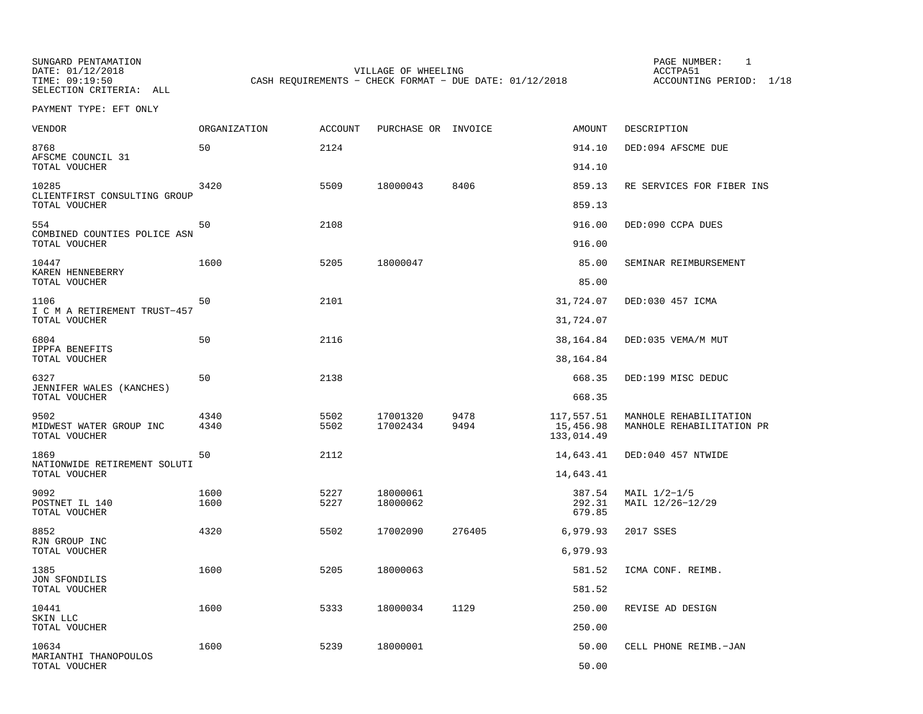SUNGARD PENTAMATION PAGE NUMBER: 1SELECTION CRITERIA: ALL

VILLAGE OF WHEELING **ACCTPA51** TIME: 09:19:50 CASH REQUIREMENTS - CHECK FORMAT - DUE DATE: 01/12/2018

PAYMENT TYPE: EFT ONLY

| VENDOR                                                 | ORGANIZATION | ACCOUNT      | PURCHASE OR INVOICE  |              | <b>AMOUNT</b>                         | DESCRIPTION                                         |
|--------------------------------------------------------|--------------|--------------|----------------------|--------------|---------------------------------------|-----------------------------------------------------|
| 8768<br>AFSCME COUNCIL 31                              | 50           | 2124         |                      |              | 914.10                                | DED:094 AFSCME DUE                                  |
| TOTAL VOUCHER                                          |              |              |                      |              | 914.10                                |                                                     |
| 10285<br>CLIENTFIRST CONSULTING GROUP<br>TOTAL VOUCHER | 3420         | 5509         | 18000043             | 8406         | 859.13<br>859.13                      | RE SERVICES FOR FIBER INS                           |
|                                                        |              |              |                      |              |                                       |                                                     |
| 554<br>COMBINED COUNTIES POLICE ASN<br>TOTAL VOUCHER   | 50           | 2108         |                      |              | 916.00<br>916.00                      | DED:090 CCPA DUES                                   |
|                                                        |              |              |                      |              |                                       |                                                     |
| 10447<br>KAREN HENNEBERRY<br>TOTAL VOUCHER             | 1600         | 5205         | 18000047             |              | 85.00<br>85.00                        | SEMINAR REIMBURSEMENT                               |
| 1106                                                   | 50           | 2101         |                      |              | 31,724.07                             | DED:030 457 ICMA                                    |
| I C M A RETIREMENT TRUST-457<br>TOTAL VOUCHER          |              |              |                      |              | 31,724.07                             |                                                     |
| 6804                                                   | 50           | 2116         |                      |              | 38,164.84                             | DED: 035 VEMA/M MUT                                 |
| <b>IPPFA BENEFITS</b><br>TOTAL VOUCHER                 |              |              |                      |              | 38,164.84                             |                                                     |
| 6327<br>JENNIFER WALES (KANCHES)                       | 50           | 2138         |                      |              | 668.35                                | DED:199 MISC DEDUC                                  |
| TOTAL VOUCHER                                          |              |              |                      |              | 668.35                                |                                                     |
| 9502<br>MIDWEST WATER GROUP INC<br>TOTAL VOUCHER       | 4340<br>4340 | 5502<br>5502 | 17001320<br>17002434 | 9478<br>9494 | 117,557.51<br>15,456.98<br>133,014.49 | MANHOLE REHABILITATION<br>MANHOLE REHABILITATION PR |
| 1869                                                   | 50           | 2112         |                      |              | 14,643.41                             | DED:040 457 NTWIDE                                  |
| NATIONWIDE RETIREMENT SOLUTI<br>TOTAL VOUCHER          |              |              |                      |              | 14,643.41                             |                                                     |
| 9092<br>POSTNET IL 140<br>TOTAL VOUCHER                | 1600<br>1600 | 5227<br>5227 | 18000061<br>18000062 |              | 387.54<br>292.31<br>679.85            | MAIL $1/2-1/5$<br>MAIL 12/26-12/29                  |
| 8852                                                   | 4320         | 5502         | 17002090             | 276405       | 6,979.93                              | 2017 SSES                                           |
| RJN GROUP INC<br>TOTAL VOUCHER                         |              |              |                      |              | 6,979.93                              |                                                     |
| 1385                                                   | 1600         | 5205         | 18000063             |              | 581.52                                | ICMA CONF. REIMB.                                   |
| JON SFONDILIS<br>TOTAL VOUCHER                         |              |              |                      |              | 581.52                                |                                                     |
| 10441<br>SKIN LLC                                      | 1600         | 5333         | 18000034             | 1129         | 250.00                                | REVISE AD DESIGN                                    |
| TOTAL VOUCHER                                          |              |              |                      |              | 250.00                                |                                                     |
| 10634<br>MARIANTHI THANOPOULOS                         | 1600         | 5239         | 18000001             |              | 50.00                                 | CELL PHONE REIMB.-JAN                               |
| TOTAL VOUCHER                                          |              |              |                      |              | 50.00                                 |                                                     |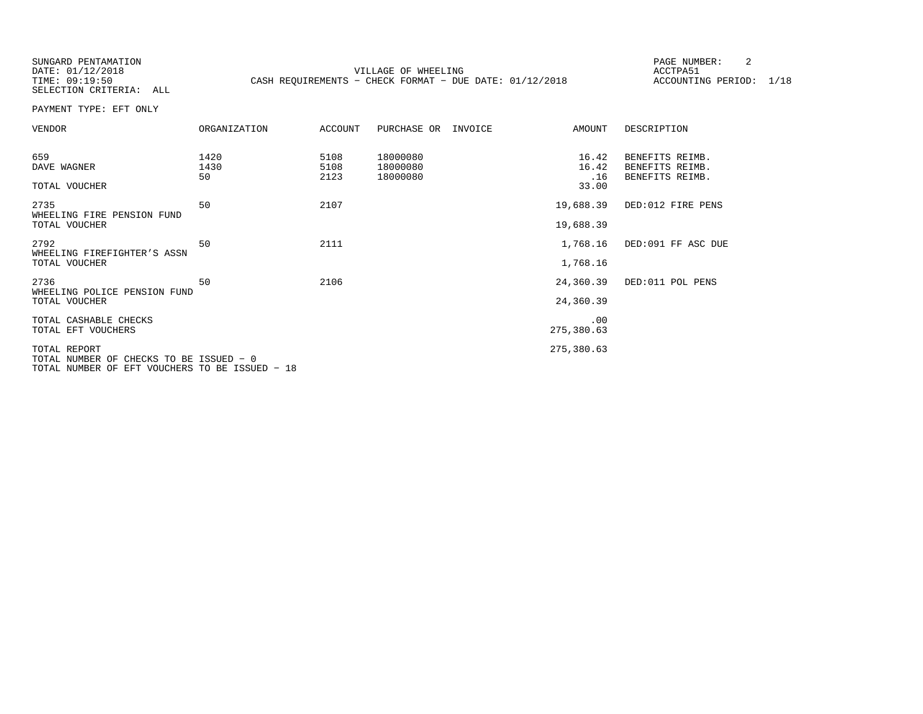SUNGARD PENTAMATION PAGE NUMBER: 2SELECTION CRITERIA: ALL

DATE:  $01/12/2018$  ACCTPA51 TIME: 09:19:50 CASH REQUIREMENTS - CHECK FORMAT - DUE DATE: 01/12/2018

ACCOUNTING PERIOD: 1/18

PAYMENT TYPE: EFT ONLY

| <b>VENDOR</b>                                           | ORGANIZATION       | ACCOUNT              | PURCHASE OR                      | INVOICE | AMOUNT                         | DESCRIPTION                                           |
|---------------------------------------------------------|--------------------|----------------------|----------------------------------|---------|--------------------------------|-------------------------------------------------------|
| 659<br>DAVE WAGNER<br>TOTAL VOUCHER                     | 1420<br>1430<br>50 | 5108<br>5108<br>2123 | 18000080<br>18000080<br>18000080 |         | 16.42<br>16.42<br>.16<br>33.00 | BENEFITS REIMB.<br>BENEFITS REIMB.<br>BENEFITS REIMB. |
| 2735<br>WHEELING FIRE PENSION FUND<br>TOTAL VOUCHER     | 50                 | 2107                 |                                  |         | 19,688.39<br>19,688.39         | DED:012 FIRE PENS                                     |
| 2792<br>WHEELING FIREFIGHTER'S ASSN<br>TOTAL VOUCHER    | 50                 | 2111                 |                                  |         | 1,768.16<br>1,768.16           | DED:091 FF ASC DUE                                    |
| 2736<br>WHEELING POLICE PENSION FUND<br>TOTAL VOUCHER   | 50                 | 2106                 |                                  |         | 24,360.39<br>24,360.39         | DED:011 POL PENS                                      |
| TOTAL CASHABLE CHECKS<br>TOTAL EFT VOUCHERS             |                    |                      |                                  |         | .00<br>275,380.63              |                                                       |
| TOTAL REPORT<br>TOTAL NUMBER OF CHECKS TO BE ISSUED - 0 |                    |                      |                                  |         | 275,380.63                     |                                                       |

TOTAL NUMBER OF EFT VOUCHERS TO BE ISSUED − 18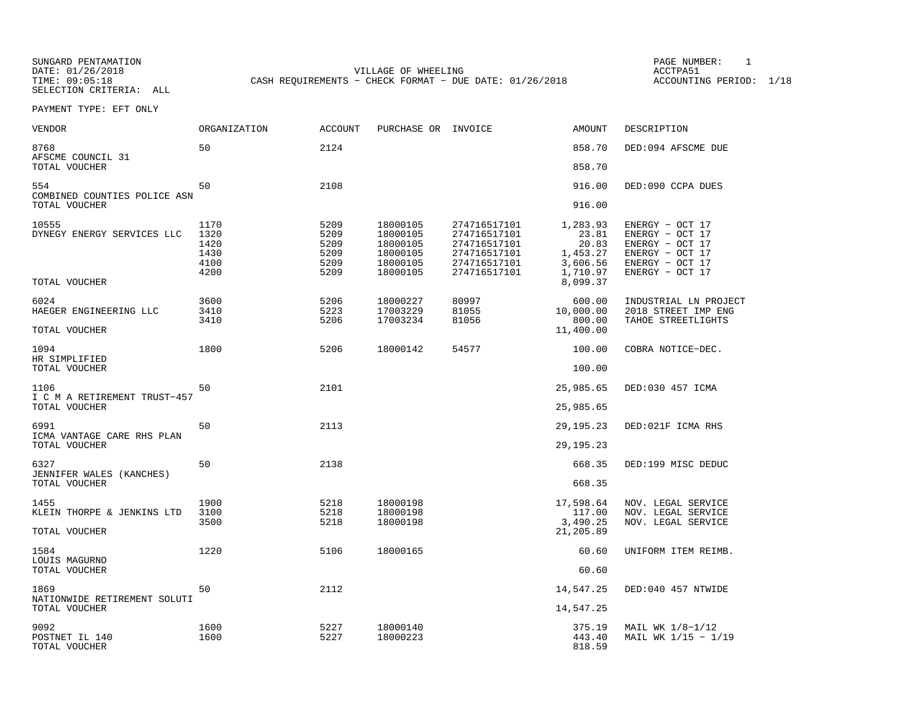SUNGARD PENTAMATION PAGE NUMBER: 1

DATE:  $01/26/2018$  ACCTPA51 TIME: 09:05:18 CASH REQUIREMENTS - CHECK FORMAT - DUE DATE: 01/26/2018

ACCOUNTING PERIOD: 1/18

SELECTION CRITERIA: ALLPAYMENT TYPE: EFT ONLY

| VENDOR                                  | ORGANIZATION                                 | <b>ACCOUNT</b>                               | PURCHASE OR                                                          | INVOICE                                                                                      | <b>AMOUNT</b>                                                  | DESCRIPTION                                                                                                    |
|-----------------------------------------|----------------------------------------------|----------------------------------------------|----------------------------------------------------------------------|----------------------------------------------------------------------------------------------|----------------------------------------------------------------|----------------------------------------------------------------------------------------------------------------|
| 8768<br>AFSCME COUNCIL 31               | 50                                           | 2124                                         |                                                                      |                                                                                              | 858.70                                                         | DED:094 AFSCME DUE                                                                                             |
| TOTAL VOUCHER                           |                                              |                                              |                                                                      |                                                                                              | 858.70                                                         |                                                                                                                |
| 554<br>COMBINED COUNTIES POLICE ASN     | 50                                           | 2108                                         |                                                                      |                                                                                              | 916.00                                                         | DED:090 CCPA DUES                                                                                              |
| TOTAL VOUCHER                           |                                              |                                              |                                                                      |                                                                                              | 916.00                                                         |                                                                                                                |
| 10555<br>DYNEGY ENERGY SERVICES LLC     | 1170<br>1320<br>1420<br>1430<br>4100<br>4200 | 5209<br>5209<br>5209<br>5209<br>5209<br>5209 | 18000105<br>18000105<br>18000105<br>18000105<br>18000105<br>18000105 | 274716517101<br>274716517101<br>274716517101<br>274716517101<br>274716517101<br>274716517101 | 1,283.93<br>23.81<br>20.83<br>1,453.27<br>3,606.56<br>1,710.97 | ENERGY - OCT 17<br>ENERGY - OCT 17<br>ENERGY - OCT 17<br>ENERGY - OCT 17<br>ENERGY - OCT 17<br>ENERGY - OCT 17 |
| TOTAL VOUCHER                           |                                              |                                              |                                                                      |                                                                                              | 8,099.37                                                       |                                                                                                                |
| 6024<br>HAEGER ENGINEERING LLC          | 3600<br>3410<br>3410                         | 5206<br>5223<br>5206                         | 18000227<br>17003229<br>17003234                                     | 80997<br>81055<br>81056                                                                      | 600.00<br>10,000.00<br>800.00                                  | INDUSTRIAL LN PROJECT<br>2018 STREET IMP ENG<br>TAHOE STREETLIGHTS                                             |
| TOTAL VOUCHER                           |                                              |                                              |                                                                      |                                                                                              | 11,400.00                                                      |                                                                                                                |
| 1094<br>HR SIMPLIFIED                   | 1800                                         | 5206                                         | 18000142                                                             | 54577                                                                                        | 100.00                                                         | COBRA NOTICE-DEC.                                                                                              |
| TOTAL VOUCHER                           |                                              |                                              |                                                                      |                                                                                              | 100.00                                                         |                                                                                                                |
| 1106<br>I C M A RETIREMENT TRUST-457    | 50                                           | 2101                                         |                                                                      |                                                                                              | 25,985.65                                                      | DED:030 457 ICMA                                                                                               |
| TOTAL VOUCHER                           |                                              |                                              |                                                                      |                                                                                              | 25,985.65                                                      |                                                                                                                |
| 6991<br>ICMA VANTAGE CARE RHS PLAN      | 50                                           | 2113                                         |                                                                      |                                                                                              | 29, 195. 23                                                    | DED:021F ICMA RHS                                                                                              |
| TOTAL VOUCHER                           |                                              |                                              |                                                                      |                                                                                              | 29, 195. 23                                                    |                                                                                                                |
| 6327<br>JENNIFER WALES (KANCHES)        | 50                                           | 2138                                         |                                                                      |                                                                                              | 668.35                                                         | DED:199 MISC DEDUC                                                                                             |
| TOTAL VOUCHER                           |                                              |                                              |                                                                      |                                                                                              | 668.35                                                         |                                                                                                                |
| 1455<br>KLEIN THORPE & JENKINS LTD      | 1900<br>3100                                 | 5218<br>5218                                 | 18000198<br>18000198                                                 |                                                                                              | 17,598.64<br>117.00                                            | NOV. LEGAL SERVICE<br>NOV. LEGAL SERVICE                                                                       |
| TOTAL VOUCHER                           | 3500                                         | 5218                                         | 18000198                                                             |                                                                                              | 3,490.25<br>21,205.89                                          | NOV. LEGAL SERVICE                                                                                             |
| 1584<br>LOUIS MAGURNO                   | 1220                                         | 5106                                         | 18000165                                                             |                                                                                              | 60.60                                                          | UNIFORM ITEM REIMB.                                                                                            |
| TOTAL VOUCHER                           |                                              |                                              |                                                                      |                                                                                              | 60.60                                                          |                                                                                                                |
| 1869<br>NATIONWIDE RETIREMENT SOLUTI    | 50                                           | 2112                                         |                                                                      |                                                                                              | 14,547.25                                                      | DED:040 457 NTWIDE                                                                                             |
| TOTAL VOUCHER                           |                                              |                                              |                                                                      |                                                                                              | 14,547.25                                                      |                                                                                                                |
| 9092<br>POSTNET IL 140<br>TOTAL VOUCHER | 1600<br>1600                                 | 5227<br>5227                                 | 18000140<br>18000223                                                 |                                                                                              | 375.19<br>443.40<br>818.59                                     | MAIL WK 1/8-1/12<br>MAIL WK 1/15 - 1/19                                                                        |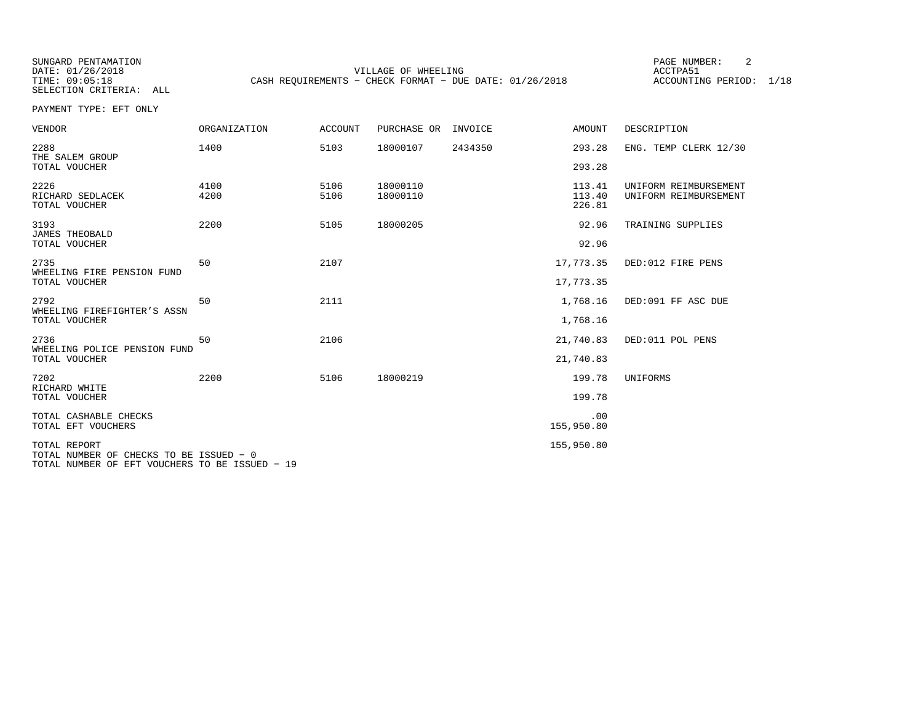SELECTION CRITERIA: ALL

SUNGARD PENTAMATION PAGE NUMBER: 2VILLAGE OF WHEELING **ACCTPA51** TIME: 09:05:18 CASH REQUIREMENTS - CHECK FORMAT - DUE DATE: 01/26/2018

ACCOUNTING PERIOD: 1/18

PAYMENT TYPE: EFT ONLY

| <b>VENDOR</b>                                                                             | <b>ORGANIZATION</b> | <b>ACCOUNT</b> | PURCHASE OR | INVOICE | <b>AMOUNT</b>     | DESCRIPTION           |
|-------------------------------------------------------------------------------------------|---------------------|----------------|-------------|---------|-------------------|-----------------------|
| 2288<br>THE SALEM GROUP                                                                   | 1400                | 5103           | 18000107    | 2434350 | 293.28            | ENG. TEMP CLERK 12/30 |
| TOTAL VOUCHER                                                                             |                     |                |             |         | 293.28            |                       |
| 2226                                                                                      | 4100                | 5106           | 18000110    |         | 113.41            | UNIFORM REIMBURSEMENT |
| RICHARD SEDLACEK<br>TOTAL VOUCHER                                                         | 4200                | 5106           | 18000110    |         | 113.40<br>226.81  | UNIFORM REIMBURSEMENT |
| 3193                                                                                      | 2200                | 5105           | 18000205    |         | 92.96             | TRAINING SUPPLIES     |
| <b>JAMES THEOBALD</b><br>TOTAL VOUCHER                                                    |                     |                |             |         | 92.96             |                       |
| 2735<br>WHEELING FIRE PENSION FUND                                                        | 50                  | 2107           |             |         | 17,773.35         | DED:012 FIRE PENS     |
| TOTAL VOUCHER                                                                             |                     |                |             |         | 17,773.35         |                       |
| 2792<br>WHEELING FIREFIGHTER'S ASSN                                                       | 50                  | 2111           |             |         | 1,768.16          | DED:091 FF ASC DUE    |
| TOTAL VOUCHER                                                                             |                     |                |             |         | 1,768.16          |                       |
| 2736<br>WHEELING POLICE PENSION FUND                                                      | 50                  | 2106           |             |         | 21,740.83         | DED:011 POL PENS      |
| TOTAL VOUCHER                                                                             |                     |                |             |         | 21,740.83         |                       |
| 7202<br>RICHARD WHITE                                                                     | 2200                | 5106           | 18000219    |         | 199.78            | UNIFORMS              |
| TOTAL VOUCHER                                                                             |                     |                |             |         | 199.78            |                       |
| TOTAL CASHABLE CHECKS<br>TOTAL EFT VOUCHERS                                               |                     |                |             |         | .00<br>155,950.80 |                       |
| TOTAL REPORT                                                                              |                     |                |             |         | 155,950.80        |                       |
| TOTAL NUMBER OF CHECKS TO BE ISSUED - 0<br>TOTAL NUMBER OF EFT VOUCHERS TO BE ISSUED - 19 |                     |                |             |         |                   |                       |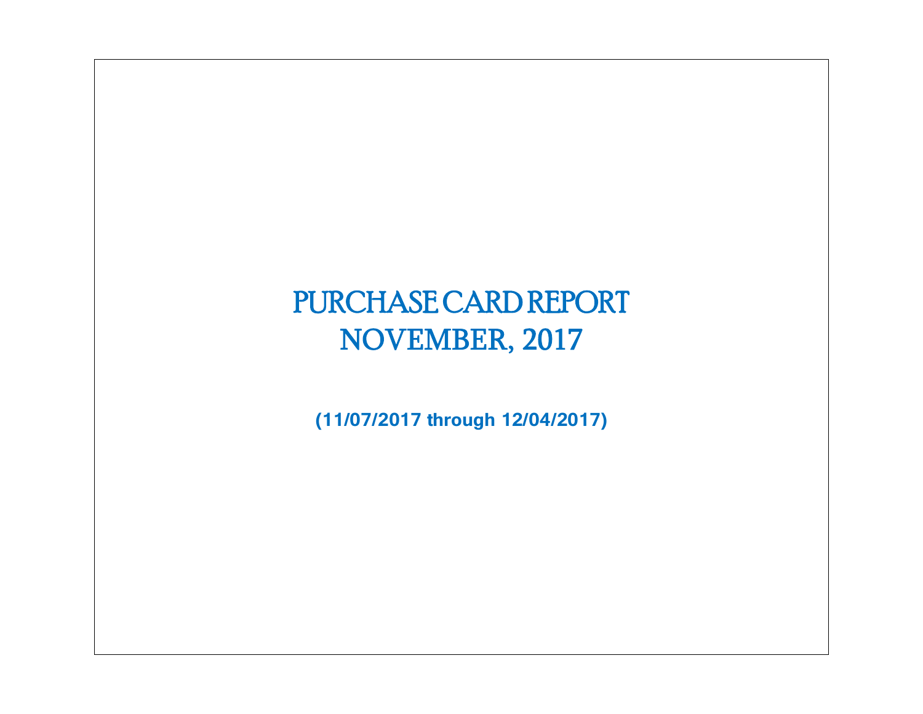# PURCHASE CARD REPORT NOVEMBER, 2017

**(11/07/2017 through 12/04/2017)**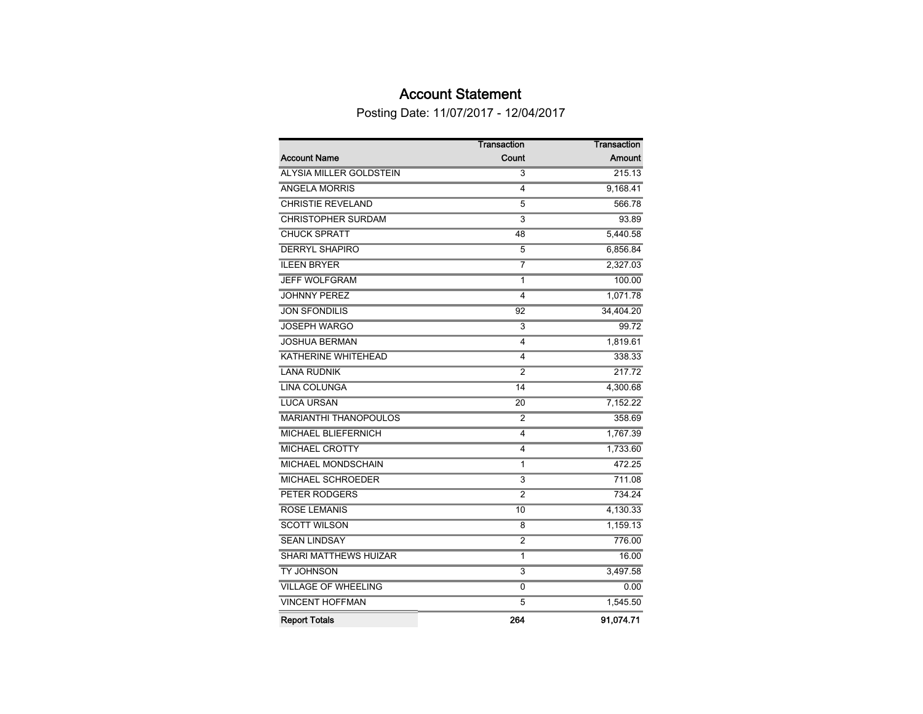# Account Statement

Posting Date: 11/07/2017 - 12/04/2017

|                              | <b>Transaction</b>      | <b>Transaction</b> |
|------------------------------|-------------------------|--------------------|
| <b>Account Name</b>          | Count                   | Amount             |
| ALYSIA MILLER GOLDSTEIN      | 3                       | 215.13             |
| <b>ANGELA MORRIS</b>         | 4                       | 9,168.41           |
| <b>CHRISTIE REVELAND</b>     | 5                       | 566.78             |
| <b>CHRISTOPHER SURDAM</b>    | $\overline{\mathbf{3}}$ | 93.89              |
| <b>CHUCK SPRATT</b>          | 48                      | 5,440.58           |
| <b>DERRYL SHAPIRO</b>        | 5                       | 6,856.84           |
| <b>ILEEN BRYER</b>           | 7                       | 2,327.03           |
| <b>JEFF WOLFGRAM</b>         | 1                       | 100.00             |
| <b>JOHNNY PEREZ</b>          | 4                       | 1,071.78           |
| <b>JON SFONDILIS</b>         | 92                      | 34,404.20          |
| <b>JOSEPH WARGO</b>          | 3                       | 99.72              |
| <b>JOSHUA BERMAN</b>         | 4                       | 1,819.61           |
| <b>KATHERINE WHITEHEAD</b>   | 4                       | 338.33             |
| <b>LANA RUDNIK</b>           | 2                       | 217.72             |
| <b>LINA COLUNGA</b>          | 14                      | 4,300.68           |
| <b>LUCA URSAN</b>            | 20                      | 7,152.22           |
| <b>MARIANTHI THANOPOULOS</b> | 2                       | 358.69             |
| MICHAEL BLIEFERNICH          | 4                       | 1,767.39           |
| <b>MICHAEL CROTTY</b>        | 4                       | 1,733.60           |
| MICHAEL MONDSCHAIN           | 1                       | 472.25             |
| MICHAEL SCHROEDER            | $\overline{3}$          | 711.08             |
| <b>PETER RODGERS</b>         | $\overline{2}$          | 734.24             |
| <b>ROSE LEMANIS</b>          | 10                      | 4,130.33           |
| <b>SCOTT WILSON</b>          | 8                       | 1,159.13           |
| <b>SEAN LINDSAY</b>          | 2                       | 776.00             |
| <b>SHARI MATTHEWS HUIZAR</b> | 1                       | 16.00              |
| <b>TY JOHNSON</b>            | $\overline{3}$          | 3,497.58           |
| <b>VILLAGE OF WHEELING</b>   | 0                       | 0.00               |
| <b>VINCENT HOFFMAN</b>       | 5                       | 1,545.50           |
| <b>Report Totals</b>         | 264                     | 91.074.71          |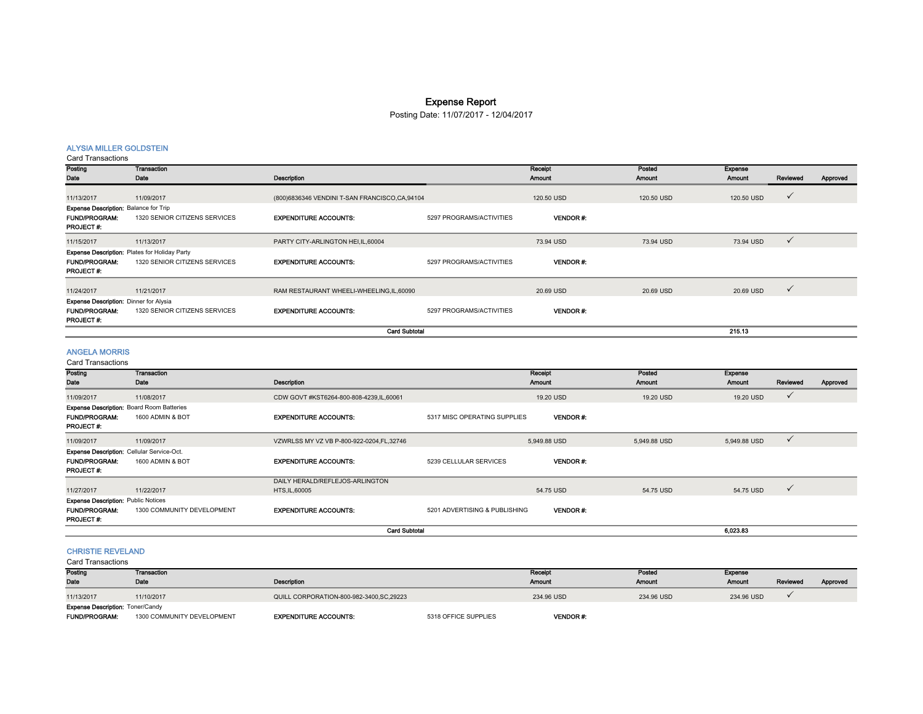# Expense Report

Posting Date: 11/07/2017 - 12/04/2017

# ALYSIA MILLER GOLDSTEIN

Card Transactions

| Posting                                              | Transaction                   |                                               |                          | Receipt          | Posted     | <b>Expense</b> |              |          |
|------------------------------------------------------|-------------------------------|-----------------------------------------------|--------------------------|------------------|------------|----------------|--------------|----------|
| Date                                                 | Date                          | <b>Description</b>                            |                          | <b>Amount</b>    | Amount     | Amount         | Reviewed     | Approved |
|                                                      |                               |                                               |                          |                  |            |                |              |          |
| 11/13/2017                                           | 11/09/2017                    | (800)6836346 VENDINI T-SAN FRANCISCO,CA,94104 |                          | 120.50 USD       | 120.50 USD | 120.50 USD     | $\checkmark$ |          |
| <b>Expense Description: Balance for Trip</b>         |                               |                                               |                          |                  |            |                |              |          |
| <b>FUND/PROGRAM:</b>                                 | 1320 SENIOR CITIZENS SERVICES | <b>EXPENDITURE ACCOUNTS:</b>                  | 5297 PROGRAMS/ACTIVITIES | <b>VENDOR #:</b> |            |                |              |          |
| PROJECT #:                                           |                               |                                               |                          |                  |            |                |              |          |
| 11/15/2017                                           | 11/13/2017                    | PARTY CITY-ARLINGTON HEI, IL, 60004           |                          | 73.94 USD        | 73.94 USD  | 73.94 USD      | $\checkmark$ |          |
| <b>Expense Description: Plates for Holiday Party</b> |                               |                                               |                          |                  |            |                |              |          |
| <b>FUND/PROGRAM:</b>                                 | 1320 SENIOR CITIZENS SERVICES | <b>EXPENDITURE ACCOUNTS:</b>                  | 5297 PROGRAMS/ACTIVITIES | <b>VENDOR#:</b>  |            |                |              |          |
| <b>PROJECT#:</b>                                     |                               |                                               |                          |                  |            |                |              |          |
|                                                      |                               |                                               |                          |                  |            |                |              |          |
| 11/24/2017                                           | 11/21/2017                    | RAM RESTAURANT WHEELI-WHEELING, IL, 60090     |                          | 20.69 USD        | 20.69 USD  | 20.69 USD      | $\checkmark$ |          |
| <b>Expense Description: Dinner for Alysia</b>        |                               |                                               |                          |                  |            |                |              |          |
| <b>FUND/PROGRAM:</b>                                 | 1320 SENIOR CITIZENS SERVICES | <b>EXPENDITURE ACCOUNTS:</b>                  | 5297 PROGRAMS/ACTIVITIES | <b>VENDOR#:</b>  |            |                |              |          |
| <b>PROJECT#:</b>                                     |                               |                                               |                          |                  |            |                |              |          |
|                                                      |                               | <b>Card Subtotal</b>                          |                          |                  |            | 215.13         |              |          |
|                                                      |                               |                                               |                          |                  |            |                |              |          |
| <b>ANGELA MORRIS</b>                                 |                               |                                               |                          |                  |            |                |              |          |

Card Transactions

| oura manoaouono                                  |                            |                                            |                               |                 |              |                |              |          |
|--------------------------------------------------|----------------------------|--------------------------------------------|-------------------------------|-----------------|--------------|----------------|--------------|----------|
| Posting                                          | <b>Transaction</b>         |                                            |                               | Receipt         | Posted       | <b>Expense</b> |              |          |
| Date                                             | Date                       | Description                                |                               | Amount          | Amount       | <b>Amount</b>  | Reviewed     | Approved |
| 11/09/2017                                       | 11/08/2017                 | CDW GOVT #KST6264-800-808-4239,IL,60061    |                               | 19.20 USD       | 19.20 USD    | 19.20 USD      | $\checkmark$ |          |
| <b>Expense Description: Board Room Batteries</b> |                            |                                            |                               |                 |              |                |              |          |
| <b>FUND/PROGRAM:</b>                             | 1600 ADMIN & BOT           | <b>EXPENDITURE ACCOUNTS:</b>               | 5317 MISC OPERATING SUPPLIES  | <b>VENDOR#:</b> |              |                |              |          |
| PROJECT #:                                       |                            |                                            |                               |                 |              |                |              |          |
| 11/09/2017                                       | 11/09/2017                 | VZWRLSS MY VZ VB P-800-922-0204, FL, 32746 |                               | 5,949.88 USD    | 5,949.88 USD | 5,949.88 USD   | $\checkmark$ |          |
| Expense Description: Cellular Service-Oct.       |                            |                                            |                               |                 |              |                |              |          |
| <b>FUND/PROGRAM:</b>                             | 1600 ADMIN & BOT           | <b>EXPENDITURE ACCOUNTS:</b>               | 5239 CELLULAR SERVICES        | <b>VENDOR#:</b> |              |                |              |          |
| PROJECT #:                                       |                            |                                            |                               |                 |              |                |              |          |
|                                                  |                            | DAILY HERALD/REFLEJOS-ARLINGTON            |                               |                 |              |                |              |          |
| 11/27/2017                                       | 11/22/2017                 | HTS, IL, 60005                             |                               | 54.75 USD       | 54.75 USD    | 54.75 USD      | $\checkmark$ |          |
| <b>Expense Description: Public Notices</b>       |                            |                                            |                               |                 |              |                |              |          |
| <b>FUND/PROGRAM:</b>                             | 1300 COMMUNITY DEVELOPMENT | <b>EXPENDITURE ACCOUNTS:</b>               | 5201 ADVERTISING & PUBLISHING | <b>VENDOR#:</b> |              |                |              |          |
| PROJECT #:                                       |                            |                                            |                               |                 |              |                |              |          |
|                                                  |                            | <b>Card Subtotal</b>                       |                               |                 |              | 6,023.83       |              |          |

#### CHRISTIE REVELAND

Card Transactions

| Posting                                 | Transaction                |                                           |                      | Receipt         | Posted     | Expense       |          |          |
|-----------------------------------------|----------------------------|-------------------------------------------|----------------------|-----------------|------------|---------------|----------|----------|
| Date                                    | Date                       | <b>Description</b>                        |                      | Amount          | Amount     | <b>Amount</b> | Reviewed | Approved |
| 11/13/2017                              | 11/10/2017                 | QUILL CORPORATION-800-982-3400, SC, 29223 |                      | 234.96 USD      | 234.96 USD | 234.96 USD    |          |          |
| <b>Expense Description: Toner/Candy</b> |                            |                                           |                      |                 |            |               |          |          |
| <b>FUND/PROGRAM:</b>                    | 1300 COMMUNITY DEVELOPMENT | <b>EXPENDITURE ACCOUNTS:</b>              | 5318 OFFICE SUPPLIES | <b>VENDOR#:</b> |            |               |          |          |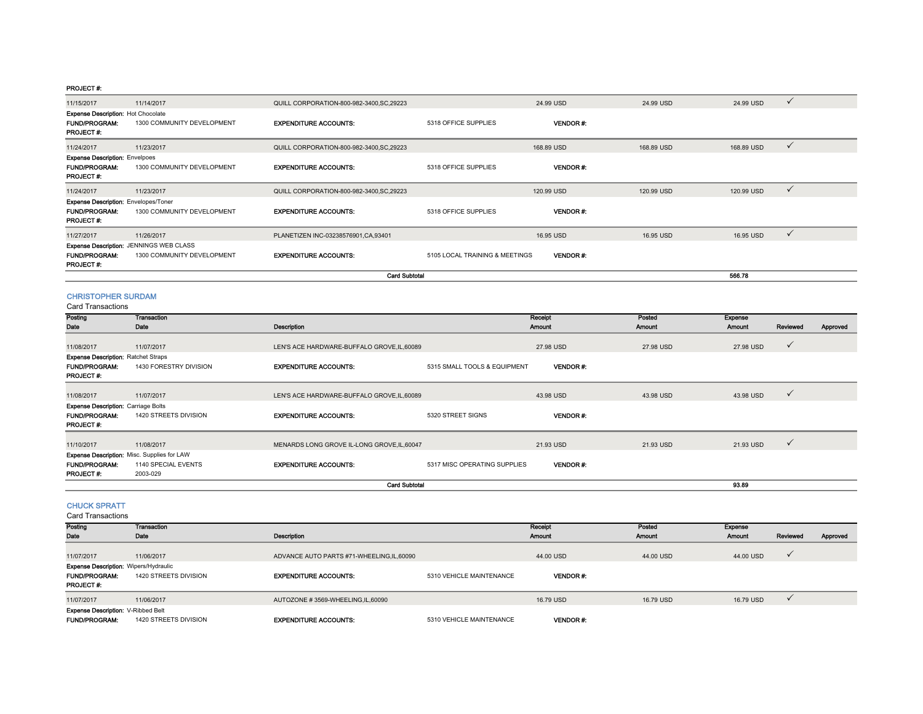| 11/15/2017                                                                            | 11/14/2017                                                                   | QUILL CORPORATION-800-982-3400, SC, 29223 |                                | 24.99 USD       | 24.99 USD  | 24.99 USD<br>$\checkmark$  |  |
|---------------------------------------------------------------------------------------|------------------------------------------------------------------------------|-------------------------------------------|--------------------------------|-----------------|------------|----------------------------|--|
| <b>Expense Description: Hot Chocolate</b><br><b>FUND/PROGRAM:</b><br><b>PROJECT#:</b> | 1300 COMMUNITY DEVELOPMENT                                                   | <b>EXPENDITURE ACCOUNTS:</b>              | 5318 OFFICE SUPPLIES           | <b>VENDOR#:</b> |            |                            |  |
| 11/24/2017                                                                            | 11/23/2017                                                                   | QUILL CORPORATION-800-982-3400, SC, 29223 |                                | 168.89 USD      | 168.89 USD | 168.89 USD<br>$\checkmark$ |  |
| <b>Expense Description: Envelpoes</b><br><b>FUND/PROGRAM:</b><br>PROJECT#:            | 1300 COMMUNITY DEVELOPMENT                                                   | <b>EXPENDITURE ACCOUNTS:</b>              | 5318 OFFICE SUPPLIES           | <b>VENDOR#:</b> |            |                            |  |
| 11/24/2017                                                                            | 11/23/2017                                                                   | QUILL CORPORATION-800-982-3400, SC, 29223 |                                | 120.99 USD      | 120.99 USD | $\checkmark$<br>120.99 USD |  |
| <b>Expense Description: Envelopes/Toner</b><br><b>FUND/PROGRAM:</b><br>PROJECT #:     | 1300 COMMUNITY DEVELOPMENT                                                   | <b>EXPENDITURE ACCOUNTS:</b>              | 5318 OFFICE SUPPLIES           | VENDOR#:        |            |                            |  |
| 11/27/2017                                                                            | 11/26/2017                                                                   | PLANETIZEN INC-03238576901, CA, 93401     |                                | 16.95 USD       | 16.95 USD  | $\checkmark$<br>16.95 USD  |  |
| <b>FUND/PROGRAM:</b><br><b>PROJECT#:</b>                                              | <b>Expense Description: JENNINGS WEB CLASS</b><br>1300 COMMUNITY DEVELOPMENT | <b>EXPENDITURE ACCOUNTS:</b>              | 5105 LOCAL TRAINING & MEETINGS | <b>VENDOR#:</b> |            |                            |  |
|                                                                                       |                                                                              |                                           |                                | 566.78          |            |                            |  |

# CHRISTOPHER SURDAM

Card Transactions

| Posting                                    | Transaction                                        |                                             |                              | Receipt         | Posted        | <b>Expense</b> |              |          |
|--------------------------------------------|----------------------------------------------------|---------------------------------------------|------------------------------|-----------------|---------------|----------------|--------------|----------|
| Date                                       | Date                                               | Description                                 |                              | <b>Amount</b>   | <b>Amount</b> | Amount         | Reviewed     | Approved |
|                                            |                                                    |                                             |                              |                 |               |                |              |          |
| 11/08/2017                                 | 11/07/2017                                         | LEN'S ACE HARDWARE-BUFFALO GROVE, IL, 60089 |                              | 27.98 USD       | 27.98 USD     | 27.98 USD      | $\checkmark$ |          |
| <b>Expense Description: Ratchet Straps</b> |                                                    |                                             |                              |                 |               |                |              |          |
| <b>FUND/PROGRAM:</b>                       | 1430 FORESTRY DIVISION                             | <b>EXPENDITURE ACCOUNTS:</b>                | 5315 SMALL TOOLS & EQUIPMENT | <b>VENDOR#:</b> |               |                |              |          |
| PROJECT#:                                  |                                                    |                                             |                              |                 |               |                |              |          |
|                                            |                                                    |                                             |                              |                 |               |                |              |          |
| 11/08/2017                                 | 11/07/2017                                         | LEN'S ACE HARDWARE-BUFFALO GROVE, IL, 60089 |                              | 43.98 USD       | 43.98 USD     | 43.98 USD      | $\checkmark$ |          |
| <b>Expense Description: Carriage Bolts</b> |                                                    |                                             |                              |                 |               |                |              |          |
| <b>FUND/PROGRAM:</b>                       | 1420 STREETS DIVISION                              | <b>EXPENDITURE ACCOUNTS:</b>                | 5320 STREET SIGNS            | <b>VENDOR#:</b> |               |                |              |          |
| <b>PROJECT#:</b>                           |                                                    |                                             |                              |                 |               |                |              |          |
|                                            |                                                    |                                             |                              |                 |               |                | $\checkmark$ |          |
| 11/10/2017                                 | 11/08/2017                                         | MENARDS LONG GROVE IL-LONG GROVE, IL, 60047 |                              | 21.93 USD       | 21.93 USD     | 21.93 USD      |              |          |
|                                            | <b>Expense Description: Misc. Supplies for LAW</b> |                                             |                              |                 |               |                |              |          |
| <b>FUND/PROGRAM:</b>                       | 1140 SPECIAL EVENTS                                | <b>EXPENDITURE ACCOUNTS:</b>                | 5317 MISC OPERATING SUPPLIES | <b>VENDOR#:</b> |               |                |              |          |
| PROJECT#:                                  | 2003-029                                           |                                             |                              |                 |               |                |              |          |
|                                            |                                                    | <b>Card Subtotal</b>                        |                              |                 |               | 93.89          |              |          |

## CHUCK SPRATT

Card Transactions

| Posting                                                                                  | <b>Transaction</b>    |                                          |                          | Receipt         | Posted    | <b>Exponse</b> |          |          |
|------------------------------------------------------------------------------------------|-----------------------|------------------------------------------|--------------------------|-----------------|-----------|----------------|----------|----------|
| Date                                                                                     | Date                  | <b>Description</b>                       |                          | Amount          | Amount    | <b>Amount</b>  | Reviewed | Approved |
| 11/07/2017                                                                               | 11/06/2017            | ADVANCE AUTO PARTS #71-WHEELING,IL,60090 |                          | 44.00 USD       | 44.00 USD | 44.00 USD      |          |          |
| <b>Expense Description: Wipers/Hydraulic</b><br><b>FUND/PROGRAM:</b><br><b>PROJECT#:</b> | 1420 STREETS DIVISION | <b>EXPENDITURE ACCOUNTS:</b>             | 5310 VEHICLE MAINTENANCE | <b>VENDOR#:</b> |           |                |          |          |
| 11/07/2017                                                                               | 11/06/2017            | AUTOZONE #3569-WHEELING,IL,60090         |                          | 16.79 USD       | 16.79 USD | 16.79 USD      |          |          |
| Expense Description: V-Ribbed Belt<br><b>FUND/PROGRAM:</b>                               | 1420 STREETS DIVISION | <b>EXPENDITURE ACCOUNTS:</b>             | 5310 VEHICLE MAINTENANCE | <b>VENDOR#:</b> |           |                |          |          |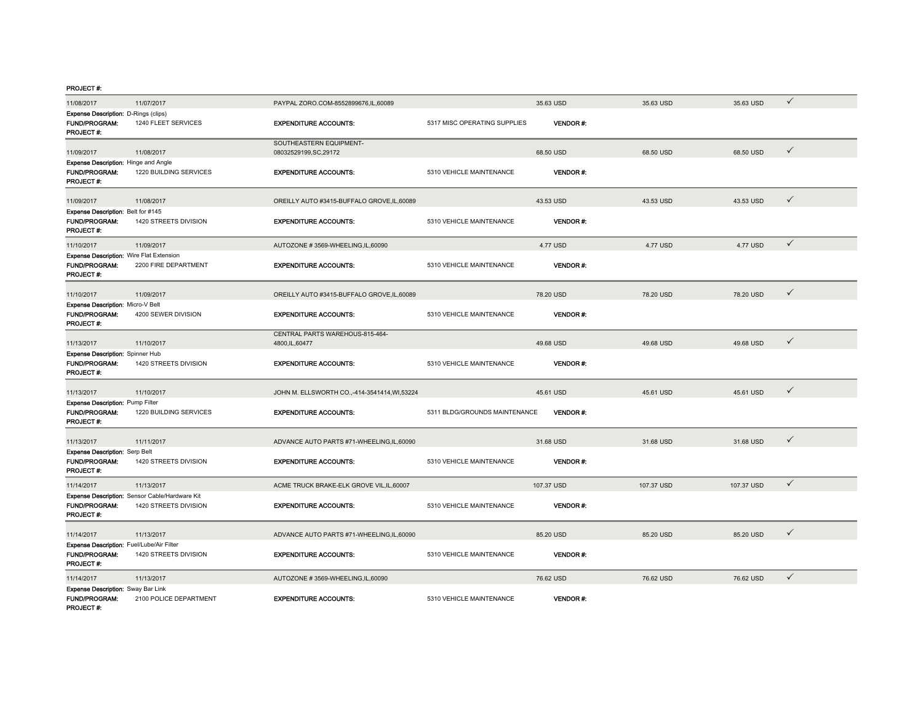| 11/08/2017                                                                     | 11/07/2017                                                              | PAYPAL ZORO.COM-8552899676.IL.60089                |                               | 35.63 USD       | 35.63 USD  | 35.63 USD  | $\checkmark$ |
|--------------------------------------------------------------------------------|-------------------------------------------------------------------------|----------------------------------------------------|-------------------------------|-----------------|------------|------------|--------------|
| Expense Description: D-Rings (clips)<br><b>FUND/PROGRAM:</b><br>PROJECT#:      | 1240 FLEET SERVICES                                                     | <b>EXPENDITURE ACCOUNTS:</b>                       | 5317 MISC OPERATING SUPPLIES  | <b>VENDOR#:</b> |            |            |              |
| 11/09/2017                                                                     | 11/08/2017                                                              | SOUTHEASTERN EQUIPMENT-<br>08032529199,SC,29172    |                               | 68.50 USD       | 68.50 USD  | 68.50 USD  | ✓            |
| Expense Description: Hinge and Angle<br><b>FUND/PROGRAM:</b><br>PROJECT#:      | 1220 BUILDING SERVICES                                                  | <b>EXPENDITURE ACCOUNTS:</b>                       | 5310 VEHICLE MAINTENANCE      | <b>VENDOR#:</b> |            |            |              |
| 11/09/2017                                                                     | 11/08/2017                                                              | OREILLY AUTO #3415-BUFFALO GROVE.IL.60089          |                               | 43.53 USD       | 43.53 USD  | 43.53 USD  | ✓            |
| Expense Description: Belt for #145<br><b>FUND/PROGRAM:</b><br><b>PROJECT#:</b> | 1420 STREETS DIVISION                                                   | <b>EXPENDITURE ACCOUNTS:</b>                       | 5310 VEHICLE MAINTENANCE      | <b>VENDOR#:</b> |            |            |              |
| 11/10/2017                                                                     | 11/09/2017                                                              | AUTOZONE #3569-WHEELING,IL,60090                   |                               | 4.77 USD        | 4.77 USD   | 4.77 USD   | $\checkmark$ |
| Expense Description: Wire Flat Extension<br><b>FUND/PROGRAM:</b><br>PROJECT#:  | 2200 FIRE DEPARTMENT                                                    | <b>EXPENDITURE ACCOUNTS:</b>                       | 5310 VEHICLE MAINTENANCE      | <b>VENDOR#:</b> |            |            |              |
| 11/10/2017                                                                     | 11/09/2017                                                              | OREILLY AUTO #3415-BUFFALO GROVE,IL,60089          |                               | 78.20 USD       | 78.20 USD  | 78.20 USD  | ✓            |
| Expense Description: Micro-V Belt<br><b>FUND/PROGRAM:</b><br>PROJECT#:         | 4200 SEWER DIVISION                                                     | <b>EXPENDITURE ACCOUNTS:</b>                       | 5310 VEHICLE MAINTENANCE      | <b>VENDOR#:</b> |            |            |              |
| 11/13/2017                                                                     | 11/10/2017                                                              | CENTRAL PARTS WAREHOUS-815-464-<br>4800, IL, 60477 |                               | 49.68 USD       | 49.68 USD  | 49.68 USD  | ✓            |
| <b>Expense Description: Spinner Hub</b><br>FUND/PROGRAM:<br>PROJECT#:          | 1420 STREETS DIVISION                                                   | <b>EXPENDITURE ACCOUNTS:</b>                       | 5310 VEHICLE MAINTENANCE      | <b>VENDOR#:</b> |            |            |              |
| 11/13/2017                                                                     | 11/10/2017                                                              | JOHN M. ELLSWORTH CO.,-414-3541414, WI,53224       |                               | 45.61 USD       | 45.61 USD  | 45.61 USD  | $\checkmark$ |
| Expense Description: Pump Filter<br><b>FUND/PROGRAM:</b><br>PROJECT #:         | 1220 BUILDING SERVICES                                                  | <b>EXPENDITURE ACCOUNTS:</b>                       | 5311 BLDG/GROUNDS MAINTENANCE | <b>VENDOR#:</b> |            |            |              |
| 11/13/2017                                                                     | 11/11/2017                                                              | ADVANCE AUTO PARTS #71-WHEELING,IL,60090           |                               | 31.68 USD       | 31.68 USD  | 31.68 USD  | ✓            |
| <b>Expense Description: Serp Belt</b><br>FUND/PROGRAM:<br>PROJECT #:           | 1420 STREETS DIVISION                                                   | <b>EXPENDITURE ACCOUNTS:</b>                       | 5310 VEHICLE MAINTENANCE      | <b>VENDOR#:</b> |            |            |              |
| 11/14/2017                                                                     | 11/13/2017                                                              | ACME TRUCK BRAKE-ELK GROVE VIL, IL, 60007          |                               | 107.37 USD      | 107.37 USD | 107.37 USD | $\checkmark$ |
| <b>FUND/PROGRAM:</b><br>PROJECT#:                                              | Expense Description: Sensor Cable/Hardware Kit<br>1420 STREETS DIVISION | <b>EXPENDITURE ACCOUNTS:</b>                       | 5310 VEHICLE MAINTENANCE      | <b>VENDOR#:</b> |            |            |              |
| 11/14/2017                                                                     | 11/13/2017                                                              | ADVANCE AUTO PARTS #71-WHEELING,IL,60090           |                               | 85.20 USD       | 85.20 USD  | 85.20 USD  | ✓            |
| Expense Description: Fuel/Lube/Air Filter<br>FUND/PROGRAM:<br>PROJECT #:       | 1420 STREETS DIVISION                                                   | <b>EXPENDITURE ACCOUNTS:</b>                       | 5310 VEHICLE MAINTENANCE      | <b>VENDOR#:</b> |            |            |              |
| 11/14/2017                                                                     | 11/13/2017                                                              | AUTOZONE #3569-WHEELING,IL,60090                   |                               | 76.62 USD       | 76.62 USD  | 76.62 USD  | $\checkmark$ |
| Expense Description: Sway Bar Link<br><b>FUND/PROGRAM:</b><br>PROJECT #:       | 2100 POLICE DEPARTMENT                                                  | <b>EXPENDITURE ACCOUNTS:</b>                       | 5310 VEHICLE MAINTENANCE      | <b>VENDOR#:</b> |            |            |              |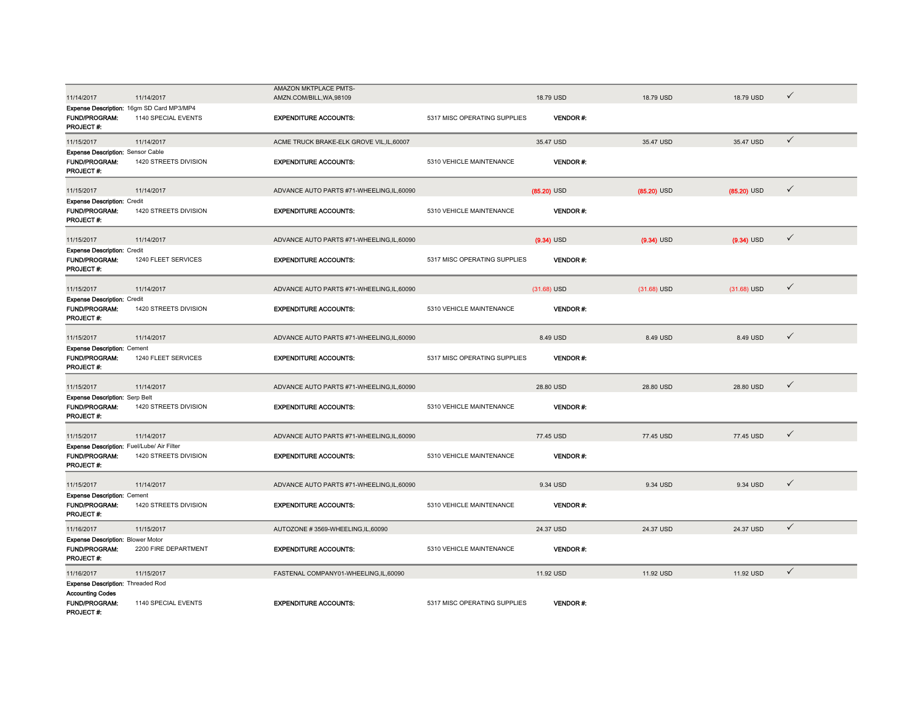|                                            |                                           | AMAZON MKTPLACE PMTS-                    |                              |                 |               |               |              |
|--------------------------------------------|-------------------------------------------|------------------------------------------|------------------------------|-----------------|---------------|---------------|--------------|
| 11/14/2017                                 | 11/14/2017                                | AMZN.COM/BILL, WA, 98109                 |                              | 18.79 USD       | 18.79 USD     | 18.79 USD     | ✓            |
|                                            |                                           |                                          |                              |                 |               |               |              |
| FUND/PROGRAM:                              | Expense Description: 16gm SD Card MP3/MP4 | <b>EXPENDITURE ACCOUNTS:</b>             |                              | <b>VENDOR#:</b> |               |               |              |
| PROJECT#:                                  | 1140 SPECIAL EVENTS                       |                                          | 5317 MISC OPERATING SUPPLIES |                 |               |               |              |
|                                            |                                           |                                          |                              |                 |               |               |              |
| 11/15/2017                                 | 11/14/2017                                | ACME TRUCK BRAKE-ELK GROVE VIL.IL.60007  |                              | 35.47 USD       | 35.47 USD     | 35.47 USD     | $\checkmark$ |
| <b>Expense Description: Sensor Cable</b>   |                                           |                                          |                              |                 |               |               |              |
| FUND/PROGRAM:                              | 1420 STREETS DIVISION                     | <b>EXPENDITURE ACCOUNTS:</b>             | 5310 VEHICLE MAINTENANCE     | <b>VENDOR#:</b> |               |               |              |
| PROJECT#:                                  |                                           |                                          |                              |                 |               |               |              |
|                                            |                                           |                                          |                              |                 |               |               |              |
| 11/15/2017                                 | 11/14/2017                                | ADVANCE AUTO PARTS #71-WHEELING,IL,60090 |                              | $(85.20)$ USD   | $(85.20)$ USD | $(85.20)$ USD | $\checkmark$ |
| <b>Expense Description: Credit</b>         |                                           |                                          |                              |                 |               |               |              |
| <b>FUND/PROGRAM:</b>                       | 1420 STREETS DIVISION                     | <b>EXPENDITURE ACCOUNTS:</b>             | 5310 VEHICLE MAINTENANCE     | <b>VENDOR#:</b> |               |               |              |
| PROJECT#:                                  |                                           |                                          |                              |                 |               |               |              |
|                                            |                                           |                                          |                              |                 |               |               |              |
| 11/15/2017                                 | 11/14/2017                                | ADVANCE AUTO PARTS #71-WHEELING,IL,60090 |                              | $(9.34)$ USD    | $(9.34)$ USD  | $(9.34)$ USD  | ✓            |
| <b>Expense Description: Credit</b>         |                                           |                                          |                              |                 |               |               |              |
| FUND/PROGRAM:                              | 1240 FLEET SERVICES                       | <b>EXPENDITURE ACCOUNTS:</b>             | 5317 MISC OPERATING SUPPLIES | VENDOR#:        |               |               |              |
| PROJECT #:                                 |                                           |                                          |                              |                 |               |               |              |
|                                            |                                           |                                          |                              |                 |               |               |              |
| 11/15/2017                                 | 11/14/2017                                | ADVANCE AUTO PARTS #71-WHEELING,IL,60090 |                              | $(31.68)$ USD   | $(31.68)$ USD | $(31.68)$ USD | ✓            |
| <b>Expense Description: Credit</b>         |                                           |                                          |                              |                 |               |               |              |
| <b>FUND/PROGRAM:</b>                       | 1420 STREETS DIVISION                     | <b>EXPENDITURE ACCOUNTS:</b>             | 5310 VEHICLE MAINTENANCE     | <b>VENDOR#:</b> |               |               |              |
| PROJECT#:                                  |                                           |                                          |                              |                 |               |               |              |
|                                            |                                           |                                          |                              |                 |               |               |              |
| 11/15/2017                                 | 11/14/2017                                | ADVANCE AUTO PARTS #71-WHEELING,IL,60090 |                              | 8.49 USD        | 8.49 USD      | 8.49 USD      | ✓            |
| <b>Expense Description: Cement</b>         |                                           |                                          |                              |                 |               |               |              |
| FUND/PROGRAM:                              | 1240 FLEET SERVICES                       | <b>EXPENDITURE ACCOUNTS:</b>             | 5317 MISC OPERATING SUPPLIES | <b>VENDOR#:</b> |               |               |              |
| PROJECT#:                                  |                                           |                                          |                              |                 |               |               |              |
|                                            |                                           |                                          |                              |                 |               |               |              |
| 11/15/2017                                 | 11/14/2017                                | ADVANCE AUTO PARTS #71-WHEELING,IL,60090 |                              | 28.80 USD       | 28.80 USD     | 28.80 USD     | $\checkmark$ |
| <b>Expense Description: Serp Belt</b>      |                                           |                                          |                              |                 |               |               |              |
| <b>FUND/PROGRAM:</b>                       | 1420 STREETS DIVISION                     | <b>EXPENDITURE ACCOUNTS:</b>             | 5310 VEHICLE MAINTENANCE     | <b>VENDOR#:</b> |               |               |              |
| PROJECT#:                                  |                                           |                                          |                              |                 |               |               |              |
|                                            |                                           |                                          |                              |                 |               |               |              |
| 11/15/2017                                 | 11/14/2017                                | ADVANCE AUTO PARTS #71-WHEELING,IL,60090 |                              | 77.45 USD       | 77.45 USD     | 77.45 USD     | ✓            |
| Expense Description: Fuel/Lube/ Air Filter |                                           |                                          |                              |                 |               |               |              |
| FUND/PROGRAM:                              | 1420 STREETS DIVISION                     | <b>EXPENDITURE ACCOUNTS:</b>             | 5310 VEHICLE MAINTENANCE     | <b>VENDOR#:</b> |               |               |              |
| PROJECT#:                                  |                                           |                                          |                              |                 |               |               |              |
|                                            |                                           |                                          |                              |                 |               |               | $\checkmark$ |
| 11/15/2017                                 | 11/14/2017                                | ADVANCE AUTO PARTS #71-WHEELING,IL,60090 |                              | 9.34 USD        | 9.34 USD      | 9.34 USD      |              |
| <b>Expense Description: Cement</b>         |                                           |                                          |                              |                 |               |               |              |
| FUND/PROGRAM:                              | 1420 STREETS DIVISION                     | <b>EXPENDITURE ACCOUNTS:</b>             | 5310 VEHICLE MAINTENANCE     | <b>VENDOR#:</b> |               |               |              |
| PROJECT#:                                  |                                           |                                          |                              |                 |               |               |              |
| 11/16/2017                                 | 11/15/2017                                | AUTOZONE #3569-WHEELING,IL,60090         |                              | 24.37 USD       | 24.37 USD     | 24.37 USD     | $\checkmark$ |
| <b>Expense Description: Blower Motor</b>   |                                           |                                          |                              |                 |               |               |              |
| <b>FUND/PROGRAM:</b>                       | 2200 FIRE DEPARTMENT                      | <b>EXPENDITURE ACCOUNTS:</b>             | 5310 VEHICLE MAINTENANCE     | <b>VENDOR#:</b> |               |               |              |
| PROJECT#:                                  |                                           |                                          |                              |                 |               |               |              |
|                                            |                                           |                                          |                              |                 |               |               | $\checkmark$ |
| 11/16/2017                                 | 11/15/2017                                | FASTENAL COMPANY01-WHEELING,IL,60090     |                              | 11.92 USD       | 11.92 USD     | 11.92 USD     |              |
| <b>Expense Description: Threaded Rod</b>   |                                           |                                          |                              |                 |               |               |              |
| <b>Accounting Codes</b>                    |                                           |                                          |                              |                 |               |               |              |
| FUND/PROGRAM:                              | 1140 SPECIAL EVENTS                       | <b>EXPENDITURE ACCOUNTS:</b>             | 5317 MISC OPERATING SUPPLIES | VENDOR#:        |               |               |              |
| PROJECT #:                                 |                                           |                                          |                              |                 |               |               |              |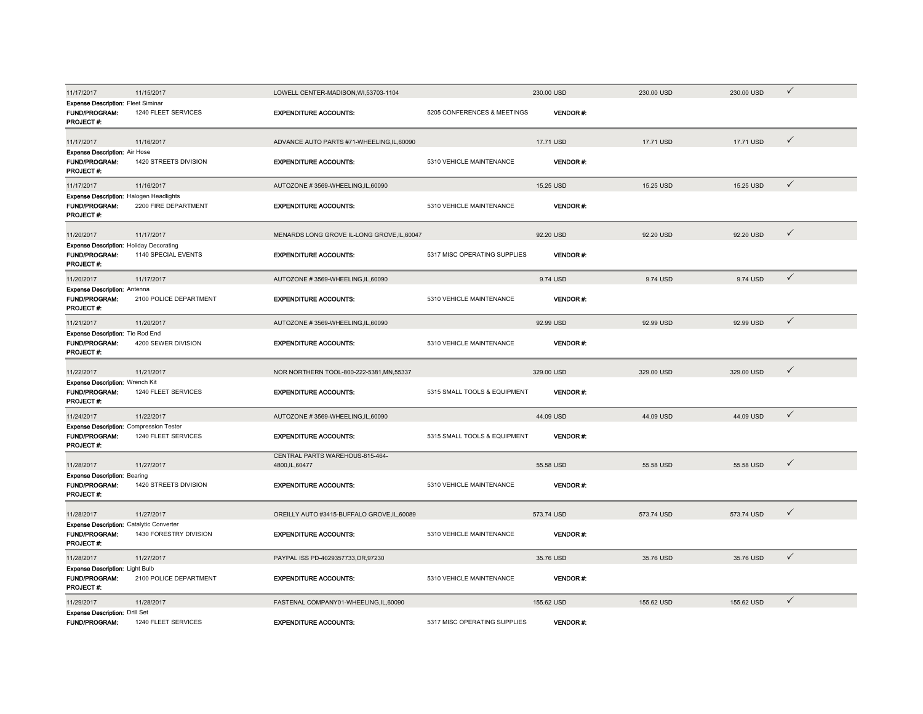| 11/17/2017                                                                           | 11/15/2017             | LOWELL CENTER-MADISON.WI.53703-1104                |                              | 230.00 USD      | 230.00 USD | 230.00 USD | $\checkmark$ |
|--------------------------------------------------------------------------------------|------------------------|----------------------------------------------------|------------------------------|-----------------|------------|------------|--------------|
| <b>Expense Description: Fleet Siminar</b><br><b>FUND/PROGRAM:</b><br>PROJECT#:       | 1240 FLEET SERVICES    | <b>EXPENDITURE ACCOUNTS:</b>                       | 5205 CONFERENCES & MEETINGS  | <b>VENDOR#:</b> |            |            |              |
| 11/17/2017                                                                           | 11/16/2017             | ADVANCE AUTO PARTS #71-WHEELING,IL,60090           |                              | 17.71 USD       | 17.71 USD  | 17.71 USD  | $\checkmark$ |
| <b>Expense Description: Air Hose</b><br><b>FUND/PROGRAM:</b><br>PROJECT #:           | 1420 STREETS DIVISION  | <b>EXPENDITURE ACCOUNTS:</b>                       | 5310 VEHICLE MAINTENANCE     | <b>VENDOR#:</b> |            |            |              |
| 11/17/2017                                                                           | 11/16/2017             | AUTOZONE #3569-WHEELING,IL,60090                   |                              | 15.25 USD       | 15.25 USD  | 15.25 USD  | $\checkmark$ |
| <b>Expense Description: Halogen Headlights</b><br><b>FUND/PROGRAM:</b><br>PROJECT#:  | 2200 FIRE DEPARTMENT   | <b>EXPENDITURE ACCOUNTS:</b>                       | 5310 VEHICLE MAINTENANCE     | <b>VENDOR#:</b> |            |            |              |
| 11/20/2017                                                                           | 11/17/2017             | MENARDS LONG GROVE IL-LONG GROVE, IL, 60047        |                              | 92.20 USD       | 92.20 USD  | 92.20 USD  | $\checkmark$ |
| <b>Expense Description: Holiday Decorating</b><br><b>FUND/PROGRAM:</b><br>PROJECT #: | 1140 SPECIAL EVENTS    | <b>EXPENDITURE ACCOUNTS:</b>                       | 5317 MISC OPERATING SUPPLIES | <b>VENDOR#:</b> |            |            |              |
| 11/20/2017                                                                           | 11/17/2017             | AUTOZONE #3569-WHEELING,IL,60090                   |                              | 9.74 USD        | 9.74 USD   | 9.74 USD   | $\checkmark$ |
| <b>Expense Description: Antenna</b><br><b>FUND/PROGRAM:</b><br>PROJECT#:             | 2100 POLICE DEPARTMENT | <b>EXPENDITURE ACCOUNTS:</b>                       | 5310 VEHICLE MAINTENANCE     | <b>VENDOR#:</b> |            |            |              |
| 11/21/2017                                                                           | 11/20/2017             | AUTOZONE #3569-WHEELING,IL,60090                   |                              | 92.99 USD       | 92.99 USD  | 92.99 USD  | $\checkmark$ |
| <b>Expense Description: Tie Rod End</b><br><b>FUND/PROGRAM:</b><br>PROJECT#:         | 4200 SEWER DIVISION    | <b>EXPENDITURE ACCOUNTS:</b>                       | 5310 VEHICLE MAINTENANCE     | <b>VENDOR#:</b> |            |            |              |
| 11/22/2017                                                                           | 11/21/2017             | NOR NORTHERN TOOL-800-222-5381, MN, 55337          |                              | 329.00 USD      | 329.00 USD | 329.00 USD | $\checkmark$ |
| Expense Description: Wrench Kit<br>FUND/PROGRAM:<br>PROJECT#:                        | 1240 FLEET SERVICES    | <b>EXPENDITURE ACCOUNTS:</b>                       | 5315 SMALL TOOLS & EQUIPMENT | <b>VENDOR#:</b> |            |            |              |
| 11/24/2017                                                                           | 11/22/2017             | AUTOZONE #3569-WHEELING,IL,60090                   |                              | 44.09 USD       | 44.09 USD  | 44.09 USD  | $\checkmark$ |
| <b>Expense Description: Compression Tester</b><br><b>FUND/PROGRAM:</b><br>PROJECT#:  | 1240 FLEET SERVICES    | <b>EXPENDITURE ACCOUNTS:</b>                       | 5315 SMALL TOOLS & EQUIPMENT | <b>VENDOR#:</b> |            |            |              |
| 11/28/2017                                                                           | 11/27/2017             | CENTRAL PARTS WAREHOUS-815-464-<br>4800, IL, 60477 |                              | 55.58 USD       | 55.58 USD  | 55.58 USD  | $\checkmark$ |
| <b>Expense Description: Bearing</b><br>FUND/PROGRAM:<br>PROJECT#:                    | 1420 STREETS DIVISION  | <b>EXPENDITURE ACCOUNTS:</b>                       | 5310 VEHICLE MAINTENANCE     | VENDOR#:        |            |            |              |
| 11/28/2017                                                                           | 11/27/2017             | OREILLY AUTO #3415-BUFFALO GROVE,IL,60089          |                              | 573.74 USD      | 573.74 USD | 573.74 USD | $\checkmark$ |
| Expense Description: Catalytic Converter<br><b>FUND/PROGRAM:</b><br><b>PROJECT#:</b> | 1430 FORESTRY DIVISION | <b>EXPENDITURE ACCOUNTS:</b>                       | 5310 VEHICLE MAINTENANCE     | <b>VENDOR#:</b> |            |            |              |
| 11/28/2017                                                                           | 11/27/2017             | PAYPAL ISS PD-4029357733.OR.97230                  |                              | 35.76 USD       | 35.76 USD  | 35.76 USD  | $\checkmark$ |
| <b>Expense Description: Light Bulb</b><br><b>FUND/PROGRAM:</b><br>PROJECT#:          | 2100 POLICE DEPARTMENT | <b>EXPENDITURE ACCOUNTS:</b>                       | 5310 VEHICLE MAINTENANCE     | <b>VENDOR#:</b> |            |            |              |
| 11/29/2017                                                                           | 11/28/2017             | FASTENAL COMPANY01-WHEELING,IL,60090               |                              | 155.62 USD      | 155.62 USD | 155.62 USD | $\checkmark$ |
| <b>Expense Description: Drill Set</b><br><b>FUND/PROGRAM:</b>                        | 1240 FLEET SERVICES    | <b>EXPENDITURE ACCOUNTS:</b>                       | 5317 MISC OPERATING SUPPLIES | <b>VENDOR#:</b> |            |            |              |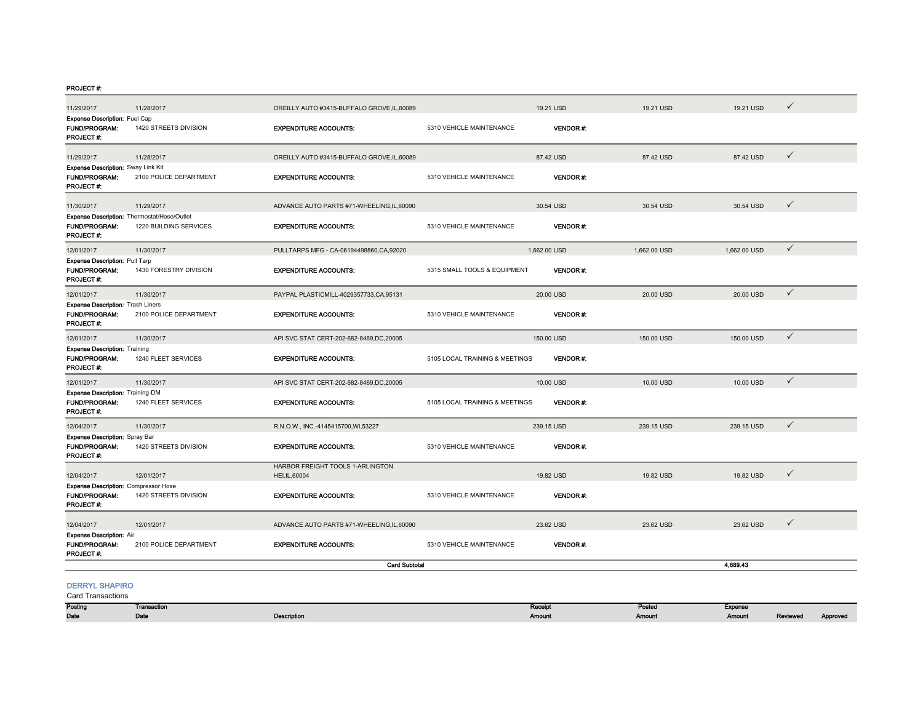| 11/29/2017                                                                        | 11/28/2017                 | OREILLY AUTO #3415-BUFFALO GROVE,IL,60089          |                                | 19.21 USD                | 19.21 USD               | 19.21 USD                | $\checkmark$ |          |
|-----------------------------------------------------------------------------------|----------------------------|----------------------------------------------------|--------------------------------|--------------------------|-------------------------|--------------------------|--------------|----------|
| <b>Expense Description: Fuel Cap</b><br><b>FUND/PROGRAM:</b><br>PROJECT#:         | 1420 STREETS DIVISION      | <b>EXPENDITURE ACCOUNTS:</b>                       | 5310 VEHICLE MAINTENANCE       | <b>VENDOR#:</b>          |                         |                          |              |          |
| 11/29/2017                                                                        | 11/28/2017                 | OREILLY AUTO #3415-BUFFALO GROVE, IL, 60089        |                                | 87.42 USD                | 87.42 USD               | 87.42 USD                | $\checkmark$ |          |
| Expense Description: Sway Link Kit<br><b>FUND/PROGRAM:</b><br>PROJECT#:           | 2100 POLICE DEPARTMENT     | <b>EXPENDITURE ACCOUNTS:</b>                       | 5310 VEHICLE MAINTENANCE       | VENDOR#:                 |                         |                          |              |          |
| 11/30/2017                                                                        | 11/29/2017                 | ADVANCE AUTO PARTS #71-WHEELING,IL,60090           |                                | 30.54 USD                | 30.54 USD               | 30.54 USD                | $\checkmark$ |          |
| Expense Description: Thermostat/Hose/Outlet<br><b>FUND/PROGRAM:</b><br>PROJECT #: | 1220 BUILDING SERVICES     | <b>EXPENDITURE ACCOUNTS:</b>                       | 5310 VEHICLE MAINTENANCE       | VENDOR#:                 |                         |                          |              |          |
| 12/01/2017                                                                        | 11/30/2017                 | PULLTARPS MFG - CA-06194498860,CA,92020            |                                | 1,662.00 USD             | 1,662.00 USD            | 1,662.00 USD             | $\checkmark$ |          |
| <b>Expense Description: Pull Tarp</b><br>FUND/PROGRAM:<br>PROJECT#:               | 1430 FORESTRY DIVISION     | <b>EXPENDITURE ACCOUNTS:</b>                       | 5315 SMALL TOOLS & EQUIPMENT   | VENDOR#:                 |                         |                          |              |          |
| 12/01/2017                                                                        | 11/30/2017                 | PAYPAL PLASTICMILL-4029357733,CA,95131             |                                | 20.00 USD                | 20.00 USD               | 20.00 USD                | $\checkmark$ |          |
| <b>Expense Description: Trash Liners</b><br><b>FUND/PROGRAM:</b><br>PROJECT #:    | 2100 POLICE DEPARTMENT     | <b>EXPENDITURE ACCOUNTS:</b>                       | 5310 VEHICLE MAINTENANCE       | VENDOR#:                 |                         |                          |              |          |
| 12/01/2017                                                                        | 11/30/2017                 | API SVC STAT CERT-202-682-8469,DC,20005            |                                | 150.00 USD               | 150.00 USD              | 150,00 USD               | $\checkmark$ |          |
| <b>Expense Description: Training</b><br><b>FUND/PROGRAM:</b><br>PROJECT#:         | 1240 FLEET SERVICES        | <b>EXPENDITURE ACCOUNTS:</b>                       | 5105 LOCAL TRAINING & MEETINGS | <b>VENDOR#:</b>          |                         |                          |              |          |
| 12/01/2017                                                                        | 11/30/2017                 | API SVC STAT CERT-202-682-8469,DC,20005            |                                | 10.00 USD                | 10.00 USD               | 10.00 USD                | $\checkmark$ |          |
| <b>Expense Description: Training-DM</b><br><b>FUND/PROGRAM:</b><br>PROJECT#:      | 1240 FLEET SERVICES        | <b>EXPENDITURE ACCOUNTS:</b>                       | 5105 LOCAL TRAINING & MEETINGS | <b>VENDOR#:</b>          |                         |                          |              |          |
| 12/04/2017                                                                        | 11/30/2017                 | R.N.O.W., INC.-4145415700, WI, 53227               |                                | 239.15 USD               | 239.15 USD              | 239.15 USD               | $\checkmark$ |          |
| <b>Expense Description: Spray Bar</b><br><b>FUND/PROGRAM:</b><br>PROJECT #:       | 1420 STREETS DIVISION      | <b>EXPENDITURE ACCOUNTS:</b>                       | 5310 VEHICLE MAINTENANCE       | <b>VENDOR#:</b>          |                         |                          |              |          |
| 12/04/2017                                                                        | 12/01/2017                 | HARBOR FREIGHT TOOLS 1-ARLINGTON<br>HEI, IL, 60004 |                                | 19.82 USD                | 19.82 USD               | 19.82 USD                | $\checkmark$ |          |
| <b>Expense Description: Compressor Hose</b><br><b>FUND/PROGRAM:</b><br>PROJECT#:  | 1420 STREETS DIVISION      | <b>EXPENDITURE ACCOUNTS:</b>                       | 5310 VEHICLE MAINTENANCE       | <b>VENDOR#:</b>          |                         |                          |              |          |
| 12/04/2017                                                                        | 12/01/2017                 | ADVANCE AUTO PARTS #71-WHEELING,IL,60090           |                                | 23.62 USD                | 23.62 USD               | 23.62 USD                | $\checkmark$ |          |
| <b>Expense Description: Air</b><br><b>FUND/PROGRAM:</b><br>PROJECT#:              | 2100 POLICE DEPARTMENT     | <b>EXPENDITURE ACCOUNTS:</b>                       | 5310 VEHICLE MAINTENANCE       | <b>VENDOR#:</b>          |                         |                          |              |          |
|                                                                                   |                            | <b>Card Subtotal</b>                               |                                |                          |                         | 4,689.43                 |              |          |
| <b>DERRYL SHAPIRO</b><br><b>Card Transactions</b>                                 |                            |                                                    |                                |                          |                         |                          |              |          |
| Posting<br>Date                                                                   | <b>Transaction</b><br>Date | <b>Description</b>                                 |                                | Receipt<br><b>Amount</b> | Posted<br><b>Amount</b> | Expense<br><b>Amount</b> | Reviewed     | Approved |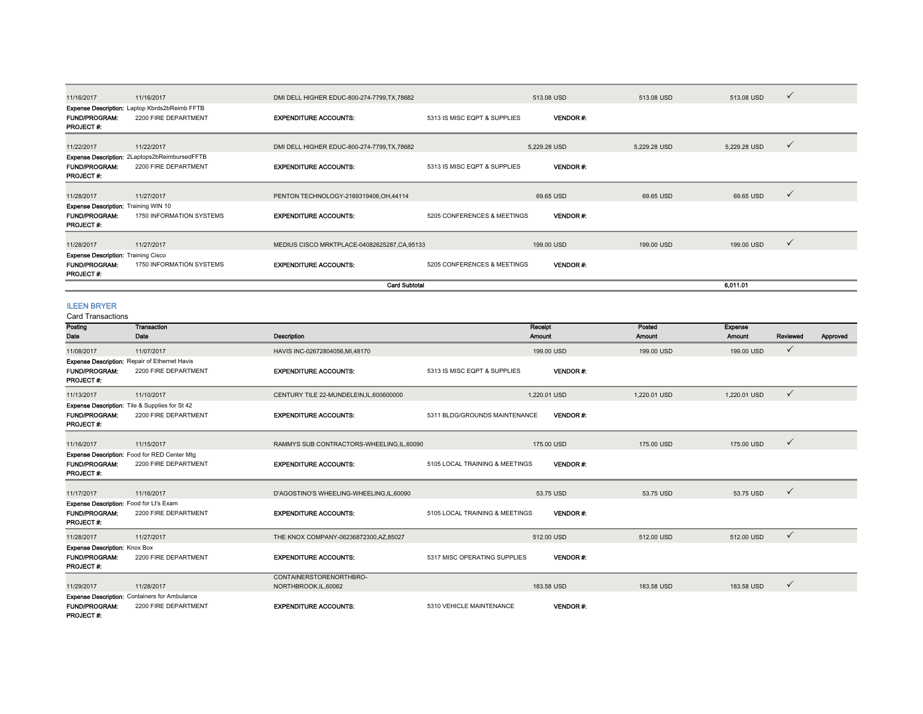| 11/16/2017                                  | 11/16/2017                                    | DMI DELL HIGHER EDUC-800-274-7799,TX,78682  |                              | 513.08 USD      | 513.08 USD   | 513.08 USD   | $\checkmark$ |
|---------------------------------------------|-----------------------------------------------|---------------------------------------------|------------------------------|-----------------|--------------|--------------|--------------|
|                                             | Expense Description: Laptop Kbrds2bReimb FFTB |                                             |                              |                 |              |              |              |
| <b>FUND/PROGRAM:</b><br><b>PROJECT#:</b>    | 2200 FIRE DEPARTMENT                          | <b>EXPENDITURE ACCOUNTS:</b>                | 5313 IS MISC EQPT & SUPPLIES | <b>VENDOR#:</b> |              |              |              |
| 11/22/2017                                  | 11/22/2017                                    | DMI DELL HIGHER EDUC-800-274-7799,TX,78682  |                              | 5,229.28 USD    | 5,229.28 USD | 5,229.28 USD | $\checkmark$ |
|                                             | Expense Description: 2Laptops2bReimbursedFFTB |                                             |                              |                 |              |              |              |
| <b>FUND/PROGRAM:</b><br>PROJECT #:          | 2200 FIRE DEPARTMENT                          | <b>EXPENDITURE ACCOUNTS:</b>                | 5313 IS MISC EQPT & SUPPLIES | <b>VENDOR#:</b> |              |              |              |
| 11/28/2017                                  | 11/27/2017                                    | PENTON TECHNOLOGY-2169319406, OH, 44114     |                              | 69.65 USD       | 69.65 USD    | 69.65 USD    | $\checkmark$ |
| <b>Expense Description: Training WIN 10</b> |                                               |                                             |                              |                 |              |              |              |
| <b>FUND/PROGRAM:</b><br>PROJECT#:           | 1750 INFORMATION SYSTEMS                      | <b>EXPENDITURE ACCOUNTS:</b>                | 5205 CONFERENCES & MEETINGS  | <b>VENDOR#:</b> |              |              |              |
| 11/28/2017                                  | 11/27/2017                                    | MEDIUS CISCO MRKTPLACE-04082625287,CA,95133 |                              | 199.00 USD      | 199.00 USD   | 199.00 USD   | $\checkmark$ |
| <b>Expense Description: Training Cisco</b>  |                                               |                                             |                              |                 |              |              |              |
| <b>FUND/PROGRAM:</b><br>PROJECT#:           | 1750 INFORMATION SYSTEMS                      | <b>EXPENDITURE ACCOUNTS:</b>                | 5205 CONFERENCES & MEETINGS  | <b>VENDOR#:</b> |              |              |              |
|                                             |                                               | <b>Card Subtotal</b>                        |                              |                 |              | 6,011.01     |              |

# ILEEN BRYER

Card Transactions

| Gilu Tidiisdulluis                      |                                                       |                                            |                                |                 |               |                |              |          |
|-----------------------------------------|-------------------------------------------------------|--------------------------------------------|--------------------------------|-----------------|---------------|----------------|--------------|----------|
| Posting                                 | Transaction                                           |                                            | Receipt                        |                 | Posted        | <b>Expense</b> |              |          |
| Date                                    | Date                                                  | <b>Description</b>                         | <b>Amount</b>                  |                 | <b>Amount</b> | Amount         | Reviewed     | Approved |
| 11/08/2017                              | 11/07/2017                                            | HAVIS INC-02672804056, MI, 48170           |                                | 199,00 USD      | 199.00 USD    | 199.00 USD     | ✓            |          |
|                                         | <b>Expense Description: Repair of Ethernet Havis</b>  |                                            |                                |                 |               |                |              |          |
| <b>FUND/PROGRAM:</b>                    | 2200 FIRE DEPARTMENT                                  | <b>EXPENDITURE ACCOUNTS:</b>               | 5313 IS MISC EQPT & SUPPLIES   | <b>VENDOR#:</b> |               |                |              |          |
| PROJECT#:                               |                                                       |                                            |                                |                 |               |                |              |          |
| 11/13/2017                              | 11/10/2017                                            | CENTURY TILE 22-MUNDELEIN, IL, 600600000   |                                | 1.220.01 USD    | 1.220.01 USD  | 1,220.01 USD   | $\checkmark$ |          |
|                                         | <b>Expense Description:</b> Tile & Supplies for St 42 |                                            |                                |                 |               |                |              |          |
| <b>FUND/PROGRAM:</b>                    | 2200 FIRE DEPARTMENT                                  | <b>EXPENDITURE ACCOUNTS:</b>               | 5311 BLDG/GROUNDS MAINTENANCE  | <b>VENDOR#:</b> |               |                |              |          |
| PROJECT#:                               |                                                       |                                            |                                |                 |               |                |              |          |
| 11/16/2017                              | 11/15/2017                                            | RAMMYS SUB CONTRACTORS-WHEELING, IL, 60090 |                                | 175,00 USD      | 175,00 USD    | 175.00 USD     | $\checkmark$ |          |
|                                         | <b>Expense Description:</b> Food for RED Center Mtg   |                                            |                                |                 |               |                |              |          |
| <b>FUND/PROGRAM:</b>                    | 2200 FIRE DEPARTMENT                                  | <b>EXPENDITURE ACCOUNTS:</b>               | 5105 LOCAL TRAINING & MEETINGS | <b>VENDOR#:</b> |               |                |              |          |
| PROJECT#:                               |                                                       |                                            |                                |                 |               |                |              |          |
|                                         |                                                       |                                            |                                |                 |               |                |              |          |
| 11/17/2017                              | 11/16/2017                                            | D'AGOSTINO'S WHEELING-WHEELING,IL,60090    |                                | 53.75 USD       | 53.75 USD     | 53.75 USD      | $\checkmark$ |          |
| Expense Description: Food for Lt's Exam |                                                       |                                            |                                |                 |               |                |              |          |
| <b>FUND/PROGRAM:</b>                    | 2200 FIRE DEPARTMENT                                  | <b>EXPENDITURE ACCOUNTS:</b>               | 5105 LOCAL TRAINING & MEETINGS | <b>VENDOR#:</b> |               |                |              |          |
| PROJECT#:                               |                                                       |                                            |                                |                 |               |                |              |          |
| 11/28/2017                              | 11/27/2017                                            | THE KNOX COMPANY-06236872300, AZ, 85027    |                                | 512.00 USD      | 512.00 USD    | 512.00 USD     | $\checkmark$ |          |
| Expense Description: Knox Box           |                                                       |                                            |                                |                 |               |                |              |          |
| <b>FUND/PROGRAM:</b>                    | 2200 FIRE DEPARTMENT                                  | <b>EXPENDITURE ACCOUNTS:</b>               | 5317 MISC OPERATING SUPPLIES   | <b>VENDOR#:</b> |               |                |              |          |
| PROJECT#:                               |                                                       |                                            |                                |                 |               |                |              |          |
|                                         |                                                       | CONTAINERSTORENORTHBRO-                    |                                |                 |               |                |              |          |
| 11/29/2017                              | 11/28/2017                                            | NORTHBROOK, IL, 60062                      |                                | 183.58 USD      | 183.58 USD    | 183.58 USD     | ✓            |          |
|                                         | Expense Description: Containers for Ambulance         |                                            |                                |                 |               |                |              |          |
| <b>FUND/PROGRAM:</b>                    | 2200 FIRE DEPARTMENT                                  | <b>EXPENDITURE ACCOUNTS:</b>               | 5310 VEHICLE MAINTENANCE       | <b>VENDOR#:</b> |               |                |              |          |
| PROJECT#:                               |                                                       |                                            |                                |                 |               |                |              |          |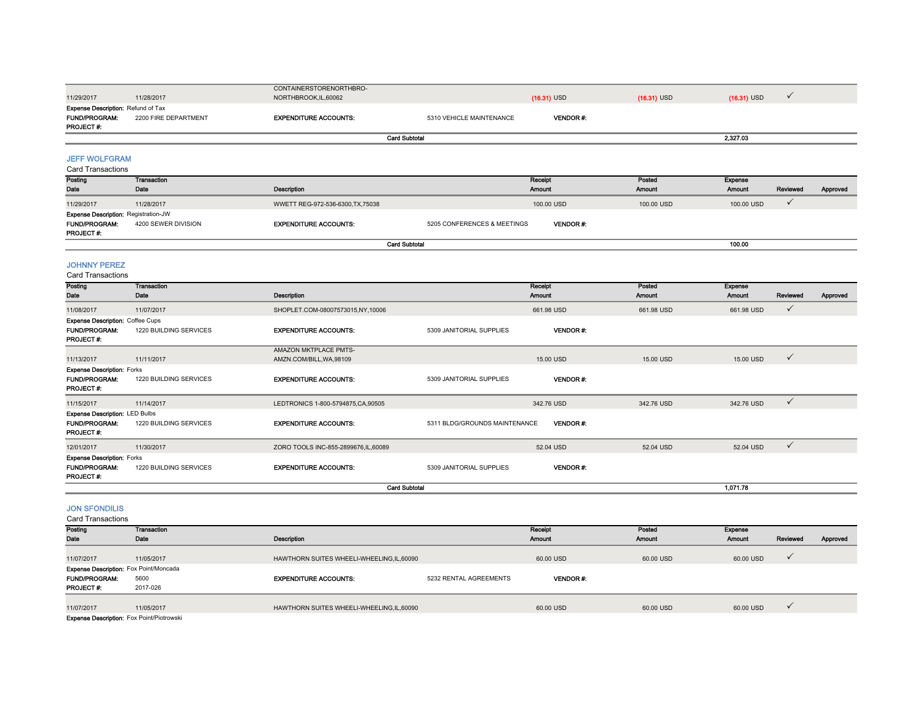|                                                                                  |                            | CONTAINERSTORENORTHBRO-             |                               |                          |                         |                                 |              |          |
|----------------------------------------------------------------------------------|----------------------------|-------------------------------------|-------------------------------|--------------------------|-------------------------|---------------------------------|--------------|----------|
| 11/29/2017                                                                       | 11/28/2017                 | NORTHBROOK, IL, 60062               |                               | $(16.31)$ USD            | $(16.31)$ USD           | $(16.31)$ USD                   | $\checkmark$ |          |
| <b>Expense Description: Refund of Tax</b>                                        |                            |                                     |                               |                          |                         |                                 |              |          |
| <b>FUND/PROGRAM:</b><br>PROJECT #:                                               | 2200 FIRE DEPARTMENT       | <b>EXPENDITURE ACCOUNTS:</b>        | 5310 VEHICLE MAINTENANCE      | VENDOR#:                 |                         |                                 |              |          |
|                                                                                  |                            | <b>Card Subtotal</b>                |                               |                          |                         | 2,327.03                        |              |          |
|                                                                                  |                            |                                     |                               |                          |                         |                                 |              |          |
| <b>JEFF WOLFGRAM</b>                                                             |                            |                                     |                               |                          |                         |                                 |              |          |
| <b>Card Transactions</b>                                                         |                            |                                     |                               |                          |                         |                                 |              |          |
| Posting                                                                          | <b>Transaction</b>         |                                     |                               | Receipt                  | Posted                  | <b>Expense</b>                  |              |          |
| Date                                                                             | Date                       | Description                         |                               | Amount                   | Amount                  | Amount                          | Reviewed     | Approved |
| 11/29/2017                                                                       | 11/28/2017                 | WWETT REG-972-536-6300, TX, 75038   |                               | 100.00 USD               | 100.00 USD              | 100.00 USD                      | $\checkmark$ |          |
| <b>Expense Description: Registration-JW</b><br><b>FUND/PROGRAM:</b><br>PROJECT#: | 4200 SEWER DIVISION        | <b>EXPENDITURE ACCOUNTS:</b>        | 5205 CONFERENCES & MEETINGS   | VENDOR#:                 |                         |                                 |              |          |
|                                                                                  |                            | <b>Card Subtotal</b>                |                               |                          |                         | 100.00                          |              |          |
| <b>JOHNNY PEREZ</b><br><b>Card Transactions</b>                                  |                            |                                     |                               |                          |                         |                                 |              |          |
| Posting<br>Date                                                                  | <b>Transaction</b><br>Date | <b>Description</b>                  |                               | Receipt<br><b>Amount</b> | Posted<br><b>Amount</b> | <b>Expense</b><br><b>Amount</b> | Reviewed     | Approved |
| 11/08/2017                                                                       | 11/07/2017                 | SHOPLET.COM-08007573015,NY,10006    |                               | 661.98 USD               | 661.98 USD              | 661.98 USD                      | $\checkmark$ |          |
| <b>Expense Description: Coffee Cups</b><br><b>FUND/PROGRAM:</b><br>PROJECT#:     | 1220 BUILDING SERVICES     | <b>EXPENDITURE ACCOUNTS:</b>        | 5309 JANITORIAL SUPPLIES      | <b>VENDOR#:</b>          |                         |                                 |              |          |
|                                                                                  |                            | AMAZON MKTPLACE PMTS-               |                               |                          |                         |                                 |              |          |
| 11/13/2017                                                                       | 11/11/2017                 | AMZN.COM/BILL, WA, 98109            |                               | 15.00 USD                | 15,00 USD               | 15.00 USD                       | $\checkmark$ |          |
| <b>Expense Description: Forks</b><br><b>FUND/PROGRAM:</b><br>PROJECT #:          | 1220 BUILDING SERVICES     | <b>EXPENDITURE ACCOUNTS:</b>        | 5309 JANITORIAL SUPPLIES      | <b>VENDOR#:</b>          |                         |                                 |              |          |
| 11/15/2017                                                                       | 11/14/2017                 | LEDTRONICS 1-800-5794875.CA.90505   |                               | 342.76 USD               | 342.76 USD              | 342.76 USD                      | $\checkmark$ |          |
| <b>Expense Description: LED Bulbs</b><br>FUND/PROGRAM:<br>PROJECT#:              | 1220 BUILDING SERVICES     | <b>EXPENDITURE ACCOUNTS:</b>        | 5311 BLDG/GROUNDS MAINTENANCE | VENDOR#:                 |                         |                                 |              |          |
| 12/01/2017                                                                       | 11/30/2017                 | ZORO TOOLS INC-855-2899676.IL.60089 |                               | 52.04 USD                | 52.04 USD               | 52.04 USD                       | $\checkmark$ |          |
| <b>Expense Description: Forks</b><br><b>FUND/PROGRAM:</b><br>PROJECT #:          | 1220 BUILDING SERVICES     | <b>EXPENDITURE ACCOUNTS:</b>        | 5309 JANITORIAL SUPPLIES      | <b>VENDOR#:</b>          |                         |                                 |              |          |
|                                                                                  |                            | <b>Card Subtotal</b>                |                               |                          |                         | 1,071.78                        |              |          |
| <b>JON SFONDILIS</b><br><b>Card Transactions</b>                                 |                            |                                     |                               |                          |                         |                                 |              |          |
| Posting<br>Date                                                                  | <b>Transaction</b><br>Date | Description                         |                               | Receipt<br>Amount        | Posted<br>Amount        | Expense<br><b>Amount</b>        | Reviewed     | Approved |
|                                                                                  |                            |                                     |                               |                          |                         |                                 |              |          |

11/07/2017 11/05/2017 HAWTHORN SUITES WHEELI-WHEELING,IL,60090 60.00 USD 60.00 USD 60.00 USD FUND/PROGRAM: 5600EXPENDITURE ACCOUNTS: 5232 RENTAL AGREEMENTS VENDOR #: PROJECT #: 2017-026 11/07/2017 11/05/2017 HAWTHORN SUITES WHEELI-WHEELING,IL,60090 60.00 USD 60.00 USD 60.00 USD Expense Description: Fox Point/Moncada

Expense Description: Fox Point/Piotrowski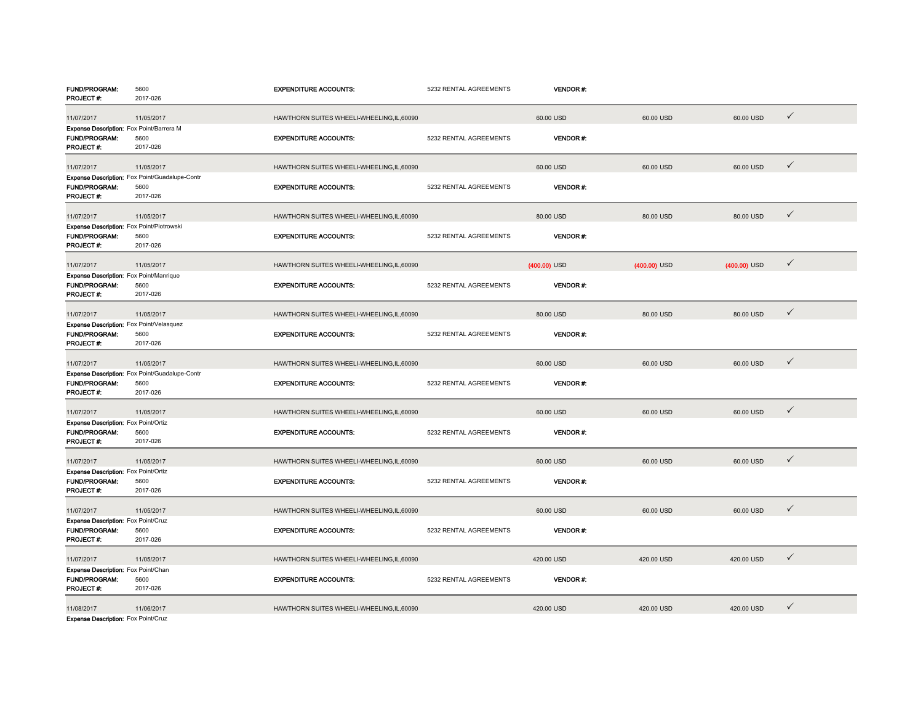| FUND/PROGRAM:                             | 5600<br>2017-026                               | <b>EXPENDITURE ACCOUNTS:</b>               | 5232 RENTAL AGREEMENTS | <b>VENDOR#:</b> |                |                |              |
|-------------------------------------------|------------------------------------------------|--------------------------------------------|------------------------|-----------------|----------------|----------------|--------------|
| PROJECT#:                                 |                                                |                                            |                        |                 |                |                |              |
| 11/07/2017                                | 11/05/2017                                     | HAWTHORN SUITES WHEELI-WHEELING,IL,60090   |                        | 60.00 USD       | 60.00 USD      | 60.00 USD      | $\checkmark$ |
| Expense Description: Fox Point/Barrera M  |                                                |                                            | 5232 RENTAL AGREEMENTS | <b>VENDOR#:</b> |                |                |              |
| <b>FUND/PROGRAM:</b><br>PROJECT#:         | 5600<br>2017-026                               | <b>EXPENDITURE ACCOUNTS:</b>               |                        |                 |                |                |              |
|                                           |                                                |                                            |                        |                 |                |                |              |
| 11/07/2017                                | 11/05/2017                                     | HAWTHORN SUITES WHEELI-WHEELING, IL, 60090 |                        | 60.00 USD       | 60.00 USD      | 60.00 USD      | $\checkmark$ |
|                                           | Expense Description: Fox Point/Guadalupe-Contr |                                            |                        |                 |                |                |              |
| <b>FUND/PROGRAM:</b>                      | 5600                                           | <b>EXPENDITURE ACCOUNTS:</b>               | 5232 RENTAL AGREEMENTS | <b>VENDOR#:</b> |                |                |              |
| PROJECT#:                                 | 2017-026                                       |                                            |                        |                 |                |                |              |
| 11/07/2017                                | 11/05/2017                                     | HAWTHORN SUITES WHEELI-WHEELING,IL,60090   |                        | 80.00 USD       | 80.00 USD      | 80.00 USD      | $\checkmark$ |
| Expense Description: Fox Point/Piotrowski |                                                |                                            |                        |                 |                |                |              |
| <b>FUND/PROGRAM:</b>                      | 5600                                           | <b>EXPENDITURE ACCOUNTS:</b>               | 5232 RENTAL AGREEMENTS | <b>VENDOR#:</b> |                |                |              |
| PROJECT #:                                | 2017-026                                       |                                            |                        |                 |                |                |              |
| 11/07/2017                                | 11/05/2017                                     | HAWTHORN SUITES WHEELI-WHEELING, IL, 60090 |                        | $(400.00)$ USD  | $(400.00)$ USD | $(400.00)$ USD | ✓            |
| Expense Description: Fox Point/Manrique   |                                                |                                            |                        |                 |                |                |              |
| <b>FUND/PROGRAM:</b>                      | 5600                                           | <b>EXPENDITURE ACCOUNTS:</b>               | 5232 RENTAL AGREEMENTS | <b>VENDOR#:</b> |                |                |              |
| PROJECT#:                                 | 2017-026                                       |                                            |                        |                 |                |                |              |
|                                           |                                                |                                            |                        |                 |                |                |              |
| 11/07/2017                                | 11/05/2017                                     | HAWTHORN SUITES WHEELI-WHEELING.IL.60090   |                        | 80.00 USD       | 80.00 USD      | 80.00 USD      | ✓            |
| Expense Description: Fox Point/Velasquez  |                                                |                                            |                        |                 |                |                |              |
| <b>FUND/PROGRAM:</b>                      | 5600<br>2017-026                               | <b>EXPENDITURE ACCOUNTS:</b>               | 5232 RENTAL AGREEMENTS | VENDOR#:        |                |                |              |
| PROJECT#:                                 |                                                |                                            |                        |                 |                |                |              |
| 11/07/2017                                | 11/05/2017                                     | HAWTHORN SUITES WHEELI-WHEELING, IL, 60090 |                        | 60.00 USD       | 60.00 USD      | 60.00 USD      | $\checkmark$ |
|                                           | Expense Description: Fox Point/Guadalupe-Contr |                                            |                        |                 |                |                |              |
| FUND/PROGRAM:                             | 5600                                           | <b>EXPENDITURE ACCOUNTS:</b>               | 5232 RENTAL AGREEMENTS | <b>VENDOR#:</b> |                |                |              |
| PROJECT#:                                 | 2017-026                                       |                                            |                        |                 |                |                |              |
| 11/07/2017                                | 11/05/2017                                     | HAWTHORN SUITES WHEELI-WHEELING, IL, 60090 |                        | 60.00 USD       | 60.00 USD      | 60.00 USD      | $\checkmark$ |
| Expense Description: Fox Point/Ortiz      |                                                |                                            |                        |                 |                |                |              |
| FUND/PROGRAM:                             | 5600                                           | <b>EXPENDITURE ACCOUNTS:</b>               | 5232 RENTAL AGREEMENTS | <b>VENDOR#:</b> |                |                |              |
| PROJECT#:                                 | 2017-026                                       |                                            |                        |                 |                |                |              |
| 11/07/2017                                | 11/05/2017                                     | HAWTHORN SUITES WHEELI-WHEELING, IL, 60090 |                        | 60.00 USD       | 60.00 USD      | 60.00 USD      | ✓            |
| Expense Description: Fox Point/Ortiz      |                                                |                                            |                        |                 |                |                |              |
| FUND/PROGRAM:                             | 5600                                           | <b>EXPENDITURE ACCOUNTS:</b>               | 5232 RENTAL AGREEMENTS | <b>VENDOR#:</b> |                |                |              |
| PROJECT#:                                 | 2017-026                                       |                                            |                        |                 |                |                |              |
|                                           |                                                |                                            |                        |                 |                |                |              |
| 11/07/2017                                | 11/05/2017                                     | HAWTHORN SUITES WHEELI-WHEELING, IL, 60090 |                        | 60.00 USD       | 60.00 USD      | 60.00 USD      | $\checkmark$ |
| Expense Description: Fox Point/Cruz       |                                                |                                            |                        |                 |                |                |              |
| FUND/PROGRAM:                             | 5600                                           | <b>EXPENDITURE ACCOUNTS:</b>               | 5232 RENTAL AGREEMENTS | <b>VENDOR#:</b> |                |                |              |
| PROJECT #:                                | 2017-026                                       |                                            |                        |                 |                |                |              |
| 11/07/2017                                | 11/05/2017                                     | HAWTHORN SUITES WHEELI-WHEELING,IL,60090   |                        | 420.00 USD      | 420.00 USD     | 420.00 USD     | ✓            |
| Expense Description: Fox Point/Chan       |                                                |                                            |                        |                 |                |                |              |
| FUND/PROGRAM:                             | 5600                                           | <b>EXPENDITURE ACCOUNTS:</b>               | 5232 RENTAL AGREEMENTS | <b>VENDOR#:</b> |                |                |              |
| PROJECT#:                                 | 2017-026                                       |                                            |                        |                 |                |                |              |
|                                           |                                                |                                            |                        |                 |                |                |              |
| 11/08/2017                                | 11/06/2017                                     | HAWTHORN SUITES WHEELI-WHEELING,IL,60090   |                        | 420.00 USD      | 420.00 USD     | 420.00 USD     | ✓            |
| Expense Description: Fox Point/Cruz       |                                                |                                            |                        |                 |                |                |              |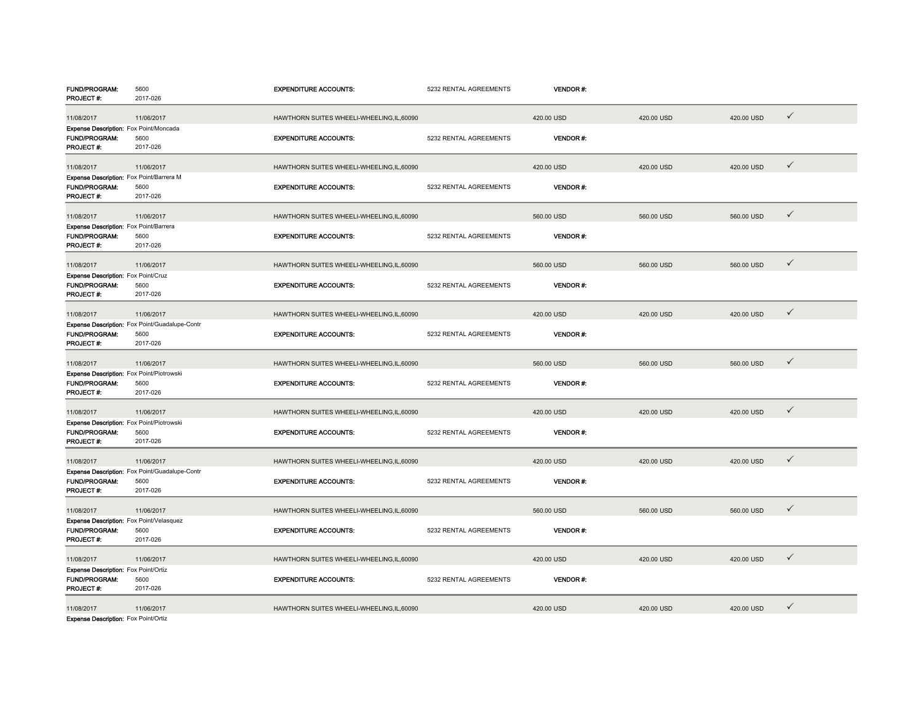| FUND/PROGRAM:<br>PROJECT#:                             | 5600<br>2017-026                               | <b>EXPENDITURE ACCOUNTS:</b>               | 5232 RENTAL AGREEMENTS | <b>VENDOR#:</b> |            |            |              |
|--------------------------------------------------------|------------------------------------------------|--------------------------------------------|------------------------|-----------------|------------|------------|--------------|
|                                                        |                                                |                                            |                        |                 |            |            |              |
| 11/08/2017                                             | 11/06/2017                                     | HAWTHORN SUITES WHEELI-WHEELING,IL,60090   |                        | 420.00 USD      | 420.00 USD | 420.00 USD | $\checkmark$ |
| Expense Description: Fox Point/Moncada                 |                                                |                                            |                        |                 |            |            |              |
| <b>FUND/PROGRAM:</b><br>PROJECT#:                      | 5600<br>2017-026                               | <b>EXPENDITURE ACCOUNTS:</b>               | 5232 RENTAL AGREEMENTS | <b>VENDOR#:</b> |            |            |              |
|                                                        |                                                |                                            |                        |                 |            |            |              |
| 11/08/2017                                             | 11/06/2017                                     | HAWTHORN SUITES WHEELI-WHEELING, IL, 60090 |                        | 420.00 USD      | 420.00 USD | 420.00 USD | $\checkmark$ |
| Expense Description: Fox Point/Barrera M               |                                                |                                            |                        |                 |            |            |              |
| <b>FUND/PROGRAM:</b>                                   | 5600                                           | <b>EXPENDITURE ACCOUNTS:</b>               | 5232 RENTAL AGREEMENTS | VENDOR#:        |            |            |              |
| PROJECT#:                                              | 2017-026                                       |                                            |                        |                 |            |            |              |
| 11/08/2017                                             | 11/06/2017                                     | HAWTHORN SUITES WHEELI-WHEELING,IL,60090   |                        | 560.00 USD      | 560.00 USD | 560.00 USD | $\checkmark$ |
| Expense Description: Fox Point/Barrera                 |                                                |                                            |                        |                 |            |            |              |
| <b>FUND/PROGRAM:</b>                                   | 5600                                           | <b>EXPENDITURE ACCOUNTS:</b>               | 5232 RENTAL AGREEMENTS | VENDOR#:        |            |            |              |
| PROJECT #:                                             | 2017-026                                       |                                            |                        |                 |            |            |              |
| 11/08/2017                                             | 11/06/2017                                     | HAWTHORN SUITES WHEELI-WHEELING, IL, 60090 |                        | 560.00 USD      | 560.00 USD | 560.00 USD | $\checkmark$ |
| Expense Description: Fox Point/Cruz                    |                                                |                                            |                        |                 |            |            |              |
| <b>FUND/PROGRAM:</b>                                   | 5600                                           | <b>EXPENDITURE ACCOUNTS:</b>               | 5232 RENTAL AGREEMENTS | <b>VENDOR#:</b> |            |            |              |
| PROJECT#:                                              | 2017-026                                       |                                            |                        |                 |            |            |              |
|                                                        |                                                |                                            |                        |                 |            |            |              |
| 11/08/2017                                             | 11/06/2017                                     | HAWTHORN SUITES WHEELI-WHEELING, IL, 60090 |                        | 420.00 USD      | 420.00 USD | 420.00 USD | $\checkmark$ |
|                                                        | Expense Description: Fox Point/Guadalupe-Contr |                                            |                        |                 |            |            |              |
| <b>FUND/PROGRAM:</b><br>PROJECT#:                      | 5600<br>2017-026                               | <b>EXPENDITURE ACCOUNTS:</b>               | 5232 RENTAL AGREEMENTS | <b>VENDOR#:</b> |            |            |              |
|                                                        |                                                |                                            |                        |                 |            |            |              |
| 11/08/2017                                             | 11/06/2017                                     | HAWTHORN SUITES WHEELI-WHEELING.IL.60090   |                        | 560,00 USD      | 560.00 USD | 560,00 USD | $\checkmark$ |
| Expense Description: Fox Point/Piotrowski              |                                                |                                            |                        |                 |            |            |              |
| FUND/PROGRAM:                                          | 5600                                           | <b>EXPENDITURE ACCOUNTS:</b>               | 5232 RENTAL AGREEMENTS | <b>VENDOR#:</b> |            |            |              |
| PROJECT#:                                              | 2017-026                                       |                                            |                        |                 |            |            |              |
| 11/08/2017                                             | 11/06/2017                                     | HAWTHORN SUITES WHEELI-WHEELING, IL, 60090 |                        | 420.00 USD      | 420.00 USD | 420.00 USD | $\checkmark$ |
| Expense Description: Fox Point/Piotrowski              |                                                |                                            |                        |                 |            |            |              |
| FUND/PROGRAM:                                          | 5600                                           | <b>EXPENDITURE ACCOUNTS:</b>               | 5232 RENTAL AGREEMENTS | VENDOR#:        |            |            |              |
| PROJECT#:                                              | 2017-026                                       |                                            |                        |                 |            |            |              |
| 11/08/2017                                             | 11/06/2017                                     | HAWTHORN SUITES WHEELI-WHEELING, IL, 60090 |                        | 420.00 USD      | 420.00 USD | 420.00 USD | $\checkmark$ |
|                                                        | Expense Description: Fox Point/Guadalupe-Contr |                                            |                        |                 |            |            |              |
| FUND/PROGRAM:                                          | 5600                                           | <b>EXPENDITURE ACCOUNTS:</b>               | 5232 RENTAL AGREEMENTS | <b>VENDOR#:</b> |            |            |              |
| PROJECT#:                                              | 2017-026                                       |                                            |                        |                 |            |            |              |
|                                                        |                                                | HAWTHORN SUITES WHEELI-WHEELING,IL,60090   |                        | 560.00 USD      | 560.00 USD | 560.00 USD | $\checkmark$ |
| 11/08/2017<br>Expense Description: Fox Point/Velasquez | 11/06/2017                                     |                                            |                        |                 |            |            |              |
| FUND/PROGRAM:                                          | 5600                                           | <b>EXPENDITURE ACCOUNTS:</b>               | 5232 RENTAL AGREEMENTS | <b>VENDOR#:</b> |            |            |              |
| PROJECT #:                                             | 2017-026                                       |                                            |                        |                 |            |            |              |
|                                                        |                                                |                                            |                        |                 |            |            |              |
| 11/08/2017                                             | 11/06/2017                                     | HAWTHORN SUITES WHEELI-WHEELING,IL,60090   |                        | 420.00 USD      | 420.00 USD | 420.00 USD | ✓            |
| Expense Description: Fox Point/Ortiz                   |                                                |                                            |                        |                 |            |            |              |
| FUND/PROGRAM:                                          | 5600<br>2017-026                               | <b>EXPENDITURE ACCOUNTS:</b>               | 5232 RENTAL AGREEMENTS | <b>VENDOR#:</b> |            |            |              |
| PROJECT#:                                              |                                                |                                            |                        |                 |            |            |              |
| 11/08/2017                                             | 11/06/2017                                     | HAWTHORN SUITES WHEELI-WHEELING,IL,60090   |                        | 420.00 USD      | 420.00 USD | 420.00 USD | $\checkmark$ |
| Expense Description: Fox Point/Ortiz                   |                                                |                                            |                        |                 |            |            |              |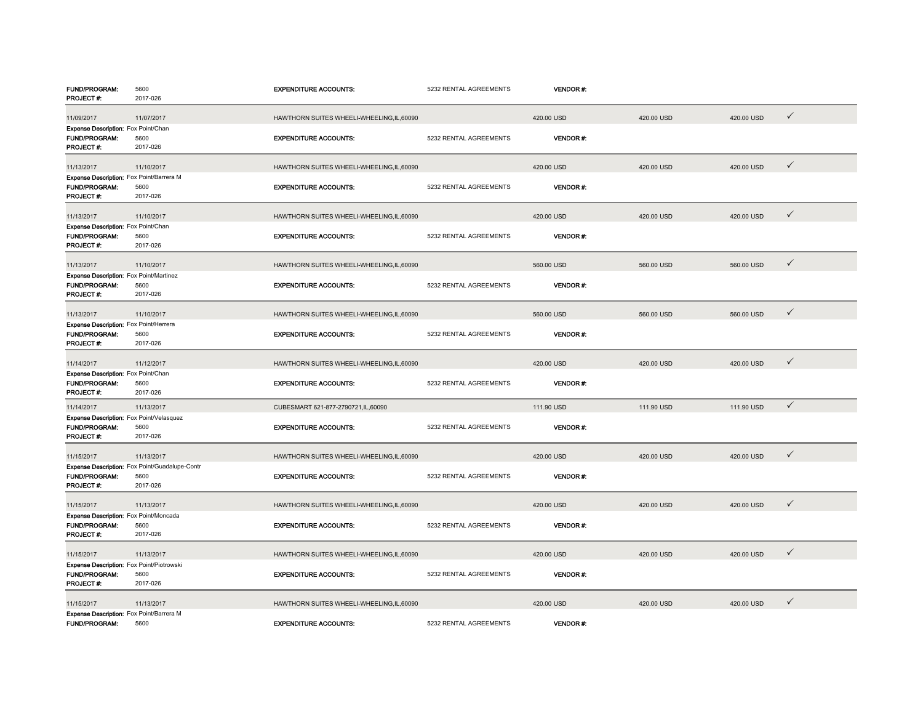| <b>FUND/PROGRAM:</b><br>PROJECT#:                                              | 5600<br>2017-026                                                   | <b>EXPENDITURE ACCOUNTS:</b>               | 5232 RENTAL AGREEMENTS | <b>VENDOR#:</b> |            |            |              |
|--------------------------------------------------------------------------------|--------------------------------------------------------------------|--------------------------------------------|------------------------|-----------------|------------|------------|--------------|
|                                                                                | 11/07/2017                                                         | HAWTHORN SUITES WHEELI-WHEELING, IL, 60090 |                        | 420.00 USD      | 420.00 USD | 420.00 USD | $\checkmark$ |
| 11/09/2017<br>Expense Description: Fox Point/Chan                              |                                                                    |                                            |                        |                 |            |            |              |
| FUND/PROGRAM:<br>PROJECT#:                                                     | 5600<br>2017-026                                                   | <b>EXPENDITURE ACCOUNTS:</b>               | 5232 RENTAL AGREEMENTS | VENDOR#:        |            |            |              |
| 11/13/2017                                                                     | 11/10/2017                                                         | HAWTHORN SUITES WHEELI-WHEELING, IL, 60090 |                        | 420.00 USD      | 420.00 USD | 420.00 USD | $\checkmark$ |
| Expense Description: Fox Point/Barrera M<br><b>FUND/PROGRAM:</b><br>PROJECT #: | 5600<br>2017-026                                                   | <b>EXPENDITURE ACCOUNTS:</b>               | 5232 RENTAL AGREEMENTS | VENDOR#:        |            |            |              |
| 11/13/2017                                                                     | 11/10/2017                                                         | HAWTHORN SUITES WHEELI-WHEELING, IL, 60090 |                        | 420.00 USD      | 420.00 USD | 420.00 USD | $\checkmark$ |
| Expense Description: Fox Point/Chan<br><b>FUND/PROGRAM:</b><br>PROJECT #:      | 5600<br>2017-026                                                   | <b>EXPENDITURE ACCOUNTS:</b>               | 5232 RENTAL AGREEMENTS | VENDOR#:        |            |            |              |
| 11/13/2017                                                                     | 11/10/2017                                                         | HAWTHORN SUITES WHEELI-WHEELING,IL,60090   |                        | 560.00 USD      | 560.00 USD | 560.00 USD | $\checkmark$ |
| <b>Expense Description: Fox Point/Martinez</b><br>FUND/PROGRAM:<br>PROJECT#:   | 5600<br>2017-026                                                   | <b>EXPENDITURE ACCOUNTS:</b>               | 5232 RENTAL AGREEMENTS | <b>VENDOR#:</b> |            |            |              |
| 11/13/2017                                                                     | 11/10/2017                                                         | HAWTHORN SUITES WHEELI-WHEELING, IL, 60090 |                        | 560.00 USD      | 560.00 USD | 560.00 USD | $\checkmark$ |
| Expense Description: Fox Point/Herrera                                         |                                                                    |                                            |                        |                 |            |            |              |
| FUND/PROGRAM:<br>PROJECT#:                                                     | 5600<br>2017-026                                                   | <b>EXPENDITURE ACCOUNTS:</b>               | 5232 RENTAL AGREEMENTS | VENDOR#:        |            |            |              |
| 11/14/2017                                                                     | 11/12/2017                                                         | HAWTHORN SUITES WHEELI-WHEELING, IL, 60090 |                        | 420.00 USD      | 420.00 USD | 420.00 USD | $\checkmark$ |
| Expense Description: Fox Point/Chan<br><b>FUND/PROGRAM:</b><br>PROJECT#:       | 5600<br>2017-026                                                   | <b>EXPENDITURE ACCOUNTS:</b>               | 5232 RENTAL AGREEMENTS | <b>VENDOR#:</b> |            |            |              |
| 11/14/2017                                                                     | 11/13/2017                                                         | CUBESMART 621-877-2790721,IL,60090         |                        | 111.90 USD      | 111.90 USD | 111.90 USD | $\checkmark$ |
| Expense Description: Fox Point/Velasquez<br><b>FUND/PROGRAM:</b><br>PROJECT#:  | 5600<br>2017-026                                                   | <b>EXPENDITURE ACCOUNTS:</b>               | 5232 RENTAL AGREEMENTS | VENDOR#:        |            |            |              |
| 11/15/2017                                                                     | 11/13/2017                                                         | HAWTHORN SUITES WHEELI-WHEELING,IL,60090   |                        | 420.00 USD      | 420.00 USD | 420.00 USD | $\checkmark$ |
| <b>FUND/PROGRAM:</b><br>PROJECT#:                                              | Expense Description: Fox Point/Guadalupe-Contr<br>5600<br>2017-026 | <b>EXPENDITURE ACCOUNTS:</b>               | 5232 RENTAL AGREEMENTS | <b>VENDOR#:</b> |            |            |              |
| 11/15/2017                                                                     | 11/13/2017                                                         | HAWTHORN SUITES WHEELI-WHEELING,IL,60090   |                        | 420.00 USD      | 420.00 USD | 420.00 USD | $\checkmark$ |
| Expense Description: Fox Point/Moncada<br><b>FUND/PROGRAM:</b><br>PROJECT#:    | 5600<br>2017-026                                                   | <b>EXPENDITURE ACCOUNTS:</b>               | 5232 RENTAL AGREEMENTS | VENDOR#:        |            |            |              |
| 11/15/2017                                                                     | 11/13/2017                                                         | HAWTHORN SUITES WHEELI-WHEELING, IL, 60090 |                        | 420.00 USD      | 420.00 USD | 420.00 USD | $\checkmark$ |
| Expense Description: Fox Point/Piotrowski<br>FUND/PROGRAM:<br>PROJECT#:        | 5600<br>2017-026                                                   | <b>EXPENDITURE ACCOUNTS:</b>               | 5232 RENTAL AGREEMENTS | <b>VENDOR#:</b> |            |            |              |
| 11/15/2017                                                                     | 11/13/2017                                                         | HAWTHORN SUITES WHEELI-WHEELING,IL,60090   |                        | 420.00 USD      | 420.00 USD | 420.00 USD | $\checkmark$ |
| Expense Description: Fox Point/Barrera M<br><b>FUND/PROGRAM:</b>               | 5600                                                               | <b>EXPENDITURE ACCOUNTS:</b>               | 5232 RENTAL AGREEMENTS | <b>VENDOR#:</b> |            |            |              |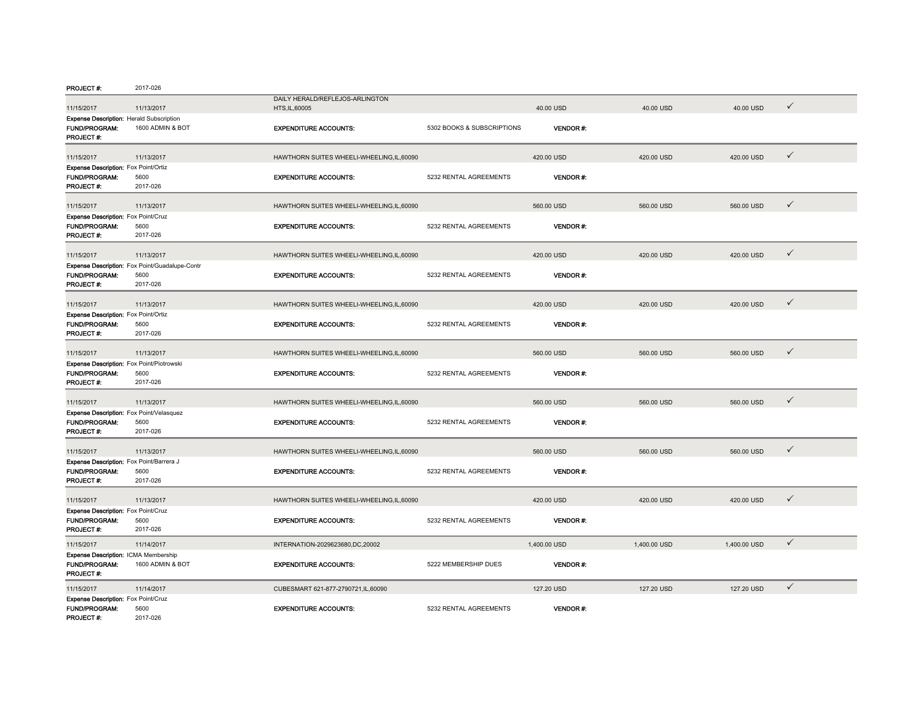| <b>PROJECT#:</b>                                          | 2017-026                                       |                                            |                            |                 |              |              |              |
|-----------------------------------------------------------|------------------------------------------------|--------------------------------------------|----------------------------|-----------------|--------------|--------------|--------------|
|                                                           |                                                | DAILY HERALD/REFLEJOS-ARLINGTON            |                            |                 |              |              |              |
| 11/15/2017                                                | 11/13/2017                                     | HTS, IL, 60005                             |                            | 40.00 USD       | 40.00 USD    | 40.00 USD    | ✓            |
| <b>Expense Description: Herald Subscription</b>           |                                                |                                            |                            |                 |              |              |              |
| FUND/PROGRAM:                                             | 1600 ADMIN & BOT                               | <b>EXPENDITURE ACCOUNTS:</b>               | 5302 BOOKS & SUBSCRIPTIONS | VENDOR#:        |              |              |              |
| PROJECT#:                                                 |                                                |                                            |                            |                 |              |              |              |
|                                                           |                                                |                                            |                            |                 |              |              | $\checkmark$ |
| 11/15/2017                                                | 11/13/2017                                     | HAWTHORN SUITES WHEELI-WHEELING, IL, 60090 |                            | 420.00 USD      | 420.00 USD   | 420.00 USD   |              |
| Expense Description: Fox Point/Ortiz                      |                                                |                                            |                            |                 |              |              |              |
| <b>FUND/PROGRAM:</b><br>PROJECT #:                        | 5600<br>2017-026                               | <b>EXPENDITURE ACCOUNTS:</b>               | 5232 RENTAL AGREEMENTS     | <b>VENDOR#:</b> |              |              |              |
|                                                           |                                                |                                            |                            |                 |              |              |              |
| 11/15/2017                                                | 11/13/2017                                     | HAWTHORN SUITES WHEELI-WHEELING.IL.60090   |                            | 560,00 USD      | 560,00 USD   | 560.00 USD   | $\checkmark$ |
| Expense Description: Fox Point/Cruz                       |                                                |                                            |                            |                 |              |              |              |
| FUND/PROGRAM:                                             | 5600                                           | <b>EXPENDITURE ACCOUNTS:</b>               | 5232 RENTAL AGREEMENTS     | <b>VENDOR#:</b> |              |              |              |
| PROJECT #:                                                | 2017-026                                       |                                            |                            |                 |              |              |              |
|                                                           |                                                |                                            |                            |                 |              |              |              |
| 11/15/2017                                                | 11/13/2017                                     | HAWTHORN SUITES WHEELI-WHEELING,IL,60090   |                            | 420.00 USD      | 420.00 USD   | 420.00 USD   | $\checkmark$ |
|                                                           | Expense Description: Fox Point/Guadalupe-Contr |                                            |                            |                 |              |              |              |
| <b>FUND/PROGRAM:</b>                                      | 5600                                           | <b>EXPENDITURE ACCOUNTS:</b>               | 5232 RENTAL AGREEMENTS     | <b>VENDOR#:</b> |              |              |              |
| PROJECT#:                                                 | 2017-026                                       |                                            |                            |                 |              |              |              |
|                                                           |                                                |                                            |                            |                 |              |              |              |
| 11/15/2017                                                | 11/13/2017                                     | HAWTHORN SUITES WHEELI-WHEELING, IL, 60090 |                            | 420.00 USD      | 420.00 USD   | 420.00 USD   | $\checkmark$ |
| Expense Description: Fox Point/Ortiz                      |                                                |                                            |                            |                 |              |              |              |
| FUND/PROGRAM:                                             | 5600                                           | <b>EXPENDITURE ACCOUNTS:</b>               | 5232 RENTAL AGREEMENTS     | <b>VENDOR#:</b> |              |              |              |
| PROJECT#:                                                 | 2017-026                                       |                                            |                            |                 |              |              |              |
|                                                           |                                                |                                            |                            |                 |              |              |              |
| 11/15/2017                                                | 11/13/2017                                     | HAWTHORN SUITES WHEELI-WHEELING, IL, 60090 |                            | 560.00 USD      | 560.00 USD   | 560.00 USD   | $\checkmark$ |
| Expense Description: Fox Point/Piotrowski                 |                                                |                                            |                            |                 |              |              |              |
| <b>FUND/PROGRAM:</b>                                      | 5600                                           | <b>EXPENDITURE ACCOUNTS:</b>               | 5232 RENTAL AGREEMENTS     | <b>VENDOR#:</b> |              |              |              |
| PROJECT#:                                                 | 2017-026                                       |                                            |                            |                 |              |              |              |
|                                                           | 11/13/2017                                     | HAWTHORN SUITES WHEELI-WHEELING.IL.60090   |                            | 560.00 USD      | 560.00 USD   | 560.00 USD   | $\checkmark$ |
| 11/15/2017                                                |                                                |                                            |                            |                 |              |              |              |
| Expense Description: Fox Point/Velasquez<br>FUND/PROGRAM: | 5600                                           | <b>EXPENDITURE ACCOUNTS:</b>               | 5232 RENTAL AGREEMENTS     | <b>VENDOR#:</b> |              |              |              |
| PROJECT #:                                                | 2017-026                                       |                                            |                            |                 |              |              |              |
|                                                           |                                                |                                            |                            |                 |              |              |              |
| 11/15/2017                                                | 11/13/2017                                     | HAWTHORN SUITES WHEELI-WHEELING, IL, 60090 |                            | 560.00 USD      | 560.00 USD   | 560.00 USD   | $\checkmark$ |
| Expense Description: Fox Point/Barrera J                  |                                                |                                            |                            |                 |              |              |              |
| FUND/PROGRAM:                                             | 5600                                           | <b>EXPENDITURE ACCOUNTS:</b>               | 5232 RENTAL AGREEMENTS     | <b>VENDOR#:</b> |              |              |              |
| PROJECT #:                                                | 2017-026                                       |                                            |                            |                 |              |              |              |
|                                                           |                                                |                                            |                            |                 |              |              |              |
| 11/15/2017                                                | 11/13/2017                                     | HAWTHORN SUITES WHEELI-WHEELING, IL, 60090 |                            | 420.00 USD      | 420.00 USD   | 420.00 USD   | $\checkmark$ |
| <b>Expense Description:</b> Fox Point/Cruz                |                                                |                                            |                            |                 |              |              |              |
| FUND/PROGRAM:                                             | 5600                                           | <b>EXPENDITURE ACCOUNTS:</b>               | 5232 RENTAL AGREEMENTS     | VENDOR#:        |              |              |              |
| PROJECT #:                                                | 2017-026                                       |                                            |                            |                 |              |              |              |
| 11/15/2017                                                | 11/14/2017                                     | INTERNATION-2029623680,DC,20002            |                            | 1,400.00 USD    | 1,400.00 USD | 1,400.00 USD | $\checkmark$ |
| Expense Description: ICMA Membership                      |                                                |                                            |                            |                 |              |              |              |
| FUND/PROGRAM:                                             | 1600 ADMIN & BOT                               | <b>EXPENDITURE ACCOUNTS:</b>               | 5222 MEMBERSHIP DUES       | <b>VENDOR#:</b> |              |              |              |
| PROJECT#:                                                 |                                                |                                            |                            |                 |              |              |              |
|                                                           |                                                |                                            |                            |                 |              |              | $\checkmark$ |
| 11/15/2017                                                | 11/14/2017                                     | CUBESMART 621-877-2790721,IL,60090         |                            | 127.20 USD      | 127.20 USD   | 127.20 USD   |              |
| Expense Description: Fox Point/Cruz<br>FUND/PROGRAM:      | 5600                                           |                                            |                            |                 |              |              |              |
| PROJECT#:                                                 | 2017-026                                       | <b>EXPENDITURE ACCOUNTS:</b>               | 5232 RENTAL AGREEMENTS     | <b>VENDOR#:</b> |              |              |              |
|                                                           |                                                |                                            |                            |                 |              |              |              |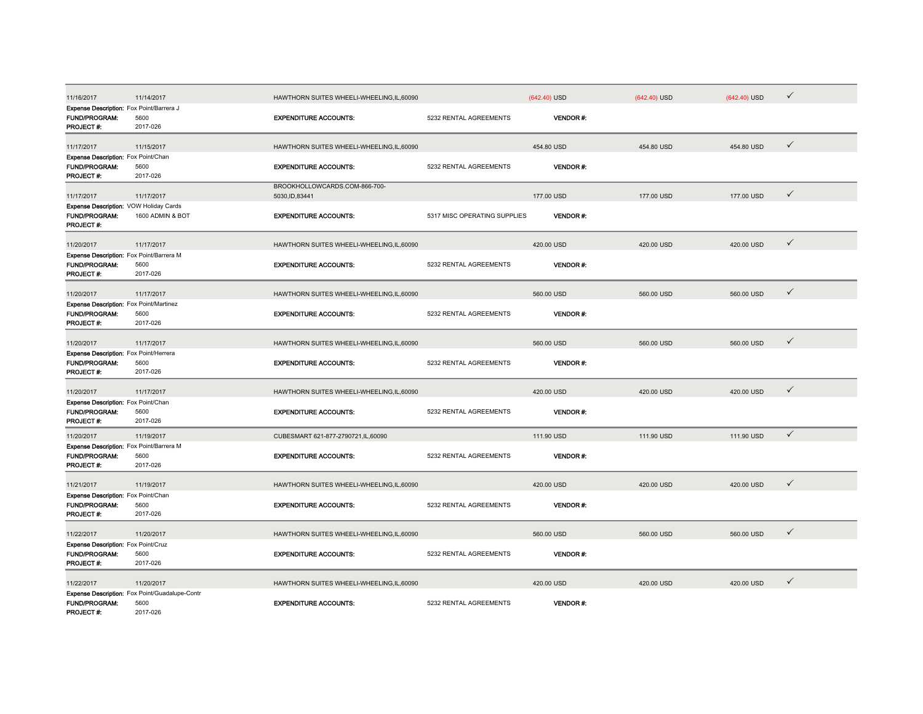| 11/16/2017                                                     | 11/14/2017                                     | HAWTHORN SUITES WHEELI-WHEELING,IL,60090   |                              | $(642.40)$ USD  | $(642.40)$ USD | $(642.40)$ USD | $\checkmark$ |
|----------------------------------------------------------------|------------------------------------------------|--------------------------------------------|------------------------------|-----------------|----------------|----------------|--------------|
| Expense Description: Fox Point/Barrera J                       |                                                |                                            |                              |                 |                |                |              |
| FUND/PROGRAM:                                                  | 5600                                           | <b>EXPENDITURE ACCOUNTS:</b>               | 5232 RENTAL AGREEMENTS       | VENDOR#:        |                |                |              |
| PROJECT #:                                                     | 2017-026                                       |                                            |                              |                 |                |                |              |
| 11/17/2017                                                     | 11/15/2017                                     | HAWTHORN SUITES WHEELI-WHEELING, IL, 60090 |                              | 454.80 USD      | 454.80 USD     | 454.80 USD     | $\checkmark$ |
| Expense Description: Fox Point/Chan                            |                                                |                                            |                              |                 |                |                |              |
| FUND/PROGRAM:                                                  | 5600                                           | <b>EXPENDITURE ACCOUNTS:</b>               | 5232 RENTAL AGREEMENTS       | <b>VENDOR#:</b> |                |                |              |
| PROJECT #:                                                     | 2017-026                                       |                                            |                              |                 |                |                |              |
|                                                                |                                                | BROOKHOLLOWCARDS.COM-866-700-              |                              |                 |                |                |              |
| 11/17/2017                                                     | 11/17/2017                                     | 5030, ID, 83441                            |                              | 177.00 USD      | 177.00 USD     | 177.00 USD     | $\checkmark$ |
| Expense Description: VOW Holiday Cards                         |                                                |                                            |                              |                 |                |                |              |
| FUND/PROGRAM:                                                  | 1600 ADMIN & BOT                               | <b>EXPENDITURE ACCOUNTS:</b>               | 5317 MISC OPERATING SUPPLIES | <b>VENDOR#:</b> |                |                |              |
| PROJECT#:                                                      |                                                |                                            |                              |                 |                |                |              |
| 11/20/2017                                                     | 11/17/2017                                     | HAWTHORN SUITES WHEELI-WHEELING,IL,60090   |                              | 420.00 USD      | 420.00 USD     | 420.00 USD     | $\checkmark$ |
| Expense Description: Fox Point/Barrera M                       |                                                |                                            |                              |                 |                |                |              |
| FUND/PROGRAM:                                                  | 5600                                           | <b>EXPENDITURE ACCOUNTS:</b>               | 5232 RENTAL AGREEMENTS       | VENDOR#:        |                |                |              |
| PROJECT#:                                                      | 2017-026                                       |                                            |                              |                 |                |                |              |
|                                                                |                                                |                                            |                              |                 |                |                |              |
| 11/20/2017                                                     | 11/17/2017                                     | HAWTHORN SUITES WHEELI-WHEELING,IL,60090   |                              | 560.00 USD      | 560.00 USD     | 560.00 USD     | $\checkmark$ |
| Expense Description: Fox Point/Martinez                        |                                                |                                            |                              |                 |                |                |              |
| <b>FUND/PROGRAM:</b>                                           | 5600                                           | <b>EXPENDITURE ACCOUNTS:</b>               | 5232 RENTAL AGREEMENTS       | VENDOR#:        |                |                |              |
| PROJECT#:                                                      | 2017-026                                       |                                            |                              |                 |                |                |              |
| 11/20/2017                                                     | 11/17/2017                                     | HAWTHORN SUITES WHEELI-WHEELING,IL,60090   |                              | 560.00 USD      | 560.00 USD     | 560.00 USD     | $\checkmark$ |
|                                                                |                                                |                                            |                              |                 |                |                |              |
| Expense Description: Fox Point/Herrera<br><b>FUND/PROGRAM:</b> | 5600                                           | <b>EXPENDITURE ACCOUNTS:</b>               | 5232 RENTAL AGREEMENTS       | <b>VENDOR#:</b> |                |                |              |
| PROJECT #:                                                     | 2017-026                                       |                                            |                              |                 |                |                |              |
|                                                                |                                                |                                            |                              |                 |                |                |              |
| 11/20/2017                                                     | 11/17/2017                                     | HAWTHORN SUITES WHEELI-WHEELING,IL,60090   |                              | 420.00 USD      | 420.00 USD     | 420.00 USD     | $\checkmark$ |
| Expense Description: Fox Point/Chan                            |                                                |                                            |                              |                 |                |                |              |
| <b>FUND/PROGRAM:</b>                                           | 5600                                           | <b>EXPENDITURE ACCOUNTS:</b>               | 5232 RENTAL AGREEMENTS       | <b>VENDOR#:</b> |                |                |              |
| PROJECT#:                                                      | 2017-026                                       |                                            |                              |                 |                |                |              |
| 11/20/2017                                                     | 11/19/2017                                     | CUBESMART 621-877-2790721,IL,60090         |                              | 111.90 USD      | 111.90 USD     | 111.90 USD     | $\checkmark$ |
| Expense Description: Fox Point/Barrera M                       |                                                |                                            |                              |                 |                |                |              |
| FUND/PROGRAM:                                                  | 5600                                           | <b>EXPENDITURE ACCOUNTS:</b>               | 5232 RENTAL AGREEMENTS       | <b>VENDOR#:</b> |                |                |              |
| <b>PROJECT#:</b>                                               | 2017-026                                       |                                            |                              |                 |                |                |              |
|                                                                |                                                |                                            |                              |                 |                |                |              |
| 11/21/2017                                                     | 11/19/2017                                     | HAWTHORN SUITES WHEELI-WHEELING, IL, 60090 |                              | 420.00 USD      | 420.00 USD     | 420.00 USD     | $\checkmark$ |
| Expense Description: Fox Point/Chan                            |                                                |                                            |                              |                 |                |                |              |
| FUND/PROGRAM:                                                  | 5600                                           | <b>EXPENDITURE ACCOUNTS:</b>               | 5232 RENTAL AGREEMENTS       | VENDOR#:        |                |                |              |
| PROJECT#:                                                      | 2017-026                                       |                                            |                              |                 |                |                |              |
| 11/22/2017                                                     | 11/20/2017                                     | HAWTHORN SUITES WHEELI-WHEELING,IL,60090   |                              | 560.00 USD      | 560.00 USD     | 560.00 USD     | $\checkmark$ |
| <b>Expense Description:</b> Fox Point/Cruz                     |                                                |                                            |                              |                 |                |                |              |
| FUND/PROGRAM:                                                  | 5600                                           | <b>EXPENDITURE ACCOUNTS:</b>               | 5232 RENTAL AGREEMENTS       | VENDOR#:        |                |                |              |
| PROJECT #:                                                     | 2017-026                                       |                                            |                              |                 |                |                |              |
|                                                                |                                                |                                            |                              |                 |                |                |              |
| 11/22/2017                                                     | 11/20/2017                                     | HAWTHORN SUITES WHEELI-WHEELING, IL, 60090 |                              | 420.00 USD      | 420.00 USD     | 420.00 USD     | $\checkmark$ |
|                                                                | Expense Description: Fox Point/Guadalupe-Contr |                                            |                              |                 |                |                |              |
| <b>FUND/PROGRAM:</b>                                           | 5600                                           | <b>EXPENDITURE ACCOUNTS:</b>               | 5232 RENTAL AGREEMENTS       | <b>VENDOR#:</b> |                |                |              |
| PROJECT #:                                                     | 2017-026                                       |                                            |                              |                 |                |                |              |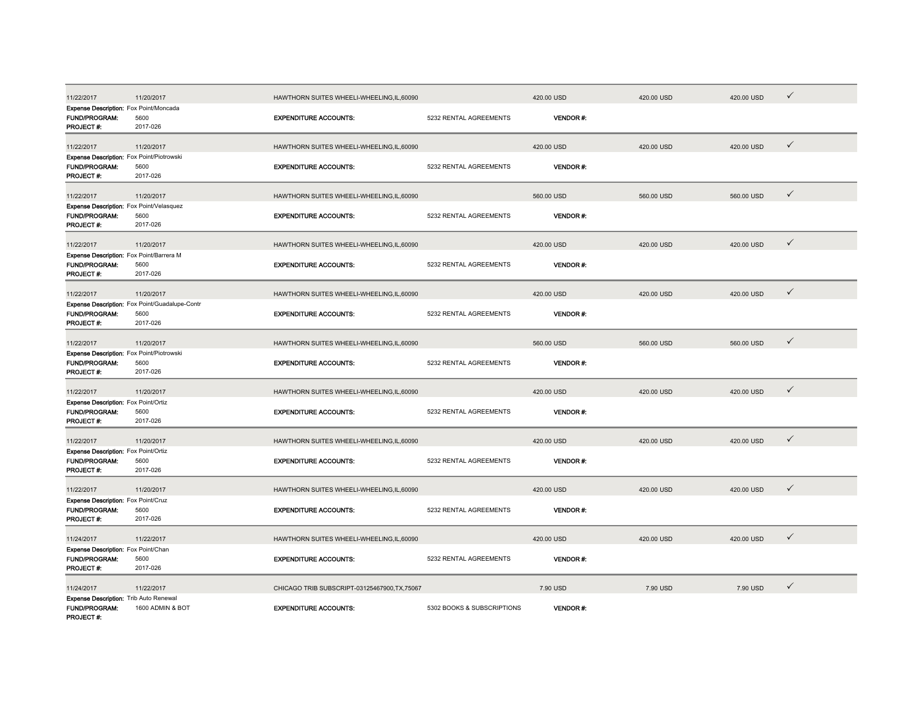| 11/22/2017                                                                     | 11/20/2017                                                         | HAWTHORN SUITES WHEELI-WHEELING, IL, 60090    |                            | 420.00 USD      | 420.00 USD | 420.00 USD | ✓            |
|--------------------------------------------------------------------------------|--------------------------------------------------------------------|-----------------------------------------------|----------------------------|-----------------|------------|------------|--------------|
| Expense Description: Fox Point/Moncada<br>FUND/PROGRAM:<br>PROJECT #:          | 5600<br>2017-026                                                   | <b>EXPENDITURE ACCOUNTS:</b>                  | 5232 RENTAL AGREEMENTS     | <b>VENDOR#:</b> |            |            |              |
| 11/22/2017                                                                     | 11/20/2017                                                         | HAWTHORN SUITES WHEELI-WHEELING, IL, 60090    |                            | 420.00 USD      | 420.00 USD | 420.00 USD | $\checkmark$ |
| Expense Description: Fox Point/Piotrowski<br><b>FUND/PROGRAM:</b><br>PROJECT#: | 5600<br>2017-026                                                   | <b>EXPENDITURE ACCOUNTS:</b>                  | 5232 RENTAL AGREEMENTS     | <b>VENDOR#:</b> |            |            |              |
| 11/22/2017                                                                     | 11/20/2017                                                         | HAWTHORN SUITES WHEELI-WHEELING, IL, 60090    |                            | 560.00 USD      | 560.00 USD | 560.00 USD | $\checkmark$ |
| Expense Description: Fox Point/Velasquez<br><b>FUND/PROGRAM:</b><br>PROJECT #: | 5600<br>2017-026                                                   | <b>EXPENDITURE ACCOUNTS:</b>                  | 5232 RENTAL AGREEMENTS     | <b>VENDOR#:</b> |            |            |              |
| 11/22/2017                                                                     | 11/20/2017                                                         | HAWTHORN SUITES WHEELI-WHEELING, IL, 60090    |                            | 420.00 USD      | 420.00 USD | 420.00 USD | $\checkmark$ |
| Expense Description: Fox Point/Barrera M<br>FUND/PROGRAM:<br>PROJECT#:         | 5600<br>2017-026                                                   | <b>EXPENDITURE ACCOUNTS:</b>                  | 5232 RENTAL AGREEMENTS     | <b>VENDOR#:</b> |            |            |              |
| 11/22/2017                                                                     | 11/20/2017                                                         | HAWTHORN SUITES WHEELI-WHEELING, IL, 60090    |                            | 420.00 USD      | 420.00 USD | 420.00 USD | $\checkmark$ |
| FUND/PROGRAM:<br>PROJECT #:                                                    | Expense Description: Fox Point/Guadalupe-Contr<br>5600<br>2017-026 | <b>EXPENDITURE ACCOUNTS:</b>                  | 5232 RENTAL AGREEMENTS     | <b>VENDOR#:</b> |            |            |              |
| 11/22/2017                                                                     | 11/20/2017                                                         | HAWTHORN SUITES WHEELI-WHEELING,IL,60090      |                            | 560.00 USD      | 560.00 USD | 560.00 USD | $\checkmark$ |
| Expense Description: Fox Point/Piotrowski<br>FUND/PROGRAM:<br>PROJECT #:       | 5600<br>2017-026                                                   | <b>EXPENDITURE ACCOUNTS:</b>                  | 5232 RENTAL AGREEMENTS     | <b>VENDOR#:</b> |            |            |              |
| 11/22/2017                                                                     | 11/20/2017                                                         | HAWTHORN SUITES WHEELI-WHEELING, IL, 60090    |                            | 420.00 USD      | 420.00 USD | 420.00 USD | $\checkmark$ |
| Expense Description: Fox Point/Ortiz<br><b>FUND/PROGRAM:</b><br>PROJECT#:      | 5600<br>2017-026                                                   | <b>EXPENDITURE ACCOUNTS:</b>                  | 5232 RENTAL AGREEMENTS     | <b>VENDOR#:</b> |            |            |              |
| 11/22/2017                                                                     | 11/20/2017                                                         | HAWTHORN SUITES WHEELI-WHEELING,IL,60090      |                            | 420.00 USD      | 420.00 USD | 420.00 USD | $\checkmark$ |
| Expense Description: Fox Point/Ortiz<br>FUND/PROGRAM:<br>PROJECT #:            | 5600<br>2017-026                                                   | <b>EXPENDITURE ACCOUNTS:</b>                  | 5232 RENTAL AGREEMENTS     | VENDOR#:        |            |            |              |
| 11/22/2017                                                                     | 11/20/2017                                                         | HAWTHORN SUITES WHEELI-WHEELING, IL, 60090    |                            | 420.00 USD      | 420.00 USD | 420.00 USD | $\checkmark$ |
| Expense Description: Fox Point/Cruz<br><b>FUND/PROGRAM:</b><br>PROJECT #:      | 5600<br>2017-026                                                   | <b>EXPENDITURE ACCOUNTS:</b>                  | 5232 RENTAL AGREEMENTS     | <b>VENDOR#:</b> |            |            |              |
| 11/24/2017                                                                     | 11/22/2017                                                         | HAWTHORN SUITES WHEELI-WHEELING,IL,60090      |                            | 420.00 USD      | 420.00 USD | 420.00 USD | $\checkmark$ |
| Expense Description: Fox Point/Chan<br>FUND/PROGRAM:<br>PROJECT#:              | 5600<br>2017-026                                                   | <b>EXPENDITURE ACCOUNTS:</b>                  | 5232 RENTAL AGREEMENTS     | <b>VENDOR#:</b> |            |            |              |
| 11/24/2017                                                                     | 11/22/2017                                                         | CHICAGO TRIB SUBSCRIPT-03125467900, TX, 75067 |                            | 7.90 USD        | 7.90 USD   | 7.90 USD   | $\checkmark$ |
| Expense Description: Trib Auto Renewal<br><b>FUND/PROGRAM:</b><br>PROJECT#:    | 1600 ADMIN & BOT                                                   | <b>EXPENDITURE ACCOUNTS:</b>                  | 5302 BOOKS & SUBSCRIPTIONS | <b>VENDOR#:</b> |            |            |              |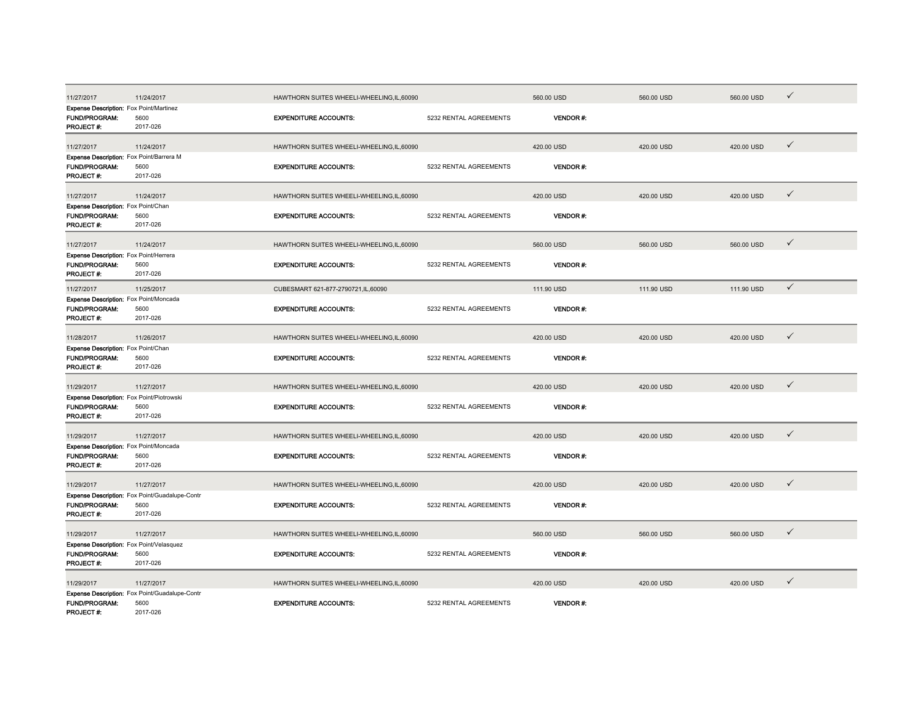| 11/27/2017                                                                   | 11/24/2017                                                         | HAWTHORN SUITES WHEELI-WHEELING,IL,60090   |                        | 560.00 USD      | 560.00 USD | 560.00 USD | $\checkmark$ |
|------------------------------------------------------------------------------|--------------------------------------------------------------------|--------------------------------------------|------------------------|-----------------|------------|------------|--------------|
| Expense Description: Fox Point/Martinez<br>FUND/PROGRAM:<br>PROJECT #:       | 5600<br>2017-026                                                   | <b>EXPENDITURE ACCOUNTS:</b>               | 5232 RENTAL AGREEMENTS | VENDOR#:        |            |            |              |
| 11/27/2017                                                                   | 11/24/2017                                                         | HAWTHORN SUITES WHEELI-WHEELING.IL.60090   |                        | 420.00 USD      | 420.00 USD | 420.00 USD | $\checkmark$ |
| Expense Description: Fox Point/Barrera M<br>FUND/PROGRAM:<br>PROJECT #:      | 5600<br>2017-026                                                   | <b>EXPENDITURE ACCOUNTS:</b>               | 5232 RENTAL AGREEMENTS | <b>VENDOR#:</b> |            |            |              |
| 11/27/2017                                                                   | 11/24/2017                                                         | HAWTHORN SUITES WHEELI-WHEELING,IL,60090   |                        | 420.00 USD      | 420.00 USD | 420.00 USD | $\checkmark$ |
| Expense Description: Fox Point/Chan<br>FUND/PROGRAM:<br>PROJECT#:            | 5600<br>2017-026                                                   | <b>EXPENDITURE ACCOUNTS:</b>               | 5232 RENTAL AGREEMENTS | <b>VENDOR#:</b> |            |            |              |
| 11/27/2017                                                                   | 11/24/2017                                                         | HAWTHORN SUITES WHEELI-WHEELING,IL,60090   |                        | 560.00 USD      | 560.00 USD | 560.00 USD | $\checkmark$ |
| Expense Description: Fox Point/Herrera<br>FUND/PROGRAM:<br>PROJECT#:         | 5600<br>2017-026                                                   | <b>EXPENDITURE ACCOUNTS:</b>               | 5232 RENTAL AGREEMENTS | <b>VENDOR#:</b> |            |            |              |
| 11/27/2017                                                                   | 11/25/2017                                                         | CUBESMART 621-877-2790721,IL,60090         |                        | 111.90 USD      | 111.90 USD | 111.90 USD | $\checkmark$ |
| Expense Description: Fox Point/Moncada<br><b>FUND/PROGRAM:</b><br>PROJECT #: | 5600<br>2017-026                                                   | <b>EXPENDITURE ACCOUNTS:</b>               | 5232 RENTAL AGREEMENTS | VENDOR#:        |            |            |              |
| 11/28/2017                                                                   | 11/26/2017                                                         | HAWTHORN SUITES WHEELI-WHEELING,IL,60090   |                        | 420.00 USD      | 420.00 USD | 420.00 USD | $\checkmark$ |
| Expense Description: Fox Point/Chan<br><b>FUND/PROGRAM:</b><br>PROJECT#:     | 5600<br>2017-026                                                   | <b>EXPENDITURE ACCOUNTS:</b>               | 5232 RENTAL AGREEMENTS | <b>VENDOR#:</b> |            |            |              |
| 11/29/2017                                                                   | 11/27/2017                                                         | HAWTHORN SUITES WHEELI-WHEELING,IL,60090   |                        | 420.00 USD      | 420.00 USD | 420.00 USD | $\checkmark$ |
| Expense Description: Fox Point/Piotrowski<br>FUND/PROGRAM:<br>PROJECT#:      | 5600<br>2017-026                                                   | <b>EXPENDITURE ACCOUNTS:</b>               | 5232 RENTAL AGREEMENTS | <b>VENDOR#:</b> |            |            |              |
| 11/29/2017                                                                   | 11/27/2017                                                         | HAWTHORN SUITES WHEELI-WHEELING,IL,60090   |                        | 420.00 USD      | 420.00 USD | 420.00 USD | $\checkmark$ |
| Expense Description: Fox Point/Moncada<br>FUND/PROGRAM:<br><b>PROJECT#:</b>  | 5600<br>2017-026                                                   | <b>EXPENDITURE ACCOUNTS:</b>               | 5232 RENTAL AGREEMENTS | <b>VENDOR#:</b> |            |            |              |
| 11/29/2017                                                                   | 11/27/2017                                                         | HAWTHORN SUITES WHEELI-WHEELING,IL,60090   |                        | 420.00 USD      | 420.00 USD | 420.00 USD | $\checkmark$ |
| <b>FUND/PROGRAM:</b><br>PROJECT #:                                           | Expense Description: Fox Point/Guadalupe-Contr<br>5600<br>2017-026 | <b>EXPENDITURE ACCOUNTS:</b>               | 5232 RENTAL AGREEMENTS | <b>VENDOR#:</b> |            |            |              |
| 11/29/2017                                                                   | 11/27/2017                                                         | HAWTHORN SUITES WHEELI-WHEELING,IL,60090   |                        | 560.00 USD      | 560.00 USD | 560.00 USD | $\checkmark$ |
| Expense Description: Fox Point/Velasquez<br>FUND/PROGRAM:<br>PROJECT #:      | 5600<br>2017-026                                                   | <b>EXPENDITURE ACCOUNTS:</b>               | 5232 RENTAL AGREEMENTS | VENDOR#:        |            |            |              |
| 11/29/2017                                                                   | 11/27/2017                                                         | HAWTHORN SUITES WHEELI-WHEELING, IL, 60090 |                        | 420.00 USD      | 420.00 USD | 420.00 USD | $\checkmark$ |
| <b>FUND/PROGRAM:</b><br>PROJECT #:                                           | Expense Description: Fox Point/Guadalupe-Contr<br>5600<br>2017-026 | <b>EXPENDITURE ACCOUNTS:</b>               | 5232 RENTAL AGREEMENTS | <b>VENDOR#:</b> |            |            |              |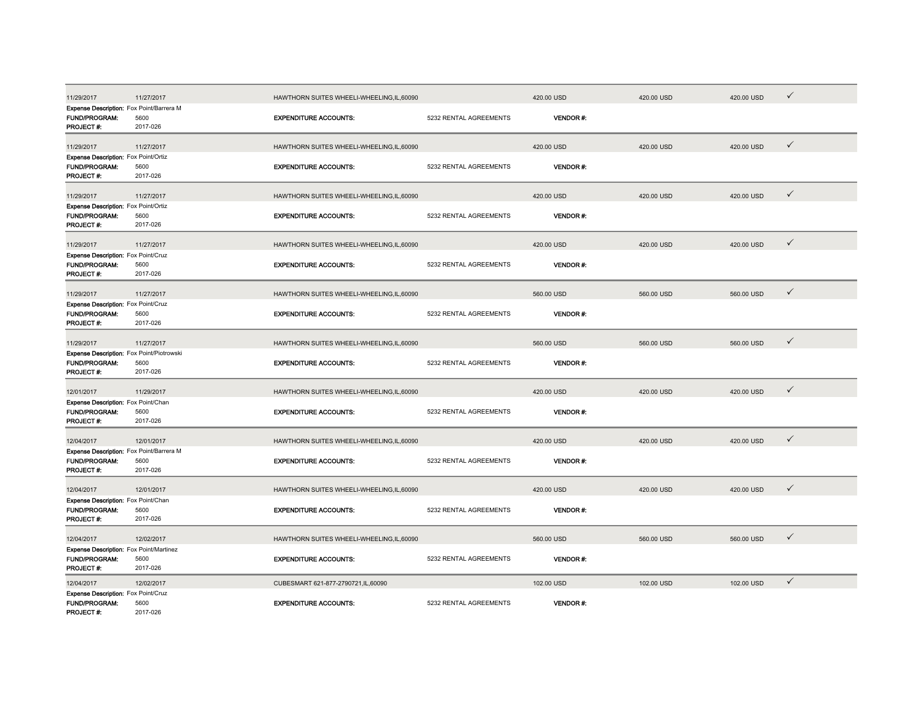| 11/29/2017                                                                        | 11/27/2017       | HAWTHORN SUITES WHEELI-WHEELING,IL,60090   |                        | 420.00 USD      | 420.00 USD | 420.00 USD | $\checkmark$ |
|-----------------------------------------------------------------------------------|------------------|--------------------------------------------|------------------------|-----------------|------------|------------|--------------|
| Expense Description: Fox Point/Barrera M<br>FUND/PROGRAM:<br>PROJECT #:           | 5600<br>2017-026 | <b>EXPENDITURE ACCOUNTS:</b>               | 5232 RENTAL AGREEMENTS | VENDOR#:        |            |            |              |
| 11/29/2017                                                                        | 11/27/2017       | HAWTHORN SUITES WHEELI-WHEELING.IL.60090   |                        | 420.00 USD      | 420.00 USD | 420.00 USD | $\checkmark$ |
| <b>Expense Description:</b> Fox Point/Ortiz<br><b>FUND/PROGRAM:</b><br>PROJECT #: | 5600<br>2017-026 | <b>EXPENDITURE ACCOUNTS:</b>               | 5232 RENTAL AGREEMENTS | <b>VENDOR#:</b> |            |            |              |
| 11/29/2017                                                                        | 11/27/2017       | HAWTHORN SUITES WHEELI-WHEELING,IL,60090   |                        | 420.00 USD      | 420.00 USD | 420.00 USD | $\checkmark$ |
| Expense Description: Fox Point/Ortiz<br>FUND/PROGRAM:<br>PROJECT#:                | 5600<br>2017-026 | <b>EXPENDITURE ACCOUNTS:</b>               | 5232 RENTAL AGREEMENTS | VENDOR#:        |            |            |              |
| 11/29/2017                                                                        | 11/27/2017       | HAWTHORN SUITES WHEELI-WHEELING, IL, 60090 |                        | 420.00 USD      | 420.00 USD | 420.00 USD | $\checkmark$ |
| Expense Description: Fox Point/Cruz<br>FUND/PROGRAM:<br>PROJECT#:                 | 5600<br>2017-026 | <b>EXPENDITURE ACCOUNTS:</b>               | 5232 RENTAL AGREEMENTS | <b>VENDOR#:</b> |            |            |              |
| 11/29/2017                                                                        | 11/27/2017       | HAWTHORN SUITES WHEELI-WHEELING,IL,60090   |                        | 560.00 USD      | 560.00 USD | 560.00 USD | $\checkmark$ |
| Expense Description: Fox Point/Cruz<br>FUND/PROGRAM:<br>PROJECT#:                 | 5600<br>2017-026 | <b>EXPENDITURE ACCOUNTS:</b>               | 5232 RENTAL AGREEMENTS | VENDOR#:        |            |            |              |
| 11/29/2017                                                                        | 11/27/2017       | HAWTHORN SUITES WHEELI-WHEELING,IL,60090   |                        | 560.00 USD      | 560.00 USD | 560.00 USD | $\checkmark$ |
| Expense Description: Fox Point/Piotrowski<br><b>FUND/PROGRAM:</b><br>PROJECT #:   | 5600<br>2017-026 | <b>EXPENDITURE ACCOUNTS:</b>               | 5232 RENTAL AGREEMENTS | <b>VENDOR#:</b> |            |            |              |
| 12/01/2017                                                                        | 11/29/2017       | HAWTHORN SUITES WHEELI-WHEELING,IL,60090   |                        | 420.00 USD      | 420.00 USD | 420.00 USD | $\checkmark$ |
| Expense Description: Fox Point/Chan<br>FUND/PROGRAM:<br>PROJECT #:                | 5600<br>2017-026 | <b>EXPENDITURE ACCOUNTS:</b>               | 5232 RENTAL AGREEMENTS | <b>VENDOR#:</b> |            |            |              |
| 12/04/2017                                                                        | 12/01/2017       | HAWTHORN SUITES WHEELI-WHEELING, IL, 60090 |                        | 420.00 USD      | 420.00 USD | 420.00 USD | $\checkmark$ |
| Expense Description: Fox Point/Barrera M<br><b>FUND/PROGRAM:</b><br>PROJECT #:    | 5600<br>2017-026 | <b>EXPENDITURE ACCOUNTS:</b>               | 5232 RENTAL AGREEMENTS | <b>VENDOR#:</b> |            |            |              |
| 12/04/2017                                                                        | 12/01/2017       | HAWTHORN SUITES WHEELI-WHEELING,IL,60090   |                        | 420.00 USD      | 420.00 USD | 420.00 USD | $\checkmark$ |
| Expense Description: Fox Point/Chan<br>FUND/PROGRAM:<br>PROJECT #:                | 5600<br>2017-026 | <b>EXPENDITURE ACCOUNTS:</b>               | 5232 RENTAL AGREEMENTS | <b>VENDOR#:</b> |            |            |              |
| 12/04/2017                                                                        | 12/02/2017       | HAWTHORN SUITES WHEELI-WHEELING,IL,60090   |                        | 560.00 USD      | 560.00 USD | 560.00 USD | $\checkmark$ |
| Expense Description: Fox Point/Martinez<br>FUND/PROGRAM:<br>PROJECT#:             | 5600<br>2017-026 | <b>EXPENDITURE ACCOUNTS:</b>               | 5232 RENTAL AGREEMENTS | <b>VENDOR#:</b> |            |            |              |
| 12/04/2017                                                                        | 12/02/2017       | CUBESMART 621-877-2790721,IL,60090         |                        | 102.00 USD      | 102.00 USD | 102.00 USD | $\checkmark$ |
| Expense Description: Fox Point/Cruz<br><b>FUND/PROGRAM:</b><br>PROJECT #          | 5600<br>2017-026 | <b>EXPENDITURE ACCOUNTS:</b>               | 5232 RENTAL AGREEMENTS | <b>VENDOR#:</b> |            |            |              |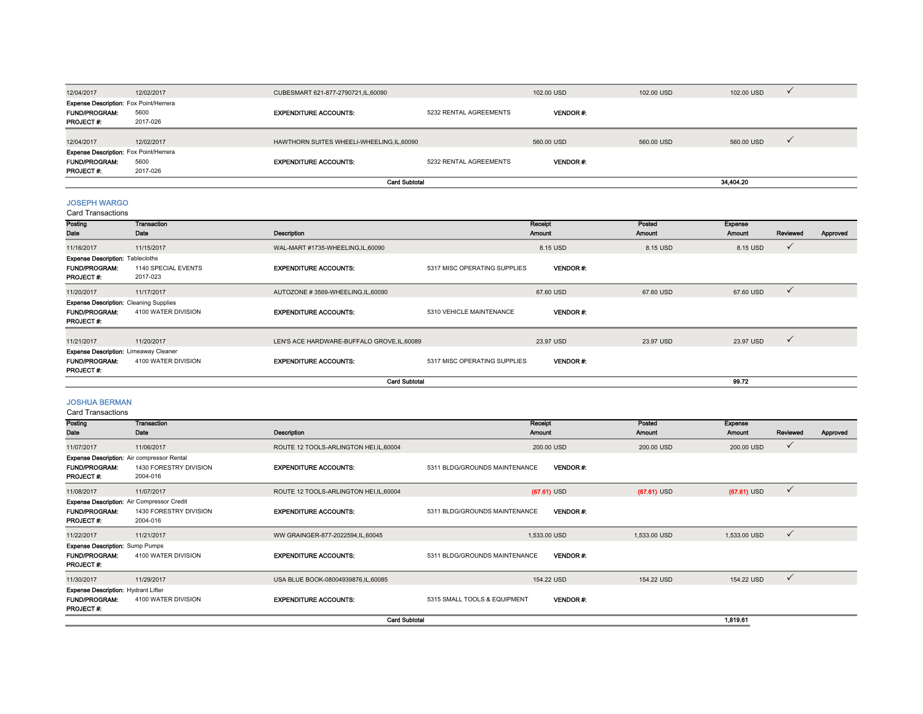|                                                                                           |                  |                                            | <b>Card Subtotal</b>   |                 |            | 34,404.20  |  |
|-------------------------------------------------------------------------------------------|------------------|--------------------------------------------|------------------------|-----------------|------------|------------|--|
| <b>PROJECT#:</b>                                                                          | 2017-026         |                                            |                        |                 |            |            |  |
| <b>Expense Description:</b> Fox Point/Herrera<br><b>FUND/PROGRAM:</b>                     | 5600             | <b>EXPENDITURE ACCOUNTS:</b>               | 5232 RENTAL AGREEMENTS | <b>VENDOR#:</b> |            |            |  |
| 12/04/2017                                                                                | 12/02/2017       | HAWTHORN SUITES WHEELI-WHEELING, IL, 60090 |                        | 560.00 USD      | 560,00 USD | 560.00 USD |  |
| <b>Expense Description:</b> Fox Point/Herrera<br><b>FUND/PROGRAM:</b><br><b>PROJECT#:</b> | 5600<br>2017-026 | <b>EXPENDITURE ACCOUNTS:</b>               | 5232 RENTAL AGREEMENTS | <b>VENDOR#:</b> |            |            |  |
| 12/04/2017                                                                                | 12/02/2017       | CUBESMART 621-877-2790721,IL,60090         |                        | 102.00 USD      | 102.00 USD | 102.00 USD |  |

## JOSEPH WARGO

Card Transactions

| varu manoavuvno                                                                           |                                 |                                             |                              |                   |                  |                   |              |          |
|-------------------------------------------------------------------------------------------|---------------------------------|---------------------------------------------|------------------------------|-------------------|------------------|-------------------|--------------|----------|
| Posting<br>Date                                                                           | Transaction<br>Date             | Description                                 |                              | Receipt<br>Amount | Posted<br>Amount | Expense<br>Amount | Reviewed     | Approved |
| 11/16/2017                                                                                | 11/15/2017                      | WAL-MART #1735-WHEELING, IL, 60090          |                              | 8.15 USD          | 8.15 USD         | 8.15 USD          | √            |          |
| <b>Expense Description: Tablecloths</b><br><b>FUND/PROGRAM:</b><br><b>PROJECT#:</b>       | 1140 SPECIAL EVENTS<br>2017-023 | <b>EXPENDITURE ACCOUNTS:</b>                | 5317 MISC OPERATING SUPPLIES | <b>VENDOR#:</b>   |                  |                   |              |          |
| 11/20/2017                                                                                | 11/17/2017                      | AUTOZONE #3569-WHEELING,IL,60090            |                              | 67.60 USD         | 67.60 USD        | 67.60 USD         | $\checkmark$ |          |
| <b>Expense Description: Cleaning Supplies</b><br><b>FUND/PROGRAM:</b><br><b>PROJECT#:</b> | 4100 WATER DIVISION             | <b>EXPENDITURE ACCOUNTS:</b>                | 5310 VEHICLE MAINTENANCE     | <b>VENDOR#:</b>   |                  |                   |              |          |
| 11/21/2017                                                                                | 11/20/2017                      | LEN'S ACE HARDWARE-BUFFALO GROVE, IL, 60089 |                              | 23.97 USD         | 23.97 USD        | 23.97 USD         | $\checkmark$ |          |
| <b>Expense Description: Limeaway Cleaner</b><br><b>FUND/PROGRAM:</b><br>PROJECT#:         | 4100 WATER DIVISION             | <b>EXPENDITURE ACCOUNTS:</b>                | 5317 MISC OPERATING SUPPLIES | <b>VENDOR#:</b>   |                  |                   |              |          |
|                                                                                           |                                 | <b>Card Subtotal</b>                        |                              |                   |                  | 99.72             |              |          |

# JOSHUA BERMAN

Card Transactions

| Posting                                           | Transaction                        |                                         | Receipt                       |                 | Posted        | <b>Expense</b> |              |          |
|---------------------------------------------------|------------------------------------|-----------------------------------------|-------------------------------|-----------------|---------------|----------------|--------------|----------|
| Date                                              | Date                               | Description                             | Amount                        |                 | Amount        | Amount         | Reviewed     | Approved |
| 11/07/2017                                        | 11/06/2017                         | ROUTE 12 TOOLS-ARLINGTON HEI, IL, 60004 |                               | 200.00 USD      | 200.00 USD    | 200.00 USD     | $\checkmark$ |          |
| <b>Expense Description:</b> Air compressor Rental |                                    |                                         |                               |                 |               |                |              |          |
| <b>FUND/PROGRAM:</b><br>PROJECT #:                | 1430 FORESTRY DIVISION<br>2004-016 | <b>EXPENDITURE ACCOUNTS:</b>            | 5311 BLDG/GROUNDS MAINTENANCE | <b>VENDOR#:</b> |               |                |              |          |
| 11/08/2017                                        | 11/07/2017                         | ROUTE 12 TOOLS-ARLINGTON HEI, IL, 60004 |                               | $(67.61)$ USD   | $(67.61)$ USD | $(67.61)$ USD  | $\checkmark$ |          |
| <b>Expense Description: Air Compressor Credit</b> |                                    |                                         |                               |                 |               |                |              |          |
| <b>FUND/PROGRAM:</b>                              | 1430 FORESTRY DIVISION             | <b>EXPENDITURE ACCOUNTS:</b>            | 5311 BLDG/GROUNDS MAINTENANCE | <b>VENDOR#:</b> |               |                |              |          |
| PROJECT#:                                         | 2004-016                           |                                         |                               |                 |               |                |              |          |
| 11/22/2017                                        | 11/21/2017                         | WW GRAINGER-877-2022594,IL,60045        |                               | 1,533.00 USD    | 1,533.00 USD  | 1,533.00 USD   | $\checkmark$ |          |
| <b>Expense Description:</b> Sump Pumps            |                                    |                                         |                               |                 |               |                |              |          |
| <b>FUND/PROGRAM:</b><br>PROJECT#:                 | 4100 WATER DIVISION                | <b>EXPENDITURE ACCOUNTS:</b>            | 5311 BLDG/GROUNDS MAINTENANCE | <b>VENDOR#:</b> |               |                |              |          |
| 11/30/2017                                        | 11/29/2017                         | USA BLUE BOOK-08004939876,IL,60085      |                               | 154.22 USD      | 154.22 USD    | 154.22 USD     | $\checkmark$ |          |
| <b>Expense Description: Hydrant Lifter</b>        |                                    |                                         |                               |                 |               |                |              |          |
| <b>FUND/PROGRAM:</b><br>PROJECT #:                | 4100 WATER DIVISION                | <b>EXPENDITURE ACCOUNTS:</b>            | 5315 SMALL TOOLS & EQUIPMENT  | <b>VENDOR#:</b> |               |                |              |          |
|                                                   |                                    | <b>Card Subtotal</b>                    |                               |                 |               | 1,819.61       |              |          |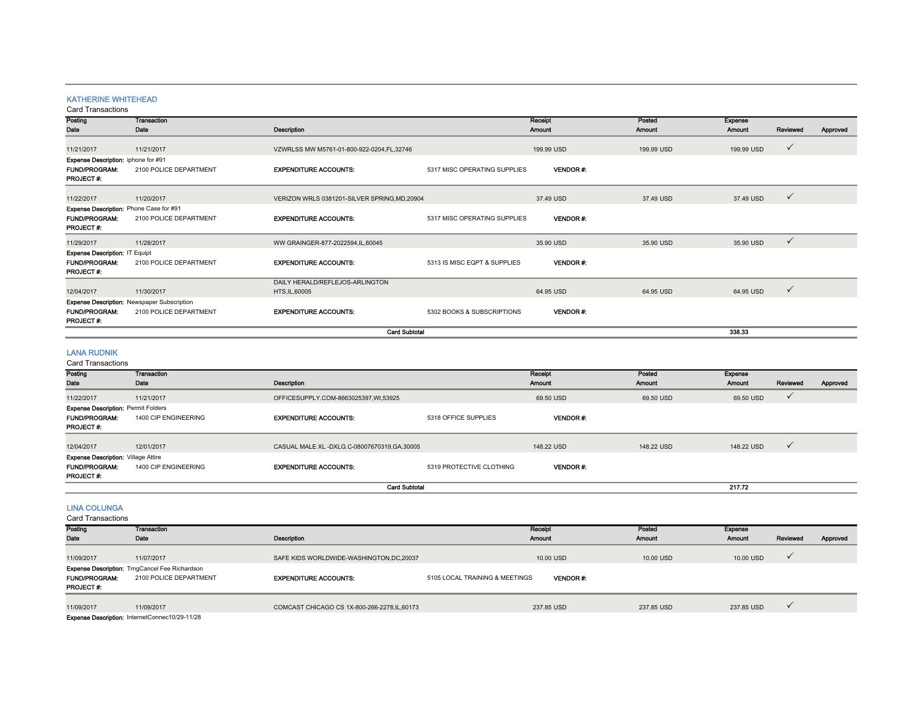## KATHERINE WHITEHEAD

## Card Transactions

| Posting<br>Date                                                                 | <b>Transaction</b><br>Date                                            | Description                                       |                              | Receipt<br>Amount | Posted<br>Amount | <b>Expense</b><br><b>Amount</b> | Reviewed     | Approved |
|---------------------------------------------------------------------------------|-----------------------------------------------------------------------|---------------------------------------------------|------------------------------|-------------------|------------------|---------------------------------|--------------|----------|
| 11/21/2017                                                                      | 11/21/2017                                                            | VZWRLSS MW M5761-01-800-922-0204,FL,32746         |                              | 199.99 USD        | 199.99 USD       | 199.99 USD                      | $\checkmark$ |          |
| Expense Description: iphone for #91<br><b>FUND/PROGRAM:</b><br>PROJECT#:        | 2100 POLICE DEPARTMENT                                                | <b>EXPENDITURE ACCOUNTS:</b>                      | 5317 MISC OPERATING SUPPLIES | <b>VENDOR#:</b>   |                  |                                 |              |          |
| 11/22/2017                                                                      | 11/20/2017                                                            | VERIZON WRLS 0381201-SILVER SPRING, MD, 20904     |                              | 37.49 USD         | 37.49 USD        | 37.49 USD                       | $\checkmark$ |          |
| Expense Description: Phone Case for #91<br><b>FUND/PROGRAM:</b><br>PROJECT#:    | 2100 POLICE DEPARTMENT                                                | <b>EXPENDITURE ACCOUNTS:</b>                      | 5317 MISC OPERATING SUPPLIES | <b>VENDOR#:</b>   |                  |                                 |              |          |
| 11/29/2017                                                                      | 11/28/2017                                                            | WW GRAINGER-877-2022594,IL,60045                  |                              | 35.90 USD         | 35.90 USD        | 35.90 USD                       | $\checkmark$ |          |
| Expense Description: IT Equipt<br><b>FUND/PROGRAM:</b><br>PROJECT#.             | 2100 POLICE DEPARTMENT                                                | <b>EXPENDITURE ACCOUNTS:</b>                      | 5313 IS MISC EQPT & SUPPLIES | <b>VENDOR#:</b>   |                  |                                 |              |          |
| 12/04/2017                                                                      | 11/30/2017                                                            | DAILY HERALD/REFLEJOS-ARLINGTON<br>HTS, IL, 60005 |                              | 64.95 USD         | 64.95 USD        | 64.95 USD                       | $\checkmark$ |          |
| FUND/PROGRAM:<br>PROJECT#:                                                      | Expense Description: Newspaper Subscription<br>2100 POLICE DEPARTMENT | <b>EXPENDITURE ACCOUNTS:</b>                      | 5302 BOOKS & SUBSCRIPTIONS   | <b>VENDOR#:</b>   |                  |                                 |              |          |
|                                                                                 |                                                                       | <b>Card Subtotal</b>                              |                              |                   |                  | 338.33                          |              |          |
| <b>LANA RUDNIK</b><br><b>Card Transactions</b>                                  |                                                                       |                                                   |                              |                   |                  |                                 |              |          |
| Posting<br>Date                                                                 | Transaction<br>Date                                                   | Description                                       |                              | Receipt<br>Amount | Posted<br>Amount | <b>Expense</b><br><b>Amount</b> | Reviewed     | Approved |
| 11/22/2017                                                                      | 11/21/2017                                                            | OFFICESUPPLY.COM-8663025397,WI,53925              |                              | 69.50 USD         | 69.50 USD        | 69.50 USD                       | $\checkmark$ |          |
| <b>Expense Description: Permit Folders</b><br><b>FUND/PROGRAM:</b><br>PROJECT#: | 1400 CIP ENGINEERING                                                  | <b>EXPENDITURE ACCOUNTS:</b>                      | 5318 OFFICE SUPPLIES         | <b>VENDOR#:</b>   |                  |                                 |              |          |
| 12/04/2017                                                                      | 12/01/2017                                                            | CASUAL MALE XL -DXLG.C-08007670319, GA, 30005     |                              | 148.22 USD        | 148.22 USD       | 148.22 USD                      | $\checkmark$ |          |
| Expense Description: Village Attire<br><b>FUND/PROGRAM:</b><br>PROJECT #:       | 1400 CIP ENGINEERING                                                  | <b>EXPENDITURE ACCOUNTS:</b>                      | 5319 PROTECTIVE CLOTHING     | <b>VENDOR#:</b>   |                  |                                 |              |          |
|                                                                                 |                                                                       | <b>Card Subtotal</b>                              |                              |                   |                  | 217.72                          |              |          |
| <b>LINA COLUNGA</b><br><b>Card Transactions</b><br>Posting                      | Transaction                                                           |                                                   |                              | Rocoipt           | Posted           | <b>Expense</b>                  |              |          |

| Date                                     | Date                                                                            | <b>Description</b>                            | Amount                                            | Amount     | <b>Amount</b> | Reviewed | Approved |
|------------------------------------------|---------------------------------------------------------------------------------|-----------------------------------------------|---------------------------------------------------|------------|---------------|----------|----------|
| 11/09/2017                               | 11/07/2017                                                                      | SAFE KIDS WORLDWIDE-WASHINGTON, DC, 20037     | 10.00 USD                                         | 10.00 USD  | 10.00 USD     |          |          |
| <b>FUND/PROGRAM:</b><br><b>PROJECT#:</b> | <b>Expense Description: TrngCancel Fee Richardson</b><br>2100 POLICE DEPARTMENT | <b>EXPENDITURE ACCOUNTS:</b>                  | <b>VENDOR#:</b><br>5105 LOCAL TRAINING & MEETINGS |            |               |          |          |
| 11/09/2017                               | 11/09/2017                                                                      | COMCAST CHICAGO CS 1X-800-266-2278, IL, 60173 | 237.85 USD                                        | 237.85 USD | 237.85 USD    |          |          |
|                                          | Evenese Benevision: InternatConnect0/20 44/20                                   |                                               |                                                   |            |               |          |          |

Expense Description: InternetConnec10/29-11/28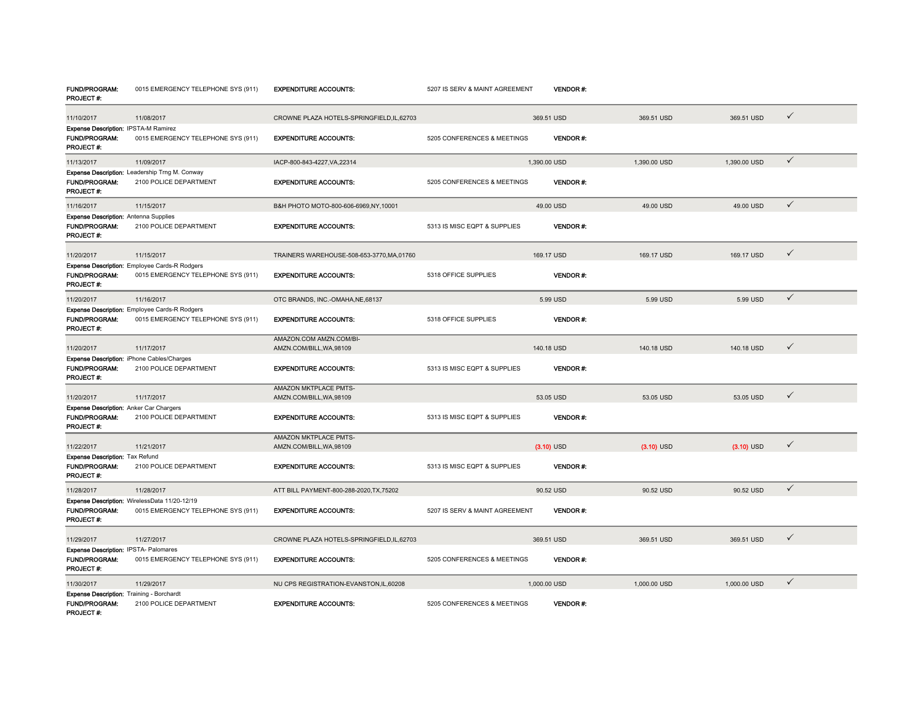| <b>FUND/PROGRAM:</b><br>PROJECT#:                                                     | 0015 EMERGENCY TELEPHONE SYS (911)                                                  | <b>EXPENDITURE ACCOUNTS:</b>                        | 5207 IS SERV & MAINT AGREEMENT |              | <b>VENDOR #:</b> |              |              |              |
|---------------------------------------------------------------------------------------|-------------------------------------------------------------------------------------|-----------------------------------------------------|--------------------------------|--------------|------------------|--------------|--------------|--------------|
| 11/10/2017                                                                            | 11/08/2017                                                                          | CROWNE PLAZA HOTELS-SPRINGFIELD.IL.62703            |                                | 369.51 USD   |                  | 369.51 USD   | 369.51 USD   | $\checkmark$ |
| Expense Description: IPSTA-M Ramirez                                                  |                                                                                     |                                                     |                                |              |                  |              |              |              |
| FUND/PROGRAM:<br>PROJECT#:                                                            | 0015 EMERGENCY TELEPHONE SYS (911)                                                  | <b>EXPENDITURE ACCOUNTS:</b>                        | 5205 CONFERENCES & MEETINGS    |              | <b>VENDOR#:</b>  |              |              |              |
| 11/13/2017                                                                            | 11/09/2017                                                                          | IACP-800-843-4227.VA.22314                          |                                | 1.390.00 USD |                  | 1.390.00 USD | 1.390.00 USD | $\checkmark$ |
| FUND/PROGRAM:<br>PROJECT#:                                                            | Expense Description: Leadership Trng M. Conway<br>2100 POLICE DEPARTMENT            | <b>EXPENDITURE ACCOUNTS:</b>                        | 5205 CONFERENCES & MEETINGS    |              | <b>VENDOR#:</b>  |              |              |              |
| 11/16/2017                                                                            | 11/15/2017                                                                          | B&H PHOTO MOTO-800-606-6969,NY,10001                |                                | 49.00 USD    |                  | 49.00 USD    | 49.00 USD    | $\checkmark$ |
| <b>Expense Description: Antenna Supplies</b>                                          |                                                                                     |                                                     |                                |              |                  |              |              |              |
| <b>FUND/PROGRAM:</b><br>PROJECT#:                                                     | 2100 POLICE DEPARTMENT                                                              | <b>EXPENDITURE ACCOUNTS:</b>                        | 5313 IS MISC EQPT & SUPPLIES   |              | VENDOR#:         |              |              |              |
| 11/20/2017                                                                            | 11/15/2017                                                                          | TRAINERS WAREHOUSE-508-653-3770, MA, 01760          |                                | 169.17 USD   |                  | 169.17 USD   | 169.17 USD   | ✓            |
|                                                                                       | <b>Expense Description:</b> Employee Cards-R Rodgers                                |                                                     |                                |              |                  |              |              |              |
| FUND/PROGRAM:<br>PROJECT#:                                                            | 0015 EMERGENCY TELEPHONE SYS (911)                                                  | <b>EXPENDITURE ACCOUNTS:</b>                        | 5318 OFFICE SUPPLIES           |              | <b>VENDOR#:</b>  |              |              |              |
| 11/20/2017                                                                            | 11/16/2017                                                                          | OTC BRANDS, INC.-OMAHA, NE, 68137                   |                                | 5.99 USD     |                  | 5.99 USD     | 5.99 USD     | $\checkmark$ |
|                                                                                       | Expense Description: Employee Cards-R Rodgers                                       |                                                     |                                |              |                  |              |              |              |
| FUND/PROGRAM:<br>PROJECT#:                                                            | 0015 EMERGENCY TELEPHONE SYS (911)                                                  | <b>EXPENDITURE ACCOUNTS:</b>                        | 5318 OFFICE SUPPLIES           |              | <b>VENDOR#:</b>  |              |              |              |
| 11/20/2017                                                                            | 11/17/2017                                                                          | AMAZON.COM AMZN.COM/BI-<br>AMZN.COM/BILL, WA, 98109 |                                | 140.18 USD   |                  | 140.18 USD   | 140.18 USD   | $\checkmark$ |
|                                                                                       | Expense Description: iPhone Cables/Charges                                          |                                                     |                                |              |                  |              |              |              |
| <b>FUND/PROGRAM:</b><br>PROJECT#:                                                     | 2100 POLICE DEPARTMENT                                                              | <b>EXPENDITURE ACCOUNTS:</b>                        | 5313 IS MISC EQPT & SUPPLIES   |              | <b>VENDOR#:</b>  |              |              |              |
|                                                                                       |                                                                                     | AMAZON MKTPLACE PMTS-<br>AMZN.COM/BILL, WA, 98109   |                                | 53.05 USD    |                  | 53.05 USD    | 53.05 USD    | $\checkmark$ |
| 11/20/2017<br>Expense Description: Anker Car Chargers                                 | 11/17/2017                                                                          |                                                     |                                |              |                  |              |              |              |
| <b>FUND/PROGRAM:</b><br>PROJECT#:                                                     | 2100 POLICE DEPARTMENT                                                              | <b>EXPENDITURE ACCOUNTS:</b>                        | 5313 IS MISC EQPT & SUPPLIES   |              | <b>VENDOR#:</b>  |              |              |              |
| 11/22/2017                                                                            | 11/21/2017                                                                          | AMAZON MKTPLACE PMTS-<br>AMZN.COM/BILL, WA, 98109   |                                | $(3.10)$ USD |                  | $(3.10)$ USD | $(3.10)$ USD | ✓            |
| <b>Expense Description: Tax Refund</b>                                                |                                                                                     |                                                     |                                |              |                  |              |              |              |
| <b>FUND/PROGRAM:</b><br>PROJECT#:                                                     | 2100 POLICE DEPARTMENT                                                              | <b>EXPENDITURE ACCOUNTS:</b>                        | 5313 IS MISC EQPT & SUPPLIES   |              | <b>VENDOR#:</b>  |              |              |              |
| 11/28/2017                                                                            | 11/28/2017                                                                          | ATT BILL PAYMENT-800-288-2020, TX, 75202            |                                | 90.52 USD    |                  | 90.52 USD    | 90.52 USD    | $\checkmark$ |
| <b>FUND/PROGRAM:</b><br>PROJECT#:                                                     | Expense Description: WirelessData 11/20-12/19<br>0015 EMERGENCY TELEPHONE SYS (911) | <b>EXPENDITURE ACCOUNTS:</b>                        | 5207 IS SERV & MAINT AGREEMENT |              | <b>VENDOR#:</b>  |              |              |              |
| 11/29/2017                                                                            | 11/27/2017                                                                          | CROWNE PLAZA HOTELS-SPRINGFIELD, IL, 62703          |                                | 369.51 USD   |                  | 369.51 USD   | 369.51 USD   | ✓            |
| Expense Description: IPSTA-Palomares                                                  |                                                                                     |                                                     |                                |              |                  |              |              |              |
| <b>FUND/PROGRAM:</b><br>PROJECT#:                                                     | 0015 EMERGENCY TELEPHONE SYS (911)                                                  | <b>EXPENDITURE ACCOUNTS:</b>                        | 5205 CONFERENCES & MEETINGS    |              | <b>VENDOR#:</b>  |              |              |              |
| 11/30/2017                                                                            | 11/29/2017                                                                          | NU CPS REGISTRATION-EVANSTON, IL, 60208             |                                | 1,000.00 USD |                  | 1,000.00 USD | 1,000.00 USD | $\checkmark$ |
| <b>Expense Description: Training - Borchardt</b><br><b>FUND/PROGRAM:</b><br>PROJECT#: | 2100 POLICE DEPARTMENT                                                              | <b>EXPENDITURE ACCOUNTS:</b>                        | 5205 CONFERENCES & MEETINGS    |              | <b>VENDOR#:</b>  |              |              |              |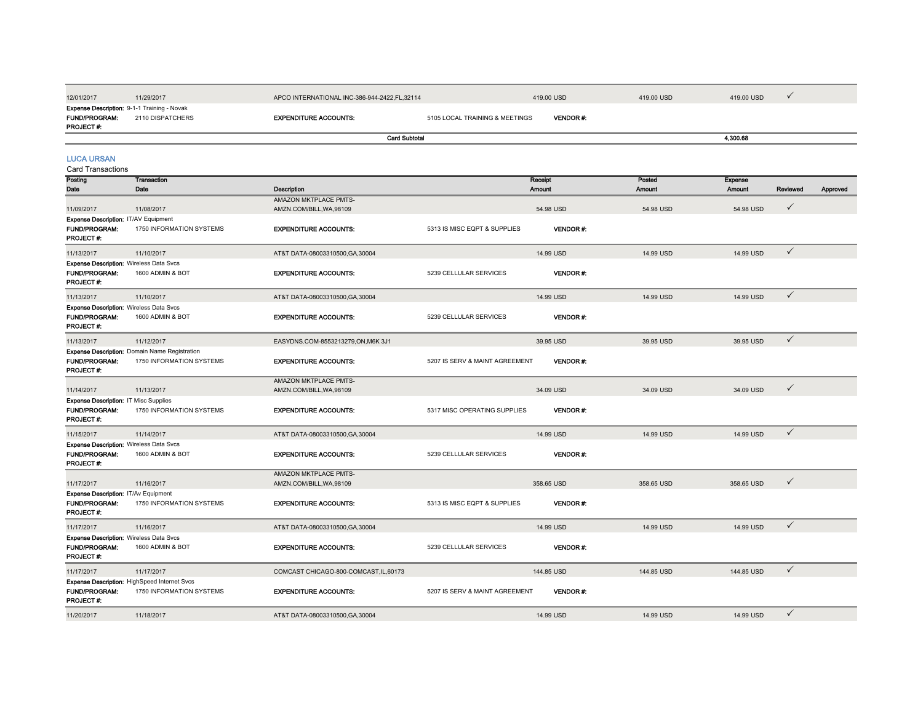| 12/01/2017                                                           | 11/29/2017                                    | APCO INTERNATIONAL INC-386-944-2422, FL, 32114 |                                | 419.00 USD      | 419.00 USD    | 419.00 USD     | ✓            |          |
|----------------------------------------------------------------------|-----------------------------------------------|------------------------------------------------|--------------------------------|-----------------|---------------|----------------|--------------|----------|
|                                                                      | Expense Description: 9-1-1 Training - Novak   |                                                |                                |                 |               |                |              |          |
| FUND/PROGRAM:<br>PROJECT#:                                           | 2110 DISPATCHERS                              | <b>EXPENDITURE ACCOUNTS:</b>                   | 5105 LOCAL TRAINING & MEETINGS | VENDOR#:        |               |                |              |          |
|                                                                      |                                               | <b>Card Subtotal</b>                           |                                |                 |               | 4,300.68       |              |          |
|                                                                      |                                               |                                                |                                |                 |               |                |              |          |
| <b>LUCA URSAN</b><br><b>Card Transactions</b>                        |                                               |                                                |                                |                 |               |                |              |          |
| Posting                                                              | Transaction                                   |                                                |                                | Receipt         | Posted        | <b>Expense</b> |              |          |
| Date                                                                 | Date                                          | Description                                    |                                | <b>Amount</b>   | <b>Amount</b> | <b>Amount</b>  | Reviewed     | Approved |
|                                                                      |                                               | AMAZON MKTPLACE PMTS-                          |                                |                 |               |                |              |          |
| 11/09/2017                                                           | 11/08/2017                                    | AMZN.COM/BILL, WA, 98109                       |                                | 54.98 USD       | 54.98 USD     | 54.98 USD      | ✓            |          |
| Expense Description: IT/AV Equipment<br><b>FUND/PROGRAM:</b>         | 1750 INFORMATION SYSTEMS                      | <b>EXPENDITURE ACCOUNTS:</b>                   | 5313 IS MISC EQPT & SUPPLIES   | <b>VENDOR#:</b> |               |                |              |          |
| PROJECT#:                                                            |                                               |                                                |                                |                 |               |                |              |          |
| 11/13/2017                                                           | 11/10/2017                                    | AT&T DATA-08003310500, GA, 30004               |                                | 14.99 USD       | 14.99 USD     | 14.99 USD      | $\checkmark$ |          |
| <b>Expense Description: Wireless Data Svcs</b>                       |                                               |                                                |                                |                 |               |                |              |          |
| <b>FUND/PROGRAM:</b><br>PROJECT #:                                   | 1600 ADMIN & BOT                              | <b>EXPENDITURE ACCOUNTS:</b>                   | 5239 CELLULAR SERVICES         | <b>VENDOR#:</b> |               |                |              |          |
| 11/13/2017                                                           | 11/10/2017                                    | AT&T DATA-08003310500, GA, 30004               |                                | 14.99 USD       | 14.99 USD     | 14.99 USD      | $\checkmark$ |          |
| <b>Expense Description: Wireless Data Svcs</b>                       |                                               |                                                |                                |                 |               |                |              |          |
| <b>FUND/PROGRAM:</b><br>PROJECT#:                                    | 1600 ADMIN & BOT                              | <b>EXPENDITURE ACCOUNTS:</b>                   | 5239 CELLULAR SERVICES         | VENDOR#:        |               |                |              |          |
| 11/13/2017                                                           | 11/12/2017                                    | EASYDNS.COM-8553213279,ON,M6K 3J1              |                                | 39.95 USD       | 39.95 USD     | 39.95 USD      | $\checkmark$ |          |
|                                                                      | Expense Description: Domain Name Registration |                                                |                                |                 |               |                |              |          |
| FUND/PROGRAM:<br>PROJECT#:                                           | 1750 INFORMATION SYSTEMS                      | <b>EXPENDITURE ACCOUNTS:</b>                   | 5207 IS SERV & MAINT AGREEMENT | <b>VENDOR#:</b> |               |                |              |          |
|                                                                      |                                               | AMAZON MKTPLACE PMTS-                          |                                |                 |               |                |              |          |
| 11/14/2017                                                           | 11/13/2017                                    | AMZN.COM/BILL, WA, 98109                       |                                | 34.09 USD       | 34.09 USD     | 34.09 USD      | $\checkmark$ |          |
| <b>Expense Description: IT Misc Supplies</b><br><b>FUND/PROGRAM:</b> | 1750 INFORMATION SYSTEMS                      | <b>EXPENDITURE ACCOUNTS:</b>                   | 5317 MISC OPERATING SUPPLIES   | VENDOR#:        |               |                |              |          |
| PROJECT#:                                                            |                                               |                                                |                                |                 |               |                |              |          |
| 11/15/2017                                                           | 11/14/2017                                    | AT&T DATA-08003310500.GA.30004                 |                                | 14.99 USD       | 14.99 USD     | 14.99 USD      | $\checkmark$ |          |
| <b>Expense Description: Wireless Data Svcs</b>                       |                                               |                                                |                                |                 |               |                |              |          |
| FUND/PROGRAM:<br>PROJECT#:                                           | 1600 ADMIN & BOT                              | <b>EXPENDITURE ACCOUNTS:</b>                   | 5239 CELLULAR SERVICES         | VENDOR#:        |               |                |              |          |
|                                                                      |                                               | AMAZON MKTPLACE PMTS-                          |                                |                 |               | 358.65 USD     | $\checkmark$ |          |
| 11/17/2017<br>Expense Description: IT/Av Equipment                   | 11/16/2017                                    | AMZN.COM/BILL, WA, 98109                       |                                | 358.65 USD      | 358.65 USD    |                |              |          |
| FUND/PROGRAM:<br>PROJECT#:                                           | 1750 INFORMATION SYSTEMS                      | <b>EXPENDITURE ACCOUNTS:</b>                   | 5313 IS MISC EQPT & SUPPLIES   | VENDOR#:        |               |                |              |          |
| 11/17/2017                                                           | 11/16/2017                                    | AT&T DATA-08003310500, GA, 30004               |                                | 14.99 USD       | 14.99 USD     | 14.99 USD      | $\checkmark$ |          |
| <b>Expense Description: Wireless Data Svcs</b>                       |                                               |                                                |                                |                 |               |                |              |          |
| FUND/PROGRAM:<br>PROJECT#:                                           | 1600 ADMIN & BOT                              | <b>EXPENDITURE ACCOUNTS:</b>                   | 5239 CELLULAR SERVICES         | VENDOR#:        |               |                |              |          |
| 11/17/2017                                                           | 11/17/2017                                    | COMCAST CHICAGO-800-COMCAST, IL, 60173         |                                | 144.85 USD      | 144.85 USD    | 144.85 USD     | $\checkmark$ |          |
|                                                                      | Expense Description: HighSpeed Internet Svcs  |                                                |                                |                 |               |                |              |          |
| FUND/PROGRAM:<br>PROJECT#:                                           | 1750 INFORMATION SYSTEMS                      | <b>EXPENDITURE ACCOUNTS:</b>                   | 5207 IS SERV & MAINT AGREEMENT | VENDOR#:        |               |                |              |          |
| 11/20/2017                                                           | 11/18/2017                                    | AT&T DATA-08003310500.GA.30004                 |                                | 14.99 USD       | 14.99 USD     | 14.99 USD      | ✓            |          |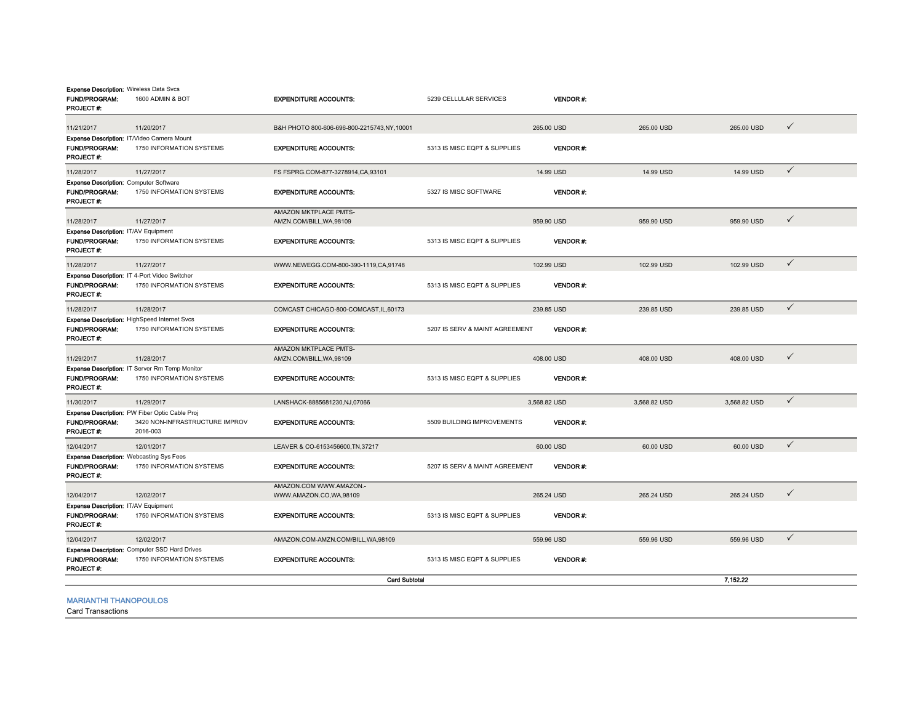| <b>Expense Description: Wireless Data Svcs</b><br><b>FUND/PROGRAM:</b><br>PROJECT #: | 1600 ADMIN & BOT                                                                             | <b>EXPENDITURE ACCOUNTS:</b>                      | 5239 CELLULAR SERVICES         | <b>VENDOR#:</b> |              |              |              |
|--------------------------------------------------------------------------------------|----------------------------------------------------------------------------------------------|---------------------------------------------------|--------------------------------|-----------------|--------------|--------------|--------------|
| 11/21/2017                                                                           | 11/20/2017                                                                                   | B&H PHOTO 800-606-696-800-2215743.NY.10001        |                                | 265.00 USD      | 265,00 USD   | 265.00 USD   | $\checkmark$ |
| Expense Description: IT/Video Camera Mount<br><b>FUND/PROGRAM:</b><br>PROJECT#:      | 1750 INFORMATION SYSTEMS                                                                     | <b>EXPENDITURE ACCOUNTS:</b>                      | 5313 IS MISC EQPT & SUPPLIES   | <b>VENDOR#:</b> |              |              |              |
| 11/28/2017                                                                           | 11/27/2017                                                                                   | FS FSPRG.COM-877-3278914,CA,93101                 |                                | 14.99 USD       | 14.99 USD    | 14.99 USD    | $\checkmark$ |
| <b>Expense Description: Computer Software</b><br><b>FUND/PROGRAM:</b><br>PROJECT #:  | 1750 INFORMATION SYSTEMS                                                                     | <b>EXPENDITURE ACCOUNTS:</b>                      | 5327 IS MISC SOFTWARE          | <b>VENDOR#:</b> |              |              |              |
| 11/28/2017                                                                           | 11/27/2017                                                                                   | AMAZON MKTPLACE PMTS-<br>AMZN.COM/BILL, WA, 98109 |                                | 959.90 USD      | 959.90 USD   | 959.90 USD   | $\checkmark$ |
| Expense Description: IT/AV Equipment<br><b>FUND/PROGRAM:</b><br>PROJECT #:           | 1750 INFORMATION SYSTEMS                                                                     | <b>EXPENDITURE ACCOUNTS:</b>                      | 5313 IS MISC EQPT & SUPPLIES   | <b>VENDOR#:</b> |              |              |              |
| 11/28/2017                                                                           | 11/27/2017                                                                                   | WWW.NEWEGG.COM-800-390-1119.CA.91748              |                                | 102.99 USD      | 102.99 USD   | 102.99 USD   | $\checkmark$ |
| <b>FUND/PROGRAM:</b><br>PROJECT#:                                                    | Expense Description: IT 4-Port Video Switcher<br>1750 INFORMATION SYSTEMS                    | <b>EXPENDITURE ACCOUNTS:</b>                      | 5313 IS MISC EQPT & SUPPLIES   | <b>VENDOR#:</b> |              |              |              |
| 11/28/2017                                                                           | 11/28/2017                                                                                   | COMCAST CHICAGO-800-COMCAST, IL, 60173            |                                | 239.85 USD      | 239.85 USD   | 239.85 USD   | $\checkmark$ |
| <b>FUND/PROGRAM:</b><br><b>PROJECT#:</b>                                             | <b>Expense Description: HighSpeed Internet Svcs</b><br>1750 INFORMATION SYSTEMS              | <b>EXPENDITURE ACCOUNTS:</b>                      | 5207 IS SERV & MAINT AGREEMENT | <b>VENDOR#:</b> |              |              |              |
| 11/29/2017                                                                           | 11/28/2017                                                                                   | AMAZON MKTPLACE PMTS-<br>AMZN.COM/BILL, WA, 98109 |                                | 408.00 USD      | 408.00 USD   | 408,00 USD   | $\checkmark$ |
| <b>FUND/PROGRAM:</b><br>PROJECT #:                                                   | Expense Description: IT Server Rm Temp Monitor<br>1750 INFORMATION SYSTEMS                   | <b>EXPENDITURE ACCOUNTS:</b>                      | 5313 IS MISC EQPT & SUPPLIES   | <b>VENDOR#:</b> |              |              |              |
| 11/30/2017                                                                           | 11/29/2017                                                                                   | LANSHACK-8885681230,NJ,07066                      |                                | 3,568.82 USD    | 3,568.82 USD | 3,568.82 USD | $\checkmark$ |
| <b>FUND/PROGRAM:</b><br>PROJECT#:                                                    | Expense Description: PW Fiber Optic Cable Proj<br>3420 NON-INFRASTRUCTURE IMPROV<br>2016-003 | <b>EXPENDITURE ACCOUNTS:</b>                      | 5509 BUILDING IMPROVEMENTS     | <b>VENDOR#:</b> |              |              |              |
| 12/04/2017                                                                           | 12/01/2017                                                                                   | LEAVER & CO-6153456600, TN, 37217                 |                                | 60.00 USD       | 60.00 USD    | 60.00 USD    | $\checkmark$ |
| <b>Expense Description: Webcasting Sys Fees</b><br><b>FUND/PROGRAM:</b><br>PROJECT#: | 1750 INFORMATION SYSTEMS                                                                     | <b>EXPENDITURE ACCOUNTS:</b>                      | 5207 IS SERV & MAINT AGREEMENT | <b>VENDOR#:</b> |              |              |              |
| 12/04/2017                                                                           | 12/02/2017                                                                                   | AMAZON.COM WWW.AMAZON.-<br>WWW.AMAZON.CO,WA,98109 |                                | 265.24 USD      | 265.24 USD   | 265.24 USD   | $\checkmark$ |
| Expense Description: IT/AV Equipment<br>FUND/PROGRAM:<br><b>PROJECT#:</b>            | 1750 INFORMATION SYSTEMS                                                                     | <b>EXPENDITURE ACCOUNTS:</b>                      | 5313 IS MISC EQPT & SUPPLIES   | VENDOR#:        |              |              |              |
| 12/04/2017                                                                           | 12/02/2017                                                                                   | AMAZON.COM-AMZN.COM/BILL, WA, 98109               |                                | 559.96 USD      | 559.96 USD   | 559.96 USD   | $\checkmark$ |
| <b>FUND/PROGRAM:</b><br>PROJECT#:                                                    | Expense Description: Computer SSD Hard Drives<br>1750 INFORMATION SYSTEMS                    | <b>EXPENDITURE ACCOUNTS:</b>                      | 5313 IS MISC EQPT & SUPPLIES   | <b>VENDOR#:</b> |              |              |              |
|                                                                                      |                                                                                              | <b>Card Subtotal</b>                              |                                |                 |              | 7,152.22     |              |
| <b>MARIANTHI THANOPOULOS</b>                                                         |                                                                                              |                                                   |                                |                 |              |              |              |

Card Transactions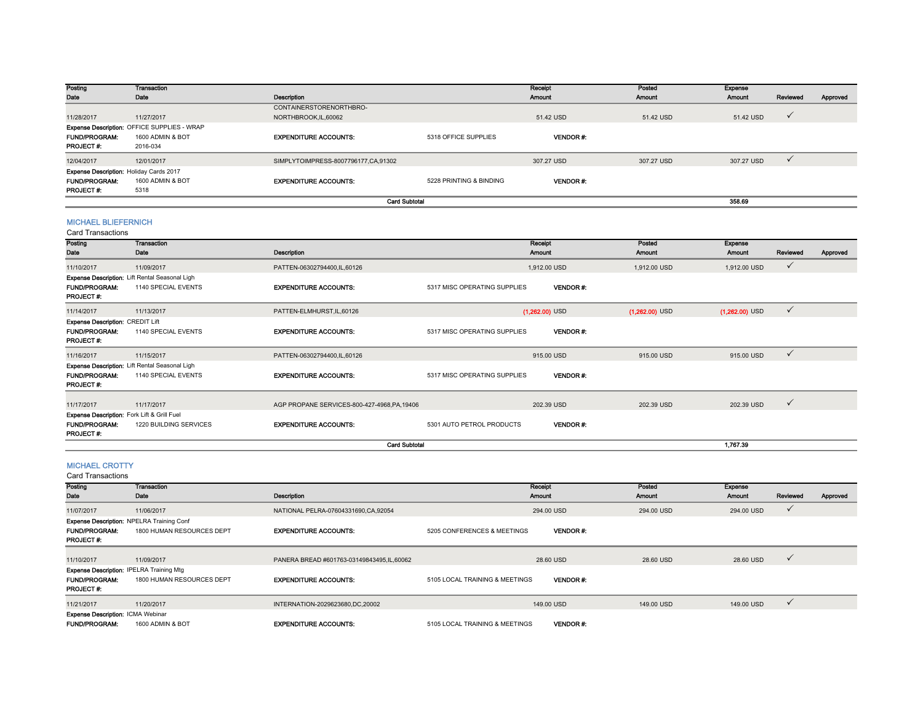| Posting                                        | Transaction                                 |                                     |                         | Receipt         | Posted     | <b>Expense</b> |              |          |
|------------------------------------------------|---------------------------------------------|-------------------------------------|-------------------------|-----------------|------------|----------------|--------------|----------|
| Date                                           | Date                                        | <b>Description</b>                  |                         | <b>Amount</b>   | Amount     | <b>Amount</b>  | Reviewed     | Approved |
|                                                |                                             | CONTAINERSTORENORTHBRO-             |                         |                 |            |                |              |          |
| 11/28/2017                                     | 11/27/2017                                  | NORTHBROOK.IL.60062                 |                         | 51.42 USD       | 51.42 USD  | 51.42 USD      | $\checkmark$ |          |
|                                                | Expense Description: OFFICE SUPPLIES - WRAP |                                     |                         |                 |            |                |              |          |
| <b>FUND/PROGRAM:</b>                           | 1600 ADMIN & BOT                            | <b>EXPENDITURE ACCOUNTS:</b>        | 5318 OFFICE SUPPLIES    | <b>VENDOR#:</b> |            |                |              |          |
| <b>PROJECT#:</b>                               | 2016-034                                    |                                     |                         |                 |            |                |              |          |
| 12/04/2017                                     | 12/01/2017                                  | SIMPLYTOIMPRESS-8007796177,CA,91302 |                         | 307.27 USD      | 307.27 USD | 307.27 USD     |              |          |
| <b>Expense Description: Holiday Cards 2017</b> |                                             |                                     |                         |                 |            |                |              |          |
| <b>FUND/PROGRAM:</b>                           | 1600 ADMIN & BOT                            | <b>EXPENDITURE ACCOUNTS:</b>        | 5228 PRINTING & BINDING | <b>VENDOR#:</b> |            |                |              |          |
| <b>PROJECT#:</b>                               | 5318                                        |                                     |                         |                 |            |                |              |          |
|                                                |                                             | <b>Card Subtotal</b>                |                         |                 |            | 358.69         |              |          |

# MICHAEL BLIEFERNICH

Card Transactions

| oaru manoavuono                          |                                                       |                                              |                              |                  |                  |                  |              |          |
|------------------------------------------|-------------------------------------------------------|----------------------------------------------|------------------------------|------------------|------------------|------------------|--------------|----------|
| Posting                                  | <b>Transaction</b>                                    |                                              |                              | Receipt          | Posted           | <b>Expense</b>   |              |          |
| Date                                     | Date                                                  | Description                                  |                              | Amount           | <b>Amount</b>    | <b>Amount</b>    | Reviewed     | Approved |
| 11/10/2017                               | 11/09/2017                                            | PATTEN-06302794400,IL,60126                  |                              | 1,912.00 USD     | 1,912.00 USD     | 1,912.00 USD     | $\checkmark$ |          |
|                                          | <b>Expense Description: Lift Rental Seasonal Ligh</b> |                                              |                              |                  |                  |                  |              |          |
| <b>FUND/PROGRAM:</b><br>PROJECT #:       | 1140 SPECIAL EVENTS                                   | <b>EXPENDITURE ACCOUNTS:</b>                 | 5317 MISC OPERATING SUPPLIES | <b>VENDOR#:</b>  |                  |                  |              |          |
| 11/14/2017                               | 11/13/2017                                            | PATTEN-ELMHURST, IL, 60126                   |                              | $(1,262.00)$ USD | $(1,262.00)$ USD | $(1,262.00)$ USD | $\checkmark$ |          |
| Expense Description: CREDIT Lift         |                                                       |                                              |                              |                  |                  |                  |              |          |
| <b>FUND/PROGRAM:</b><br><b>PROJECT#:</b> | 1140 SPECIAL EVENTS                                   | <b>EXPENDITURE ACCOUNTS:</b>                 | 5317 MISC OPERATING SUPPLIES | <b>VENDOR#:</b>  |                  |                  |              |          |
| 11/16/2017                               | 11/15/2017                                            | PATTEN-06302794400,IL,60126                  |                              | 915.00 USD       | 915.00 USD       | 915.00 USD       | $\checkmark$ |          |
|                                          | Expense Description: Lift Rental Seasonal Ligh        |                                              |                              |                  |                  |                  |              |          |
| <b>FUND/PROGRAM:</b><br><b>PROJECT#:</b> | 1140 SPECIAL EVENTS                                   | <b>EXPENDITURE ACCOUNTS:</b>                 | 5317 MISC OPERATING SUPPLIES | <b>VENDOR#:</b>  |                  |                  |              |          |
| 11/17/2017                               | 11/17/2017                                            | AGP PROPANE SERVICES-800-427-4968, PA, 19406 |                              | 202.39 USD       | 202.39 USD       | 202.39 USD       | $\checkmark$ |          |
|                                          | Expense Description: Fork Lift & Grill Fuel           |                                              |                              |                  |                  |                  |              |          |
| <b>FUND/PROGRAM:</b><br><b>PROJECT#:</b> | 1220 BUILDING SERVICES                                | <b>EXPENDITURE ACCOUNTS:</b>                 | 5301 AUTO PETROL PRODUCTS    | <b>VENDOR#:</b>  |                  |                  |              |          |
|                                          |                                                       | <b>Card Subtotal</b>                         |                              |                  |                  | 1.767.39         |              |          |

## MICHAEL CROTTY

| <b>Card Transactions</b>                         |                           |                                           |                                |                 |               |                |              |          |  |
|--------------------------------------------------|---------------------------|-------------------------------------------|--------------------------------|-----------------|---------------|----------------|--------------|----------|--|
| Posting                                          | <b>Transaction</b>        |                                           |                                | Receipt         | Posted        | <b>Expense</b> |              |          |  |
| Date                                             | Date                      | Description                               |                                | Amount          | <b>Amount</b> | <b>Amount</b>  | Reviewed     | Approved |  |
| 11/07/2017                                       | 11/06/2017                | NATIONAL PELRA-07604331690,CA,92054       |                                | 294.00 USD      | 294.00 USD    | 294.00 USD     | $\checkmark$ |          |  |
| <b>Expense Description: NPELRA Training Conf</b> |                           |                                           |                                |                 |               |                |              |          |  |
| <b>FUND/PROGRAM:</b>                             | 1800 HUMAN RESOURCES DEPT | <b>EXPENDITURE ACCOUNTS:</b>              | 5205 CONFERENCES & MEETINGS    | <b>VENDOR#:</b> |               |                |              |          |  |
| <b>PROJECT#:</b>                                 |                           |                                           |                                |                 |               |                |              |          |  |
|                                                  |                           |                                           |                                |                 |               |                |              |          |  |
| 11/10/2017                                       | 11/09/2017                | PANERA BREAD #601763-03149843495,IL,60062 |                                | 28.60 USD       | 28,60 USD     | 28.60 USD      | $\checkmark$ |          |  |
| <b>Expense Description: IPELRA Training Mtg</b>  |                           |                                           |                                |                 |               |                |              |          |  |
| <b>FUND/PROGRAM:</b>                             | 1800 HUMAN RESOURCES DEPT | <b>EXPENDITURE ACCOUNTS:</b>              | 5105 LOCAL TRAINING & MEETINGS | <b>VENDOR#:</b> |               |                |              |          |  |
| PROJECT #:                                       |                           |                                           |                                |                 |               |                |              |          |  |
| 11/21/2017                                       | 11/20/2017                | INTERNATION-2029623680,DC,20002           |                                | 149.00 USD      | 149.00 USD    | 149.00 USD     | $\checkmark$ |          |  |
| <b>Expense Description: ICMA Webinar</b>         |                           |                                           |                                |                 |               |                |              |          |  |
| <b>FUND/PROGRAM:</b>                             | 1600 ADMIN & BOT          | <b>EXPENDITURE ACCOUNTS:</b>              | 5105 LOCAL TRAINING & MEETINGS | <b>VENDOR#:</b> |               |                |              |          |  |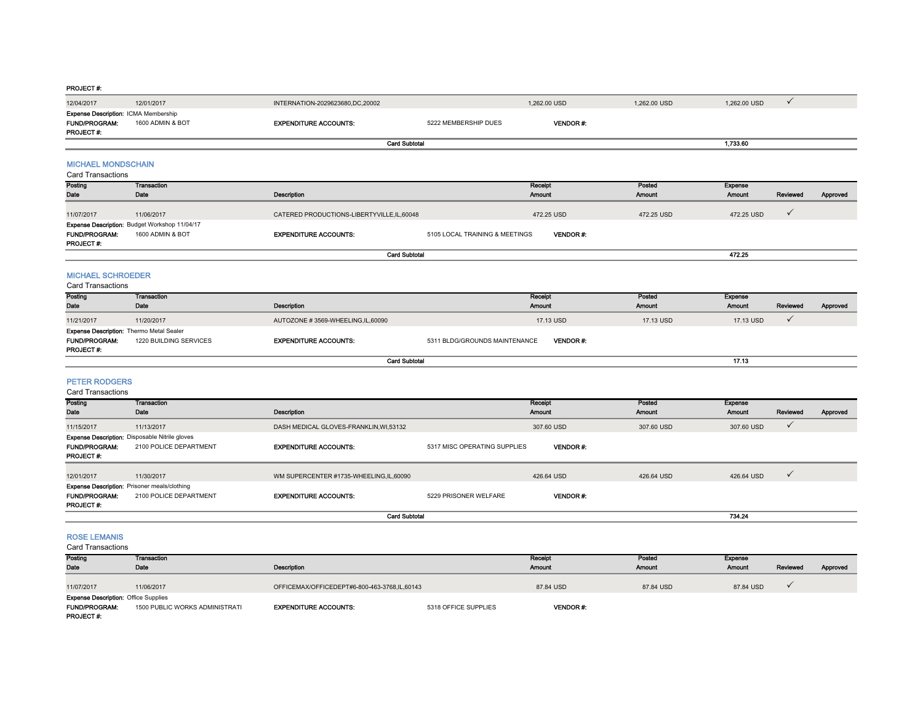| 12/04/2017                                                                     | 12/01/2017                                                                      | INTERNATION-2029623680,DC,20002              |                                | 1,262.00 USD             | 1,262.00 USD     | 1,262.00 USD             | $\checkmark$ |          |
|--------------------------------------------------------------------------------|---------------------------------------------------------------------------------|----------------------------------------------|--------------------------------|--------------------------|------------------|--------------------------|--------------|----------|
| Expense Description: ICMA Membership<br><b>FUND/PROGRAM:</b><br>PROJECT#:      | 1600 ADMIN & BOT                                                                | <b>EXPENDITURE ACCOUNTS:</b>                 | 5222 MEMBERSHIP DUES           | <b>VENDOR#:</b>          |                  |                          |              |          |
|                                                                                |                                                                                 | <b>Card Subtotal</b>                         |                                |                          |                  | 1,733.60                 |              |          |
| <b>MICHAEL MONDSCHAIN</b><br><b>Card Transactions</b>                          |                                                                                 |                                              |                                |                          |                  |                          |              |          |
| Posting<br>Date                                                                | Transaction<br>Date                                                             | <b>Description</b>                           |                                | Receipt<br><b>Amount</b> | Posted<br>Amount | Expense<br><b>Amount</b> | Reviewed     | Approved |
| 11/07/2017                                                                     | 11/06/2017                                                                      | CATERED PRODUCTIONS-LIBERTYVILLE, IL, 60048  |                                | 472.25 USD               | 472.25 USD       | 472.25 USD               | $\checkmark$ |          |
| <b>FUND/PROGRAM:</b><br>PROJECT #:                                             | Expense Description: Budget Workshop 11/04/17<br>1600 ADMIN & BOT               | <b>EXPENDITURE ACCOUNTS:</b>                 | 5105 LOCAL TRAINING & MEETINGS | <b>VENDOR#:</b>          |                  |                          |              |          |
|                                                                                |                                                                                 | <b>Card Subtotal</b>                         |                                |                          |                  | 472.25                   |              |          |
| <b>MICHAEL SCHROEDER</b><br><b>Card Transactions</b>                           |                                                                                 |                                              |                                |                          |                  |                          |              |          |
| Posting<br>Date                                                                | <b>Transaction</b><br>Date                                                      | Description                                  |                                | Receipt<br>Amount        | Posted<br>Amount | Expense<br><b>Amount</b> | Reviewed     | Approved |
| 11/21/2017                                                                     | 11/20/2017                                                                      | AUTOZONE #3569-WHEELING,IL,60090             |                                | 17.13 USD                | 17.13 USD        | 17.13 USD                | $\checkmark$ |          |
| <b>Expense Description: Thermo Metal Sealer</b><br>FUND/PROGRAM:<br>PROJECT #: | 1220 BUILDING SERVICES                                                          | <b>EXPENDITURE ACCOUNTS:</b>                 | 5311 BLDG/GROUNDS MAINTENANCE  | VENDOR#:                 |                  |                          |              |          |
|                                                                                |                                                                                 | <b>Card Subtotal</b>                         |                                |                          |                  | 17.13                    |              |          |
| <b>PETER RODGERS</b><br><b>Card Transactions</b>                               |                                                                                 |                                              |                                |                          |                  |                          |              |          |
| Posting<br>Date                                                                | <b>Transaction</b><br>Date                                                      | Description                                  |                                | Receipt<br>Amount        | Posted<br>Amount | <b>Expense</b><br>Amount | Reviewed     | Approved |
| 11/15/2017                                                                     | 11/13/2017                                                                      | DASH MEDICAL GLOVES-FRANKLIN, WI,53132       |                                | 307.60 USD               | 307.60 USD       | 307.60 USD               | $\checkmark$ |          |
| FUND/PROGRAM:<br>PROJECT #:                                                    | <b>Expense Description:</b> Disposable Nitrile gloves<br>2100 POLICE DEPARTMENT | <b>EXPENDITURE ACCOUNTS:</b>                 | 5317 MISC OPERATING SUPPLIES   | VENDOR#:                 |                  |                          |              |          |
| 12/01/2017                                                                     | 11/30/2017                                                                      | WM SUPERCENTER #1735-WHEELING,IL,60090       |                                | 426.64 USD               | 426.64 USD       | 426.64 USD               | $\checkmark$ |          |
| FUND/PROGRAM:<br>PROJECT #:                                                    | Expense Description: Prisoner meals/clothing<br>2100 POLICE DEPARTMENT          | <b>EXPENDITURE ACCOUNTS:</b>                 | 5229 PRISONER WELFARE          | VENDOR#:                 |                  |                          |              |          |
|                                                                                |                                                                                 | <b>Card Subtotal</b>                         |                                |                          |                  | 734.24                   |              |          |
| <b>ROSE LEMANIS</b><br><b>Card Transactions</b>                                |                                                                                 |                                              |                                |                          |                  |                          |              |          |
| Posting                                                                        | <b>Transaction</b>                                                              |                                              |                                | Receipt                  | Posted           | <b>Expense</b>           |              |          |
| Date                                                                           | Date                                                                            | Description                                  |                                | Amount                   | Amount           | <b>Amount</b>            | Reviewed     | Approved |
| 11/07/2017                                                                     | 11/06/2017                                                                      | OFFICEMAX/OFFICEDEPT#6-800-463-3768.IL.60143 |                                | 87.84 USD                | 87.84 USD        | 87.84 USD                | ✓            |          |
| <b>Expense Description: Office Supplies</b><br><b>FUND/PROGRAM:</b>            | 1500 PUBLIC WORKS ADMINISTRATI                                                  | <b>EXPENDITURE ACCOUNTS:</b>                 | 5318 OFFICE SUPPLIES           | VENDOR #:                |                  |                          |              |          |

1500 PUBLIC WORKS ADMINISTRATI **EXPENDITURE ACCOUNTS:** 5318 OFFICE SUPPLIES PROJECT #:

VENDOR #: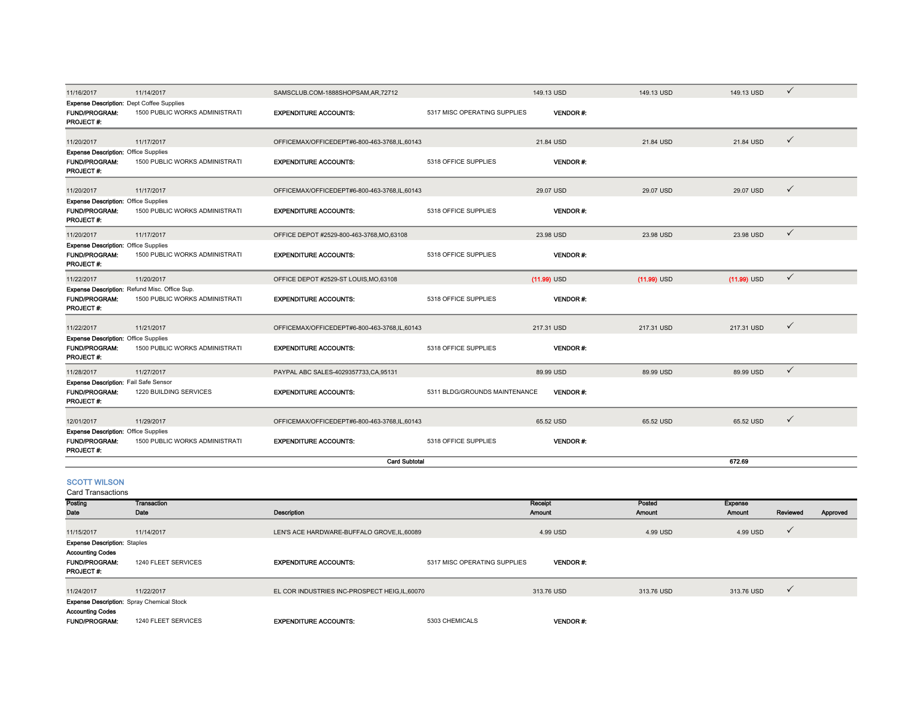| 11/16/2017                                                                       | 11/14/2017                                    | SAMSCLUB.COM-1888SHOPSAM,AR,72712              |                               | 149.13 USD      | 149.13 USD    | 149.13 USD     | $\checkmark$ |          |
|----------------------------------------------------------------------------------|-----------------------------------------------|------------------------------------------------|-------------------------------|-----------------|---------------|----------------|--------------|----------|
| <b>Expense Description:</b> Dept Coffee Supplies                                 |                                               |                                                |                               |                 |               |                |              |          |
| FUND/PROGRAM:<br>PROJECT#:                                                       | 1500 PUBLIC WORKS ADMINISTRATI                | <b>EXPENDITURE ACCOUNTS:</b>                   | 5317 MISC OPERATING SUPPLIES  | <b>VENDOR#:</b> |               |                |              |          |
| 11/20/2017                                                                       | 11/17/2017                                    | OFFICEMAX/OFFICEDEPT#6-800-463-3768,IL,60143   |                               | 21.84 USD       | 21.84 USD     | 21.84 USD      | $\checkmark$ |          |
| <b>Expense Description: Office Supplies</b>                                      |                                               |                                                |                               |                 |               |                |              |          |
| FUND/PROGRAM:<br>PROJECT#:                                                       | 1500 PUBLIC WORKS ADMINISTRATI                | <b>EXPENDITURE ACCOUNTS:</b>                   | 5318 OFFICE SUPPLIES          | <b>VENDOR#:</b> |               |                |              |          |
| 11/20/2017                                                                       | 11/17/2017                                    | OFFICEMAX/OFFICEDEPT#6-800-463-3768.IL.60143   |                               | 29.07 USD       | 29.07 USD     | 29.07 USD      | $\checkmark$ |          |
| <b>Expense Description: Office Supplies</b><br><b>FUND/PROGRAM:</b><br>PROJECT#: | 1500 PUBLIC WORKS ADMINISTRATI                | <b>EXPENDITURE ACCOUNTS:</b>                   | 5318 OFFICE SUPPLIES          | <b>VENDOR#:</b> |               |                |              |          |
| 11/20/2017                                                                       | 11/17/2017                                    | OFFICE DEPOT #2529-800-463-3768, MO, 63108     |                               | 23.98 USD       | 23.98 USD     | 23.98 USD      | $\checkmark$ |          |
| <b>Expense Description: Office Supplies</b>                                      |                                               |                                                |                               |                 |               |                |              |          |
| FUND/PROGRAM:<br>PROJECT #:                                                      | 1500 PUBLIC WORKS ADMINISTRATI                | <b>EXPENDITURE ACCOUNTS:</b>                   | 5318 OFFICE SUPPLIES          | <b>VENDOR#:</b> |               |                |              |          |
| 11/22/2017                                                                       | 11/20/2017                                    | OFFICE DEPOT #2529-ST LOUIS, MO, 63108         |                               | $(11.99)$ USD   | $(11.99)$ USD | $(11.99)$ USD  | $\checkmark$ |          |
|                                                                                  | Expense Description: Refund Misc. Office Sup. |                                                |                               |                 |               |                |              |          |
| <b>FUND/PROGRAM:</b><br>PROJECT#:                                                | 1500 PUBLIC WORKS ADMINISTRATI                | <b>EXPENDITURE ACCOUNTS:</b>                   | 5318 OFFICE SUPPLIES          | <b>VENDOR#:</b> |               |                |              |          |
| 11/22/2017                                                                       | 11/21/2017                                    | OFFICEMAX/OFFICEDEPT#6-800-463-3768.IL.60143   |                               | 217.31 USD      | 217.31 USD    | 217.31 USD     | $\checkmark$ |          |
| <b>Expense Description: Office Supplies</b>                                      |                                               |                                                |                               |                 |               |                |              |          |
| FUND/PROGRAM:<br><b>PROJECT#:</b>                                                | 1500 PUBLIC WORKS ADMINISTRATI                | <b>EXPENDITURE ACCOUNTS:</b>                   | 5318 OFFICE SUPPLIES          | <b>VENDOR#:</b> |               |                |              |          |
| 11/28/2017                                                                       | 11/27/2017                                    | PAYPAL ABC SALES-4029357733, CA, 95131         |                               | 89.99 USD       | 89.99 USD     | 89.99 USD      | $\checkmark$ |          |
| Expense Description: Fail Safe Sensor<br><b>FUND/PROGRAM:</b><br>PROJECT#:       | 1220 BUILDING SERVICES                        | <b>EXPENDITURE ACCOUNTS:</b>                   | 5311 BLDG/GROUNDS MAINTENANCE | <b>VENDOR#:</b> |               |                |              |          |
| 12/01/2017                                                                       | 11/29/2017                                    | OFFICEMAX/OFFICEDEPT#6-800-463-3768,IL,60143   |                               | 65.52 USD       | 65.52 USD     | 65.52 USD      | $\checkmark$ |          |
| <b>Expense Description: Office Supplies</b>                                      |                                               |                                                |                               |                 |               |                |              |          |
| FUND/PROGRAM:<br>PROJECT#:                                                       | 1500 PUBLIC WORKS ADMINISTRATI                | <b>EXPENDITURE ACCOUNTS:</b>                   | 5318 OFFICE SUPPLIES          | VENDOR#:        |               |                |              |          |
|                                                                                  |                                               | <b>Card Subtotal</b>                           |                               |                 |               | 672.69         |              |          |
| <b>SCOTT WILSON</b><br><b>Card Transactions</b>                                  |                                               |                                                |                               |                 |               |                |              |          |
| Posting                                                                          | <b>Transaction</b>                            |                                                |                               | Rocoipt         | Posted        | <b>Exponso</b> |              |          |
| Date                                                                             | Date                                          | <b>Description</b>                             |                               | Amount          | Amount        | Amount         | Reviewed     | Approved |
| 11/15/2017                                                                       | 11/14/2017                                    | LEN'S ACE HARDWARE-BUFFALO GROVE.IL.60089      |                               | 4.99 USD        | 4.99 USD      | 4.99 USD       | $\checkmark$ |          |
| <b>Expense Description: Staples</b>                                              |                                               |                                                |                               |                 |               |                |              |          |
| <b>Accounting Codes</b><br>FUND/PROGRAM:<br>PROJECT #:                           | 1240 FLEET SERVICES                           | <b>EXPENDITURE ACCOUNTS:</b>                   | 5317 MISC OPERATING SUPPLIES  | <b>VENDOR#:</b> |               |                |              |          |
| 11/24/2017                                                                       | 11/22/2017                                    | EL COR INDUSTRIES INC-PROSPECT HEIG, IL, 60070 |                               | 313.76 USD      | 313.76 USD    | 313.76 USD     | $\checkmark$ |          |
| <b>Expense Description:</b> Spray Chemical Stock                                 |                                               |                                                |                               |                 |               |                |              |          |
| <b>Accounting Codes</b>                                                          |                                               |                                                |                               |                 |               |                |              |          |
| <b>FUND/PROGRAM:</b>                                                             | 1240 FLEET SERVICES                           | <b>EXPENDITURE ACCOUNTS:</b>                   | 5303 CHEMICALS                | <b>VENDOR#:</b> |               |                |              |          |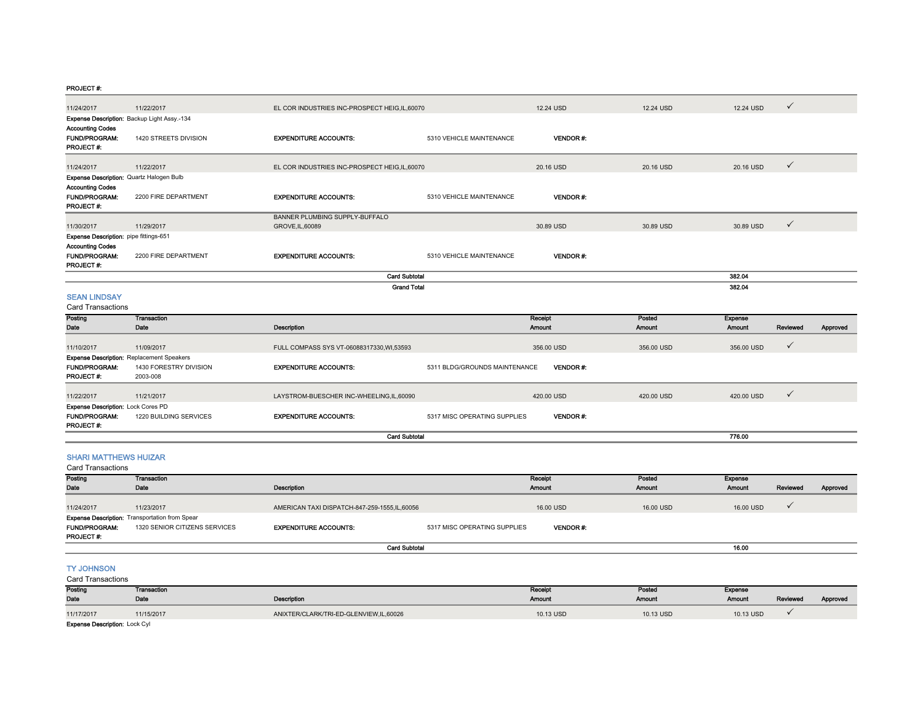| 11/24/2017                                                              | 11/22/2017                                                                             | EL COR INDUSTRIES INC-PROSPECT HEIG, IL, 60070     |                               | 12.24 USD         | 12.24 USD               | 12.24 USD                | $\checkmark$ |          |
|-------------------------------------------------------------------------|----------------------------------------------------------------------------------------|----------------------------------------------------|-------------------------------|-------------------|-------------------------|--------------------------|--------------|----------|
| <b>Accounting Codes</b><br><b>FUND/PROGRAM:</b><br>PROJECT#:            | Expense Description: Backup Light Assy.-134<br>1420 STREETS DIVISION                   | <b>EXPENDITURE ACCOUNTS:</b>                       | 5310 VEHICLE MAINTENANCE      | <b>VENDOR#:</b>   |                         |                          |              |          |
| 11/24/2017                                                              | 11/22/2017                                                                             | EL COR INDUSTRIES INC-PROSPECT HEIG, IL, 60070     |                               | 20.16 USD         | 20.16 USD               | 20.16 USD                | $\checkmark$ |          |
| <b>Accounting Codes</b><br>FUND/PROGRAM:<br>PROJECT#:                   | Expense Description: Quartz Halogen Bulb<br>2200 FIRE DEPARTMENT                       | <b>EXPENDITURE ACCOUNTS:</b>                       | 5310 VEHICLE MAINTENANCE      | <b>VENDOR#:</b>   |                         |                          |              |          |
| 11/30/2017                                                              | 11/29/2017                                                                             | BANNER PLUMBING SUPPLY-BUFFALO<br>GROVE, IL, 60089 |                               | 30.89 USD         | 30.89 USD               | 30.89 USD                | $\checkmark$ |          |
| Expense Description: pipe fittings-651                                  |                                                                                        |                                                    |                               |                   |                         |                          |              |          |
| <b>Accounting Codes</b><br>FUND/PROGRAM:<br>PROJECT#:                   | 2200 FIRE DEPARTMENT                                                                   | <b>EXPENDITURE ACCOUNTS:</b>                       | 5310 VEHICLE MAINTENANCE      | VENDOR#:          |                         |                          |              |          |
|                                                                         |                                                                                        | <b>Card Subtotal</b>                               |                               |                   |                         | 382.04                   |              |          |
| <b>SEAN LINDSAY</b><br><b>Card Transactions</b>                         |                                                                                        | <b>Grand Total</b>                                 |                               |                   |                         | 382.04                   |              |          |
| Posting<br>Date                                                         | <b>Transaction</b><br>Date                                                             | Description                                        |                               | Receipt<br>Amount | Posted<br><b>Amount</b> | <b>Expense</b><br>Amount | Reviewed     | Approved |
|                                                                         |                                                                                        |                                                    |                               |                   |                         |                          |              |          |
| 11/10/2017                                                              | 11/09/2017<br><b>Expense Description: Replacement Speakers</b>                         | FULL COMPASS SYS VT-06088317330, WI,53593          |                               | 356.00 USD        | 356.00 USD              | 356.00 USD               | $\checkmark$ |          |
| FUND/PROGRAM:<br>PROJECT#:                                              | 1430 FORESTRY DIVISION<br>2003-008                                                     | <b>EXPENDITURE ACCOUNTS:</b>                       | 5311 BLDG/GROUNDS MAINTENANCE | <b>VENDOR#:</b>   |                         |                          |              |          |
| 11/22/2017                                                              | 11/21/2017                                                                             | LAYSTROM-BUESCHER INC-WHEELING,IL,60090            |                               | 420.00 USD        | 420.00 USD              | 420.00 USD               | $\checkmark$ |          |
| <b>Expense Description: Lock Cores PD</b><br>FUND/PROGRAM:<br>PROJECT#: | 1220 BUILDING SERVICES                                                                 | <b>EXPENDITURE ACCOUNTS:</b>                       | 5317 MISC OPERATING SUPPLIES  | <b>VENDOR#:</b>   |                         |                          |              |          |
|                                                                         |                                                                                        | <b>Card Subtotal</b>                               |                               |                   |                         | 776.00                   |              |          |
| <b>SHARI MATTHEWS HUIZAR</b><br><b>Card Transactions</b>                |                                                                                        |                                                    |                               |                   |                         |                          |              |          |
| Posting<br>Date                                                         | Transaction<br>Date                                                                    | Description                                        |                               | Receipt<br>Amount | Posted<br>Amount        | <b>Expense</b><br>Amount | Reviewed     | Approved |
| 11/24/2017                                                              | 11/23/2017                                                                             | AMERICAN TAXI DISPATCH-847-259-1555,IL,60056       |                               | 16.00 USD         | 16.00 USD               | 16.00 USD                | $\checkmark$ |          |
| <b>FUND/PROGRAM:</b><br>PROJECT#:                                       | <b>Expense Description: Transportation from Spear</b><br>1320 SENIOR CITIZENS SERVICES | <b>EXPENDITURE ACCOUNTS:</b>                       | 5317 MISC OPERATING SUPPLIES  | <b>VENDOR#:</b>   |                         |                          |              |          |
|                                                                         |                                                                                        | <b>Card Subtotal</b>                               |                               |                   |                         | 16.00                    |              |          |
| <b>TY JOHNSON</b><br>Card Transactions                                  |                                                                                        |                                                    |                               |                   |                         |                          |              |          |
| Posting<br>Date                                                         | <b>Transaction</b><br>Date                                                             | Description                                        |                               | Receipt<br>Amount | Posted<br><b>Amount</b> | Expense<br><b>Amount</b> | Reviewed     | Approved |
| 11/17/2017                                                              | 11/15/2017                                                                             | ANIXTER/CLARK/TRI-ED-GLENVIEW,IL,60026             |                               | 10.13 USD         | 10.13 USD               | 10.13 USD                | $\checkmark$ |          |

Expense Description: Lock Cyl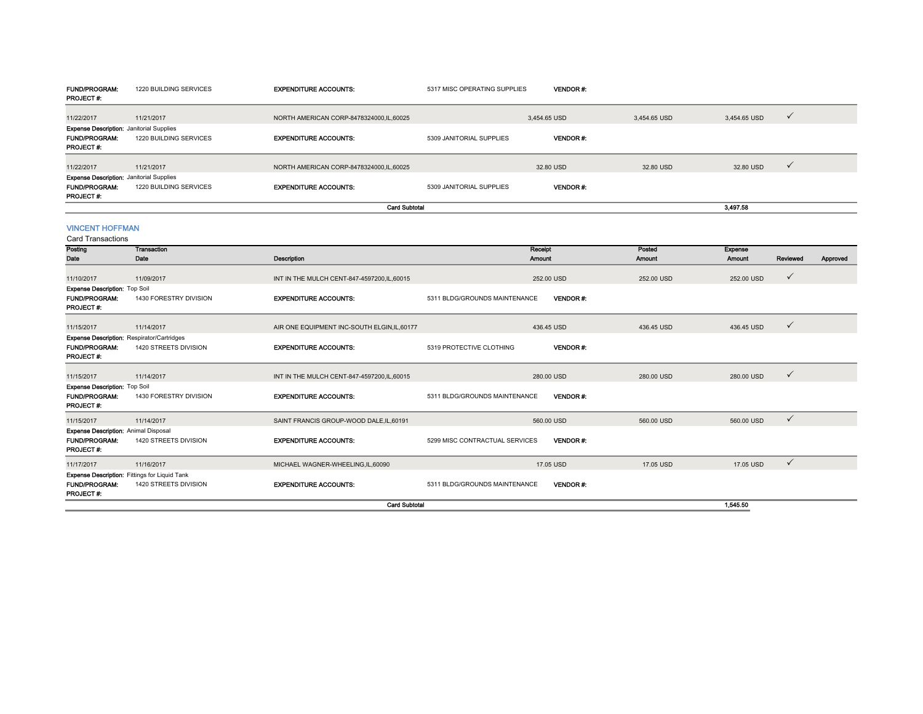| <b>FUND/PROGRAM:</b><br>PROJECT#:                                                    | 1220 BUILDING SERVICES                               | <b>EXPENDITURE ACCOUNTS:</b>                 | 5317 MISC OPERATING SUPPLIES   | <b>VENDOR#:</b>   |                  |                          |              |          |
|--------------------------------------------------------------------------------------|------------------------------------------------------|----------------------------------------------|--------------------------------|-------------------|------------------|--------------------------|--------------|----------|
| 11/22/2017                                                                           | 11/21/2017                                           | NORTH AMERICAN CORP-8478324000.IL.60025      |                                | 3.454.65 USD      | 3.454.65 USD     | 3.454.65 USD             | $\checkmark$ |          |
| <b>Expense Description: Janitorial Supplies</b>                                      |                                                      |                                              |                                |                   |                  |                          |              |          |
| <b>FUND/PROGRAM:</b><br>PROJECT#:                                                    | 1220 BUILDING SERVICES                               | <b>EXPENDITURE ACCOUNTS:</b>                 | 5309 JANITORIAL SUPPLIES       | <b>VENDOR#:</b>   |                  |                          |              |          |
| 11/22/2017                                                                           | 11/21/2017                                           | NORTH AMERICAN CORP-8478324000.IL.60025      |                                | 32.80 USD         | 32.80 USD        | 32.80 USD                | $\checkmark$ |          |
| <b>Expense Description: Janitorial Supplies</b><br><b>FUND/PROGRAM:</b><br>PROJECT#: | 1220 BUILDING SERVICES                               | <b>EXPENDITURE ACCOUNTS:</b>                 | 5309 JANITORIAL SUPPLIES       | <b>VENDOR#:</b>   |                  |                          |              |          |
|                                                                                      |                                                      | <b>Card Subtotal</b>                         |                                |                   |                  | 3,497.58                 |              |          |
| <b>VINCENT HOFFMAN</b><br><b>Card Transactions</b>                                   |                                                      |                                              |                                |                   |                  |                          |              |          |
| Posting<br>Date                                                                      | Transaction<br>Date                                  | <b>Description</b>                           |                                | Receipt<br>Amount | Posted<br>Amount | <b>Expense</b><br>Amount | Reviewed     | Approved |
| 11/10/2017                                                                           | 11/09/2017                                           | INT IN THE MULCH CENT-847-4597200,IL,60015   |                                | 252.00 USD        | 252.00 USD       | 252.00 USD               | $\checkmark$ |          |
| Expense Description: Top Soil                                                        |                                                      |                                              |                                |                   |                  |                          |              |          |
| <b>FUND/PROGRAM:</b><br>PROJECT #:                                                   | 1430 FORESTRY DIVISION                               | <b>EXPENDITURE ACCOUNTS:</b>                 | 5311 BLDG/GROUNDS MAINTENANCE  | VENDOR#:          |                  |                          |              |          |
| 11/15/2017                                                                           | 11/14/2017                                           | AIR ONE EQUIPMENT INC-SOUTH ELGIN, IL, 60177 |                                | 436.45 USD        | 436.45 USD       | 436.45 USD               | $\checkmark$ |          |
|                                                                                      | <b>Expense Description: Respirator/Cartridges</b>    |                                              |                                |                   |                  |                          |              |          |
| <b>FUND/PROGRAM:</b><br>PROJECT #:                                                   | 1420 STREETS DIVISION                                | <b>EXPENDITURE ACCOUNTS:</b>                 | 5319 PROTECTIVE CLOTHING       | <b>VENDOR#:</b>   |                  |                          |              |          |
| 11/15/2017                                                                           | 11/14/2017                                           | INT IN THE MULCH CENT-847-4597200, IL, 60015 |                                | 280.00 USD        | 280.00 USD       | 280.00 USD               | ✓            |          |
| <b>Expense Description: Top Soil</b>                                                 |                                                      |                                              |                                |                   |                  |                          |              |          |
| <b>FUND/PROGRAM:</b><br>PROJECT#:                                                    | 1430 FORESTRY DIVISION                               | <b>EXPENDITURE ACCOUNTS:</b>                 | 5311 BLDG/GROUNDS MAINTENANCE  | <b>VENDOR#:</b>   |                  |                          |              |          |
| 11/15/2017                                                                           | 11/14/2017                                           | SAINT FRANCIS GROUP-WOOD DALE, IL, 60191     |                                | 560.00 USD        | 560.00 USD       | 560.00 USD               | $\checkmark$ |          |
| <b>Expense Description: Animal Disposal</b>                                          |                                                      |                                              |                                |                   |                  |                          |              |          |
| <b>FUND/PROGRAM:</b><br>PROJECT #:                                                   | 1420 STREETS DIVISION                                | <b>EXPENDITURE ACCOUNTS:</b>                 | 5299 MISC CONTRACTUAL SERVICES | <b>VENDOR#:</b>   |                  |                          |              |          |
| 11/17/2017                                                                           | 11/16/2017                                           | MICHAEL WAGNER-WHEELING, IL, 60090           |                                | 17.05 USD         | 17.05 USD        | 17.05 USD                | $\checkmark$ |          |
|                                                                                      | <b>Expense Description: Fittings for Liquid Tank</b> |                                              |                                |                   |                  |                          |              |          |
| <b>FUND/PROGRAM:</b><br>PROJECT #:                                                   | 1420 STREETS DIVISION                                | <b>EXPENDITURE ACCOUNTS:</b>                 | 5311 BLDG/GROUNDS MAINTENANCE  | <b>VENDOR#:</b>   |                  |                          |              |          |
|                                                                                      |                                                      | <b>Card Subtotal</b>                         |                                |                   |                  | 1.545.50                 |              |          |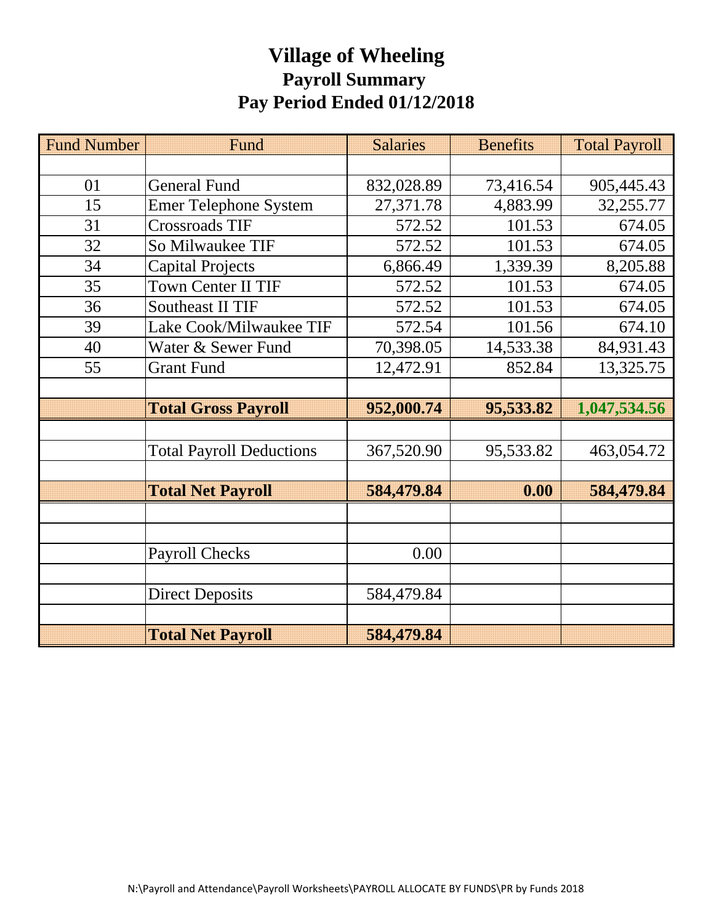# **Village of Wheeling Payroll Summary Pay Period Ended 01/12/2018**

| <b>Fund Number</b> | Fund                            | <b>Salaries</b> | <b>Benefits</b> | <b>Total Payroll</b> |
|--------------------|---------------------------------|-----------------|-----------------|----------------------|
|                    |                                 |                 |                 |                      |
| 01                 | <b>General Fund</b>             | 832,028.89      | 73,416.54       | 905,445.43           |
| 15                 | <b>Emer Telephone System</b>    | 27,371.78       | 4,883.99        | 32,255.77            |
| 31                 | <b>Crossroads TIF</b>           | 572.52          | 101.53          | 674.05               |
| 32                 | So Milwaukee TIF                | 572.52          | 101.53          | 674.05               |
| 34                 | <b>Capital Projects</b>         | 6,866.49        | 1,339.39        | 8,205.88             |
| 35                 | <b>Town Center II TIF</b>       | 572.52          | 101.53          | 674.05               |
| 36                 | <b>Southeast II TIF</b>         | 572.52          | 101.53          | 674.05               |
| 39                 | Lake Cook/Milwaukee TIF         | 572.54          | 101.56          | 674.10               |
| 40                 | Water & Sewer Fund              | 70,398.05       | 14,533.38       | 84,931.43            |
| 55                 | <b>Grant Fund</b>               | 12,472.91       | 852.84          | 13,325.75            |
|                    |                                 |                 |                 |                      |
|                    | <b>Total Gross Payroll</b>      | 952,000.74      | 95,533.82       | 1,047,534.56         |
|                    |                                 |                 |                 |                      |
|                    | <b>Total Payroll Deductions</b> | 367,520.90      | 95,533.82       | 463,054.72           |
|                    |                                 |                 |                 |                      |
|                    | <b>Total Net Payroll</b>        | 584,479.84      | 0.00            | 584,479.84           |
|                    |                                 |                 |                 |                      |
|                    |                                 |                 |                 |                      |
|                    | <b>Payroll Checks</b>           | 0.00            |                 |                      |
|                    |                                 |                 |                 |                      |
|                    | <b>Direct Deposits</b>          | 584,479.84      |                 |                      |
|                    |                                 |                 |                 |                      |
|                    | <b>Total Net Payroll</b>        | 584,479.84      |                 |                      |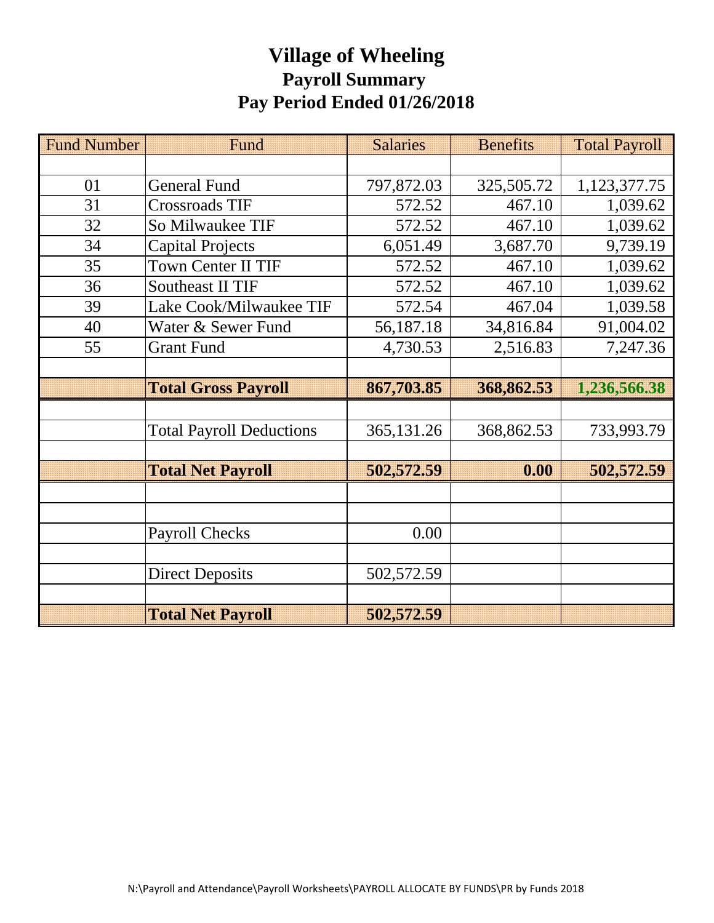# **Village of Wheeling Payroll Summary Pay Period Ended 01/26/2018**

| <b>Fund Number</b> | Fund                            | <b>Salaries</b> | <b>Benefits</b> | <b>Total Payroll</b> |  |
|--------------------|---------------------------------|-----------------|-----------------|----------------------|--|
|                    |                                 |                 |                 |                      |  |
| 01                 | <b>General Fund</b>             | 797,872.03      | 325,505.72      | 1,123,377.75         |  |
| 31                 | Crossroads TIF                  | 572.52          | 467.10          | 1,039.62             |  |
| 32                 | So Milwaukee TIF                | 572.52          | 467.10          | 1,039.62             |  |
| 34                 | <b>Capital Projects</b>         | 6,051.49        | 3,687.70        | 9,739.19             |  |
| 35                 | <b>Town Center II TIF</b>       | 572.52          | 467.10          | 1,039.62             |  |
| 36                 | <b>Southeast II TIF</b>         | 572.52          | 467.10          | 1,039.62             |  |
| 39                 | Lake Cook/Milwaukee TIF         | 572.54          | 467.04          | 1,039.58             |  |
| 40                 | Water & Sewer Fund              | 56,187.18       | 34,816.84       | 91,004.02            |  |
| 55                 | <b>Grant Fund</b>               | 4,730.53        | 2,516.83        | 7,247.36             |  |
|                    |                                 |                 |                 |                      |  |
|                    | <b>Total Gross Payroll</b>      | 867,703.85      | 368,862.53      | 1,236,566.38         |  |
|                    |                                 |                 |                 |                      |  |
|                    | <b>Total Payroll Deductions</b> | 365,131.26      | 368,862.53      | 733,993.79           |  |
|                    |                                 |                 |                 |                      |  |
|                    | <b>Total Net Payroll</b>        | 502,572.59      | 0.00            | 502,572.59           |  |
|                    |                                 |                 |                 |                      |  |
|                    |                                 |                 |                 |                      |  |
|                    |                                 |                 |                 |                      |  |
|                    | <b>Payroll Checks</b>           | 0.00            |                 |                      |  |
|                    |                                 |                 |                 |                      |  |
|                    | <b>Direct Deposits</b>          | 502,572.59      |                 |                      |  |
|                    |                                 |                 |                 |                      |  |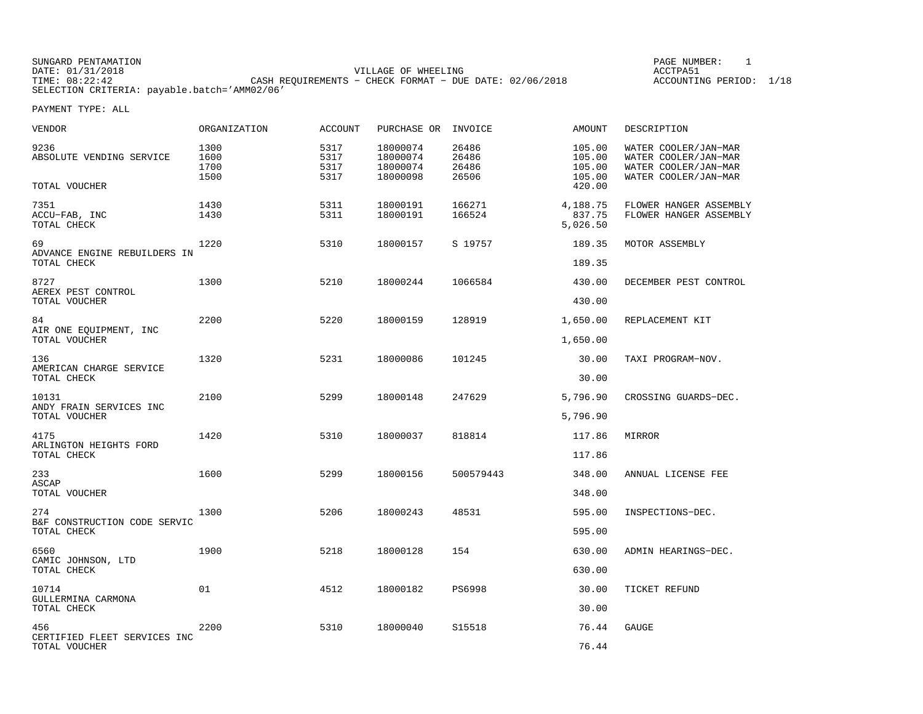SUNGARD PENTAMATION PAGE NUMBER: 1DATE:  $01/31/2018$  ACCTPA51 TIME: 08:22:42 CASH REQUIREMENTS − CHECK FORMAT − DUE DATE: 02/06/2018 SELECTION CRITERIA: payable.batch='AMM02/06'

ACCOUNTING PERIOD: 1/18

| VENDOR                                            | ORGANIZATION                 | <b>ACCOUNT</b>               | PURCHASE OR INVOICE                          |                                  | AMOUNT                               | DESCRIPTION                                                                                  |
|---------------------------------------------------|------------------------------|------------------------------|----------------------------------------------|----------------------------------|--------------------------------------|----------------------------------------------------------------------------------------------|
| 9236<br>ABSOLUTE VENDING SERVICE                  | 1300<br>1600<br>1700<br>1500 | 5317<br>5317<br>5317<br>5317 | 18000074<br>18000074<br>18000074<br>18000098 | 26486<br>26486<br>26486<br>26506 | 105.00<br>105.00<br>105.00<br>105.00 | WATER COOLER/JAN-MAR<br>WATER COOLER/JAN-MAR<br>WATER COOLER/JAN-MAR<br>WATER COOLER/JAN-MAR |
| TOTAL VOUCHER                                     |                              |                              |                                              |                                  | 420.00                               |                                                                                              |
| 7351<br>ACCU-FAB, INC<br>TOTAL CHECK              | 1430<br>1430                 | 5311<br>5311                 | 18000191<br>18000191                         | 166271<br>166524                 | 4,188.75<br>837.75<br>5,026.50       | FLOWER HANGER ASSEMBLY<br>FLOWER HANGER ASSEMBLY                                             |
| 69<br>ADVANCE ENGINE REBUILDERS IN<br>TOTAL CHECK | 1220                         | 5310                         | 18000157                                     | S 19757                          | 189.35<br>189.35                     | MOTOR ASSEMBLY                                                                               |
| 8727<br>AEREX PEST CONTROL                        | 1300                         | 5210                         | 18000244                                     | 1066584                          | 430.00                               | DECEMBER PEST CONTROL                                                                        |
| TOTAL VOUCHER                                     |                              |                              |                                              |                                  | 430.00                               |                                                                                              |
| 84<br>AIR ONE EQUIPMENT, INC                      | 2200                         | 5220                         | 18000159                                     | 128919                           | 1,650.00                             | REPLACEMENT KIT                                                                              |
| TOTAL VOUCHER                                     |                              |                              |                                              |                                  | 1,650.00                             |                                                                                              |
| 136<br>AMERICAN CHARGE SERVICE<br>TOTAL CHECK     | 1320                         | 5231                         | 18000086                                     | 101245                           | 30.00<br>30.00                       | TAXI PROGRAM-NOV.                                                                            |
| 10131<br>ANDY FRAIN SERVICES INC                  | 2100                         | 5299                         | 18000148                                     | 247629                           | 5,796.90                             | CROSSING GUARDS-DEC.                                                                         |
| TOTAL VOUCHER                                     |                              |                              |                                              |                                  | 5,796.90                             |                                                                                              |
| 4175<br>ARLINGTON HEIGHTS FORD<br>TOTAL CHECK     | 1420                         | 5310                         | 18000037                                     | 818814                           | 117.86<br>117.86                     | MIRROR                                                                                       |
| 233                                               | 1600                         | 5299                         | 18000156                                     | 500579443                        | 348.00                               | ANNUAL LICENSE FEE                                                                           |
| ASCAP<br>TOTAL VOUCHER                            |                              |                              |                                              |                                  | 348.00                               |                                                                                              |
| 274                                               | 1300                         | 5206                         | 18000243                                     | 48531                            | 595.00                               | INSPECTIONS-DEC.                                                                             |
| B&F CONSTRUCTION CODE SERVIC<br>TOTAL CHECK       |                              |                              |                                              |                                  | 595.00                               |                                                                                              |
| 6560<br>CAMIC JOHNSON, LTD<br>TOTAL CHECK         | 1900                         | 5218                         | 18000128                                     | 154                              | 630.00<br>630.00                     | ADMIN HEARINGS-DEC.                                                                          |
| 10714                                             | 01                           | 4512                         | 18000182                                     | <b>PS6998</b>                    | 30.00                                | TICKET REFUND                                                                                |
| GULLERMINA CARMONA<br>TOTAL CHECK                 |                              |                              |                                              |                                  | 30.00                                |                                                                                              |
| 456                                               | 2200                         | 5310                         | 18000040                                     | S15518                           | 76.44                                | <b>GAUGE</b>                                                                                 |
| CERTIFIED FLEET SERVICES INC<br>TOTAL VOUCHER     |                              |                              |                                              |                                  | 76.44                                |                                                                                              |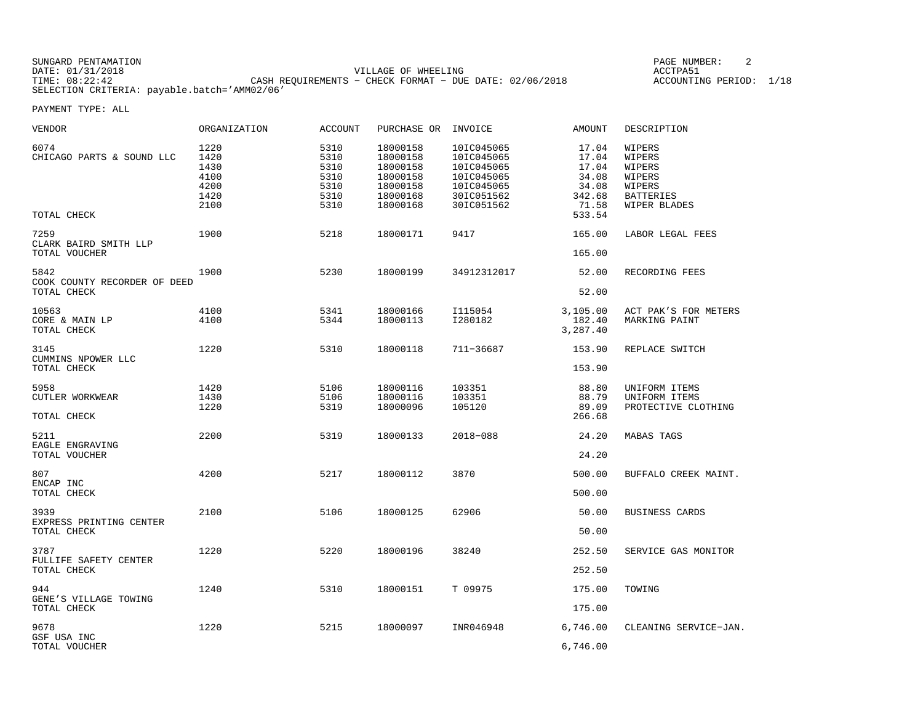SUNGARD PENTAMATION PAGE NUMBER: 2DATE: 01/31/2018 VILLAGE OF WHEELING ACCTPA51CASH REQUIREMENTS - CHECK FORMAT - DUE DATE: 02/06/2018 SELECTION CRITERIA: payable.batch='AMM02/06'

ACCOUNTING PERIOD: 1/18

| VENDOR                                              | ORGANIZATION                                         | ACCOUNT                                              | PURCHASE OR INVOICE                                                              |                                                                                                | AMOUNT                                                                 | DESCRIPTION                                                                        |
|-----------------------------------------------------|------------------------------------------------------|------------------------------------------------------|----------------------------------------------------------------------------------|------------------------------------------------------------------------------------------------|------------------------------------------------------------------------|------------------------------------------------------------------------------------|
| 6074<br>CHICAGO PARTS & SOUND LLC<br>TOTAL CHECK    | 1220<br>1420<br>1430<br>4100<br>4200<br>1420<br>2100 | 5310<br>5310<br>5310<br>5310<br>5310<br>5310<br>5310 | 18000158<br>18000158<br>18000158<br>18000158<br>18000158<br>18000168<br>18000168 | 10IC045065<br>10IC045065<br>10IC045065<br>10IC045065<br>10IC045065<br>30IC051562<br>30IC051562 | 17.04<br>17.04<br>17.04<br>34.08<br>34.08<br>342.68<br>71.58<br>533.54 | WIPERS<br>WIPERS<br>WIPERS<br>WIPERS<br>WIPERS<br><b>BATTERIES</b><br>WIPER BLADES |
| 7259<br>CLARK BAIRD SMITH LLP<br>TOTAL VOUCHER      | 1900                                                 | 5218                                                 | 18000171                                                                         | 9417                                                                                           | 165.00<br>165.00                                                       | LABOR LEGAL FEES                                                                   |
| 5842<br>COOK COUNTY RECORDER OF DEED<br>TOTAL CHECK | 1900                                                 | 5230                                                 | 18000199                                                                         | 34912312017                                                                                    | 52.00<br>52.00                                                         | RECORDING FEES                                                                     |
| 10563<br>CORE & MAIN LP<br>TOTAL CHECK              | 4100<br>4100                                         | 5341<br>5344                                         | 18000166<br>18000113                                                             | I115054<br>I280182                                                                             | 3,105.00<br>182.40<br>3,287.40                                         | ACT PAK'S FOR METERS<br>MARKING PAINT                                              |
| 3145<br>CUMMINS NPOWER LLC<br>TOTAL CHECK           | 1220                                                 | 5310                                                 | 18000118                                                                         | 711-36687                                                                                      | 153.90<br>153.90                                                       | REPLACE SWITCH                                                                     |
| 5958<br>CUTLER WORKWEAR<br>TOTAL CHECK              | 1420<br>1430<br>1220                                 | 5106<br>5106<br>5319                                 | 18000116<br>18000116<br>18000096                                                 | 103351<br>103351<br>105120                                                                     | 88.80<br>88.79<br>89.09<br>266.68                                      | UNIFORM ITEMS<br>UNIFORM ITEMS<br>PROTECTIVE CLOTHING                              |
| 5211<br>EAGLE ENGRAVING<br>TOTAL VOUCHER            | 2200                                                 | 5319                                                 | 18000133                                                                         | 2018-088                                                                                       | 24.20<br>24.20                                                         | <b>MABAS TAGS</b>                                                                  |
| 807<br>ENCAP INC<br>TOTAL CHECK                     | 4200                                                 | 5217                                                 | 18000112                                                                         | 3870                                                                                           | 500.00<br>500.00                                                       | BUFFALO CREEK MAINT.                                                               |
| 3939<br>EXPRESS PRINTING CENTER<br>TOTAL CHECK      | 2100                                                 | 5106                                                 | 18000125                                                                         | 62906                                                                                          | 50.00<br>50.00                                                         | <b>BUSINESS CARDS</b>                                                              |
| 3787<br>FULLIFE SAFETY CENTER<br>TOTAL CHECK        | 1220                                                 | 5220                                                 | 18000196                                                                         | 38240                                                                                          | 252.50<br>252.50                                                       | SERVICE GAS MONITOR                                                                |
| 944<br>GENE'S VILLAGE TOWING<br>TOTAL CHECK         | 1240                                                 | 5310                                                 | 18000151                                                                         | T 09975                                                                                        | 175.00<br>175.00                                                       | TOWING                                                                             |
| 9678<br>GSF USA INC<br>TOTAL VOUCHER                | 1220                                                 | 5215                                                 | 18000097                                                                         | INR046948                                                                                      | 6,746.00<br>6,746.00                                                   | CLEANING SERVICE-JAN.                                                              |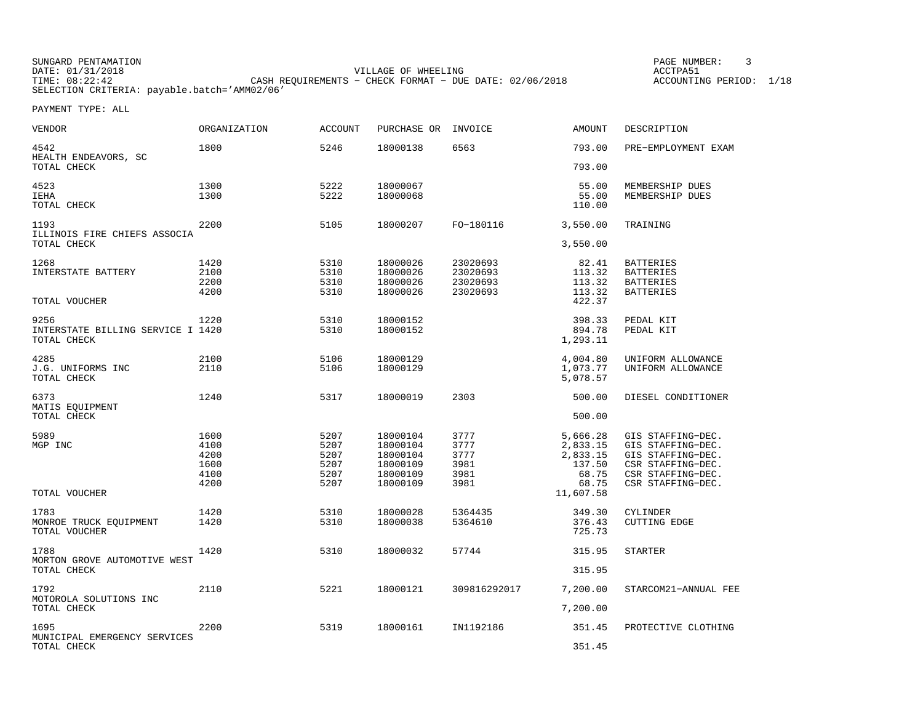SUNGARD PENTAMATION SUNGARD PENTAMATION SUNGARD PAGE NUMBER: 3 DATE: 01/31/2018 VILLAGE OF WHEELING ACCTPA51CASH REQUIREMENTS - CHECK FORMAT - DUE DATE: 02/06/2018 SELECTION CRITERIA: payable.batch='AMM02/06'

ACCOUNTING PERIOD: 1/18

| VENDOR                                           | ORGANIZATION | <b>ACCOUNT</b> | PURCHASE OR          | INVOICE              | <b>AMOUNT</b>        | DESCRIPTION                            |
|--------------------------------------------------|--------------|----------------|----------------------|----------------------|----------------------|----------------------------------------|
| 4542<br>HEALTH ENDEAVORS, SC                     | 1800         | 5246           | 18000138             | 6563                 | 793.00               | PRE-EMPLOYMENT EXAM                    |
| TOTAL CHECK                                      |              |                |                      |                      | 793.00               |                                        |
| 4523                                             | 1300         | 5222           | 18000067             |                      | 55.00                | MEMBERSHIP DUES                        |
| IEHA<br>TOTAL CHECK                              | 1300         | 5222           | 18000068             |                      | 55.00<br>110.00      | MEMBERSHIP DUES                        |
|                                                  |              |                |                      |                      |                      |                                        |
| 1193<br>ILLINOIS FIRE CHIEFS ASSOCIA             | 2200         | 5105           | 18000207             | FO-180116            | 3,550.00             | TRAINING                               |
| TOTAL CHECK                                      |              |                |                      |                      | 3,550.00             |                                        |
| 1268                                             | 1420         | 5310           | 18000026             | 23020693             | 82.41                | <b>BATTERIES</b>                       |
| INTERSTATE BATTERY                               | 2100         | 5310           | 18000026             | 23020693             | 113.32               | <b>BATTERIES</b>                       |
|                                                  | 2200<br>4200 | 5310<br>5310   | 18000026<br>18000026 | 23020693<br>23020693 | 113.32<br>113.32     | <b>BATTERIES</b><br><b>BATTERIES</b>   |
| TOTAL VOUCHER                                    |              |                |                      |                      | 422.37               |                                        |
| 9256                                             | 1220         | 5310           | 18000152             |                      | 398.33               | PEDAL KIT                              |
| INTERSTATE BILLING SERVICE I 1420<br>TOTAL CHECK |              | 5310           | 18000152             |                      | 894.78<br>1,293.11   | PEDAL KIT                              |
| 4285                                             | 2100         | 5106           | 18000129             |                      | 4,004.80             | UNIFORM ALLOWANCE                      |
| J.G. UNIFORMS INC<br>TOTAL CHECK                 | 2110         | 5106           | 18000129             |                      | 1,073.77<br>5,078.57 | UNIFORM ALLOWANCE                      |
| 6373                                             | 1240         | 5317           | 18000019             | 2303                 | 500.00               | DIESEL CONDITIONER                     |
| MATIS EQUIPMENT<br>TOTAL CHECK                   |              |                |                      |                      | 500.00               |                                        |
| 5989                                             | 1600         | 5207           | 18000104             | 3777                 | 5,666.28             | GIS STAFFING-DEC.                      |
| MGP INC                                          | 4100         | 5207           | 18000104             | 3777                 | 2,833.15             | GIS STAFFING-DEC.                      |
|                                                  | 4200         | 5207           | 18000104             | 3777                 | 2,833.15             | GIS STAFFING-DEC.                      |
|                                                  | 1600         | 5207           | 18000109             | 3981                 | 137.50               | CSR STAFFING-DEC.                      |
|                                                  | 4100<br>4200 | 5207<br>5207   | 18000109<br>18000109 | 3981<br>3981         | 68.75<br>68.75       | CSR STAFFING-DEC.<br>CSR STAFFING-DEC. |
| TOTAL VOUCHER                                    |              |                |                      |                      | 11,607.58            |                                        |
| 1783                                             | 1420         | 5310           | 18000028             | 5364435              | 349.30               | <b>CYLINDER</b>                        |
| MONROE TRUCK EQUIPMENT                           | 1420         | 5310           | 18000038             | 5364610              | 376.43               | <b>CUTTING EDGE</b>                    |
| TOTAL VOUCHER                                    |              |                |                      |                      | 725.73               |                                        |
| 1788<br>MORTON GROVE AUTOMOTIVE WEST             | 1420         | 5310           | 18000032             | 57744                | 315.95               | <b>STARTER</b>                         |
| TOTAL CHECK                                      |              |                |                      |                      | 315.95               |                                        |
| 1792<br>MOTOROLA SOLUTIONS INC                   | 2110         | 5221           | 18000121             | 309816292017         | 7,200.00             | STARCOM21-ANNUAL FEE                   |
| TOTAL CHECK                                      |              |                |                      |                      | 7,200.00             |                                        |
| 1695                                             | 2200         | 5319           | 18000161             | IN1192186            | 351.45               | PROTECTIVE CLOTHING                    |
| MUNICIPAL EMERGENCY SERVICES<br>TOTAL CHECK      |              |                |                      |                      | 351.45               |                                        |
|                                                  |              |                |                      |                      |                      |                                        |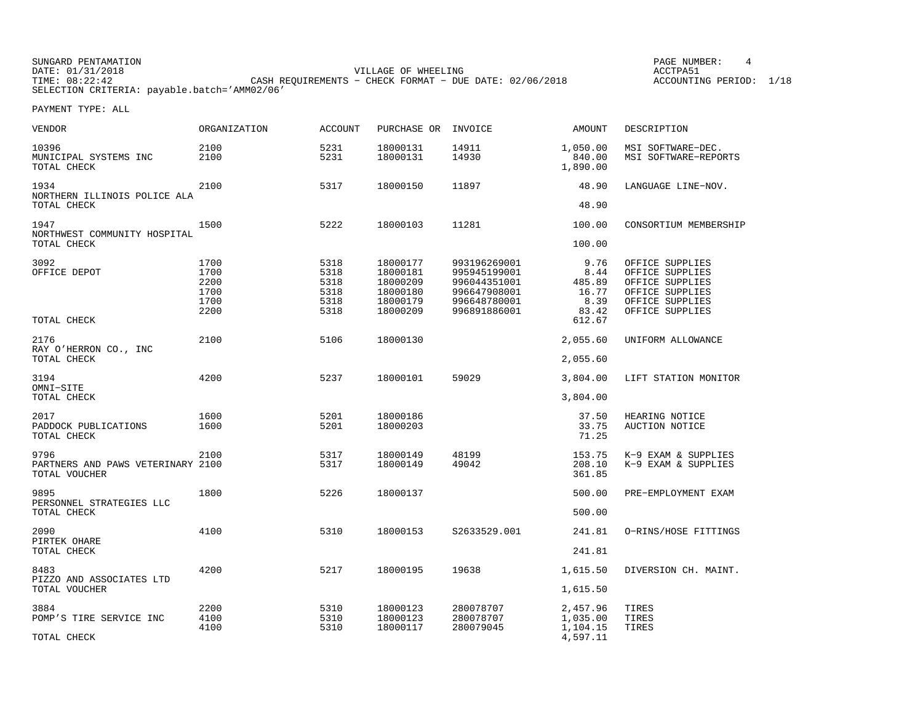| SUNGARD PENTAMATION |                                                           | PAGE NUMBER:       |      |
|---------------------|-----------------------------------------------------------|--------------------|------|
| DATE: 01/31/2018    | VILLAGE OF WHEELING                                       | ACCTPA51           |      |
| TIME: 08:22:42      | CASH REOUIREMENTS - CHECK FORMAT - DUE DATE: $02/06/2018$ | ACCOUNTING PERIOD: | 1/18 |
|                     | SELECTION CRITERIA: payable.batch='AMM02/06'              |                    |      |

PAGE NUMBER: 4

| <b>VENDOR</b>                                      | <b>ORGANIZATION</b> | <b>ACCOUNT</b> | PURCHASE OR          | INVOICE                      | AMOUNT                         | DESCRIPTION                               |
|----------------------------------------------------|---------------------|----------------|----------------------|------------------------------|--------------------------------|-------------------------------------------|
| 10396<br>MUNICIPAL SYSTEMS INC<br>TOTAL CHECK      | 2100<br>2100        | 5231<br>5231   | 18000131<br>18000131 | 14911<br>14930               | 1,050.00<br>840.00<br>1,890.00 | MSI SOFTWARE-DEC.<br>MSI SOFTWARE-REPORTS |
| 1934                                               | 2100                | 5317           | 18000150             | 11897                        | 48.90                          | LANGUAGE LINE-NOV.                        |
| NORTHERN ILLINOIS POLICE ALA<br>TOTAL CHECK        |                     |                |                      |                              | 48.90                          |                                           |
| 1947<br>NORTHWEST COMMUNITY HOSPITAL               | 1500                | 5222           | 18000103             | 11281                        | 100.00                         | CONSORTIUM MEMBERSHIP                     |
| TOTAL CHECK                                        |                     |                |                      |                              | 100.00                         |                                           |
| 3092                                               | 1700                | 5318           | 18000177             | 993196269001                 | 9.76                           | OFFICE SUPPLIES                           |
| OFFICE DEPOT                                       | 1700                | 5318           | 18000181             | 995945199001                 | 8.44                           | OFFICE SUPPLIES                           |
|                                                    | 2200<br>1700        | 5318<br>5318   | 18000209<br>18000180 | 996044351001<br>996647908001 | 485.89<br>16.77                | OFFICE SUPPLIES<br>OFFICE SUPPLIES        |
|                                                    | 1700                | 5318           | 18000179             | 996648780001                 | 8.39                           | OFFICE SUPPLIES                           |
|                                                    | 2200                | 5318           | 18000209             | 996891886001                 | 83.42                          | OFFICE SUPPLIES                           |
| TOTAL CHECK                                        |                     |                |                      |                              | 612.67                         |                                           |
| 2176<br>RAY O'HERRON CO., INC                      | 2100                | 5106           | 18000130             |                              | 2,055.60                       | UNIFORM ALLOWANCE                         |
| TOTAL CHECK                                        |                     |                |                      |                              | 2,055.60                       |                                           |
| 3194<br>OMNI-SITE                                  | 4200                | 5237           | 18000101             | 59029                        | 3,804.00                       | LIFT STATION MONITOR                      |
| TOTAL CHECK                                        |                     |                |                      |                              | 3,804.00                       |                                           |
| 2017                                               | 1600                | 5201           | 18000186             |                              | 37.50                          | HEARING NOTICE                            |
| PADDOCK PUBLICATIONS                               | 1600                | 5201           | 18000203             |                              | 33.75                          | AUCTION NOTICE                            |
| TOTAL CHECK                                        |                     |                |                      |                              | 71.25                          |                                           |
| 9796                                               | 2100                | 5317           | 18000149             | 48199                        | 153.75                         | K-9 EXAM & SUPPLIES                       |
| PARTNERS AND PAWS VETERINARY 2100<br>TOTAL VOUCHER |                     | 5317           | 18000149             | 49042                        | 208.10<br>361.85               | K-9 EXAM & SUPPLIES                       |
| 9895                                               | 1800                | 5226           | 18000137             |                              | 500.00                         | PRE-EMPLOYMENT EXAM                       |
| PERSONNEL STRATEGIES LLC<br>TOTAL CHECK            |                     |                |                      |                              | 500.00                         |                                           |
| 2090                                               | 4100                | 5310           | 18000153             | S2633529.001                 | 241.81                         | O-RINS/HOSE FITTINGS                      |
| PIRTEK OHARE<br>TOTAL CHECK                        |                     |                |                      |                              | 241.81                         |                                           |
| 8483                                               | 4200                | 5217           | 18000195             | 19638                        | 1,615.50                       | DIVERSION CH. MAINT.                      |
| PIZZO AND ASSOCIATES LTD<br>TOTAL VOUCHER          |                     |                |                      |                              | 1,615.50                       |                                           |
| 3884                                               | 2200                | 5310           | 18000123             | 280078707                    | 2,457.96                       | TIRES                                     |
| POMP'S TIRE SERVICE INC                            | 4100<br>4100        | 5310<br>5310   | 18000123<br>18000117 | 280078707<br>280079045       | 1,035.00<br>1,104.15           | TIRES<br>TIRES                            |
| TOTAL CHECK                                        |                     |                |                      |                              | 4,597.11                       |                                           |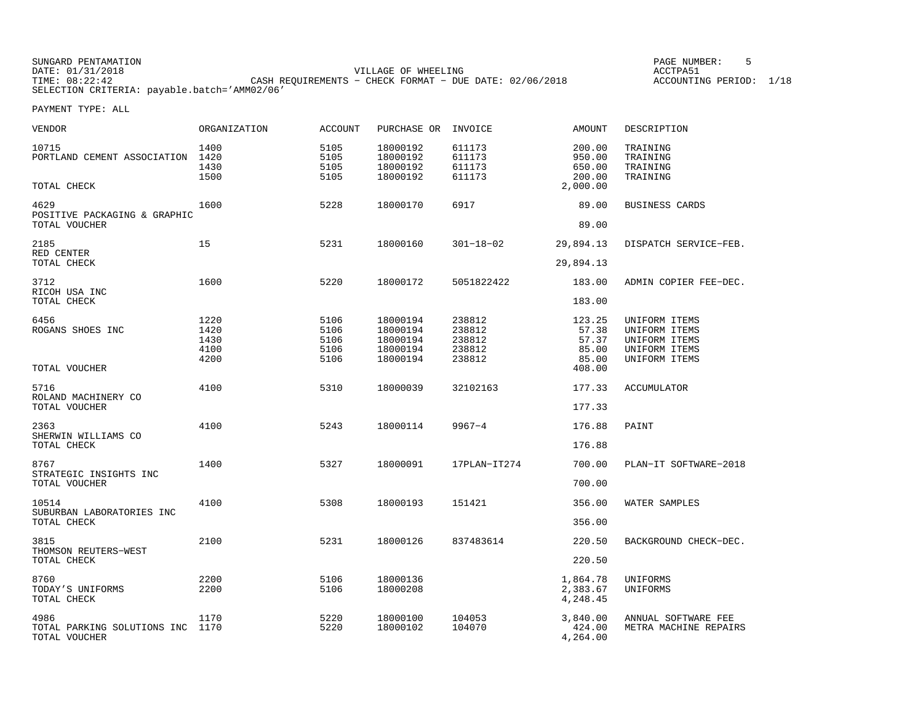| SUNGARD PENTAMATION |                                                           | PAGE NUMBER:            |  |
|---------------------|-----------------------------------------------------------|-------------------------|--|
| DATE: 01/31/2018    | VILLAGE OF WHEELING                                       | ACCTPA51                |  |
| TIME: 08:22:42      | CASH REOUIREMENTS - CHECK FORMAT - DUE DATE: $02/06/2018$ | ACCOUNTING PERIOD: 1/18 |  |
|                     | SELECTION CRITERIA: payable.batch='AMM02/06'              |                         |  |

PAGE NUMBER: 5

| <b>VENDOR</b>                                             | <b>ORGANIZATION</b>                  | <b>ACCOUNT</b>                       | PURCHASE OR                                              | INVOICE                                        | AMOUNT                                     | DESCRIPTION                                                                       |
|-----------------------------------------------------------|--------------------------------------|--------------------------------------|----------------------------------------------------------|------------------------------------------------|--------------------------------------------|-----------------------------------------------------------------------------------|
| 10715<br>PORTLAND CEMENT ASSOCIATION 1420                 | 1400<br>1430<br>1500                 | 5105<br>5105<br>5105<br>5105         | 18000192<br>18000192<br>18000192<br>18000192             | 611173<br>611173<br>611173<br>611173           | 200.00<br>950.00<br>650.00<br>200.00       | TRAINING<br>TRAINING<br>TRAINING<br>TRAINING                                      |
| TOTAL CHECK                                               |                                      |                                      |                                                          |                                                | 2,000.00                                   |                                                                                   |
| 4629<br>POSITIVE PACKAGING & GRAPHIC<br>TOTAL VOUCHER     | 1600                                 | 5228                                 | 18000170                                                 | 6917                                           | 89.00<br>89.00                             | <b>BUSINESS CARDS</b>                                                             |
| 2185<br>RED CENTER                                        | 15                                   | 5231                                 | 18000160                                                 | $301 - 18 - 02$                                | 29,894.13                                  | DISPATCH SERVICE-FEB.                                                             |
| TOTAL CHECK                                               |                                      |                                      |                                                          |                                                | 29,894.13                                  |                                                                                   |
| 3712<br>RICOH USA INC                                     | 1600                                 | 5220                                 | 18000172                                                 | 5051822422                                     | 183.00                                     | ADMIN COPIER FEE-DEC.                                                             |
| TOTAL CHECK                                               |                                      |                                      |                                                          |                                                | 183.00                                     |                                                                                   |
| 6456<br>ROGANS SHOES INC                                  | 1220<br>1420<br>1430<br>4100<br>4200 | 5106<br>5106<br>5106<br>5106<br>5106 | 18000194<br>18000194<br>18000194<br>18000194<br>18000194 | 238812<br>238812<br>238812<br>238812<br>238812 | 123.25<br>57.38<br>57.37<br>85.00<br>85.00 | UNIFORM ITEMS<br>UNIFORM ITEMS<br>UNIFORM ITEMS<br>UNIFORM ITEMS<br>UNIFORM ITEMS |
| TOTAL VOUCHER                                             |                                      |                                      |                                                          |                                                | 408.00                                     |                                                                                   |
| 5716<br>ROLAND MACHINERY CO<br>TOTAL VOUCHER              | 4100                                 | 5310                                 | 18000039                                                 | 32102163                                       | 177.33<br>177.33                           | <b>ACCUMULATOR</b>                                                                |
|                                                           |                                      |                                      |                                                          |                                                |                                            |                                                                                   |
| 2363<br>SHERWIN WILLIAMS CO<br>TOTAL CHECK                | 4100                                 | 5243                                 | 18000114                                                 | $9967 - 4$                                     | 176.88<br>176.88                           | PAINT                                                                             |
| 8767                                                      | 1400                                 | 5327                                 | 18000091                                                 | 17PLAN-IT274                                   | 700.00                                     | PLAN-IT SOFTWARE-2018                                                             |
| STRATEGIC INSIGHTS INC<br>TOTAL VOUCHER                   |                                      |                                      |                                                          |                                                | 700.00                                     |                                                                                   |
| 10514                                                     | 4100                                 | 5308                                 | 18000193                                                 | 151421                                         | 356.00                                     | WATER SAMPLES                                                                     |
| SUBURBAN LABORATORIES INC<br>TOTAL CHECK                  |                                      |                                      |                                                          |                                                | 356.00                                     |                                                                                   |
| 3815<br>THOMSON REUTERS-WEST<br>TOTAL CHECK               | 2100                                 | 5231                                 | 18000126                                                 | 837483614                                      | 220.50<br>220.50                           | BACKGROUND CHECK-DEC.                                                             |
| 8760<br>TODAY'S UNIFORMS<br>TOTAL CHECK                   | 2200<br>2200                         | 5106<br>5106                         | 18000136<br>18000208                                     |                                                | 1,864.78<br>2,383.67<br>4,248.45           | UNIFORMS<br>UNIFORMS                                                              |
| 4986<br>TOTAL PARKING SOLUTIONS INC 1170<br>TOTAL VOUCHER | 1170                                 | 5220<br>5220                         | 18000100<br>18000102                                     | 104053<br>104070                               | 3,840.00<br>424.00<br>4,264.00             | ANNUAL SOFTWARE FEE<br>METRA MACHINE REPAIRS                                      |